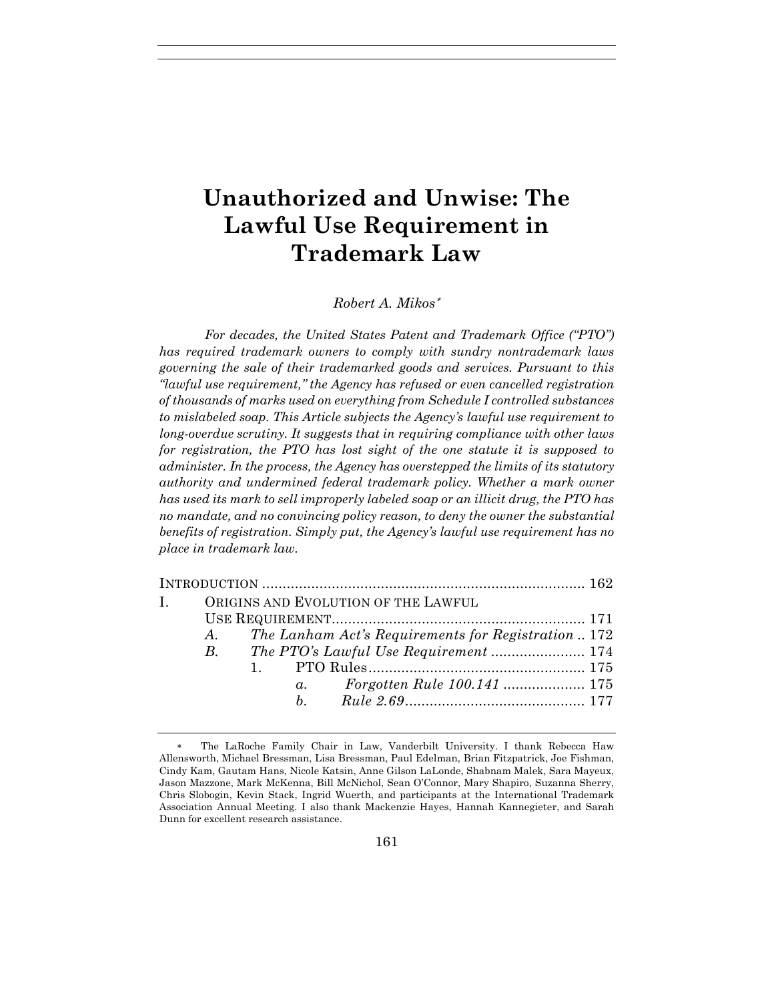# **Unauthorized and Unwise: The Lawful Use Requirement in Trademark Law**

## *Robert A. Mikos*<sup>∗</sup>

*For decades, the United States Patent and Trademark Office ("PTO") has required trademark owners to comply with sundry nontrademark laws governing the sale of their trademarked goods and services. Pursuant to this "lawful use requirement," the Agency has refused or even cancelled registration of thousands of marks used on everything from Schedule I controlled substances to mislabeled soap. This Article subjects the Agency's lawful use requirement to long-overdue scrutiny. It suggests that in requiring compliance with other laws*  for registration, the PTO has lost sight of the one statute it is supposed to *administer. In the process, the Agency has overstepped the limits of its statutory authority and undermined federal trademark policy. Whether a mark owner has used its mark to sell improperly labeled soap or an illicit drug, the PTO has no mandate, and no convincing policy reason, to deny the owner the substantial benefits of registration. Simply put, the Agency's lawful use requirement has no place in trademark law.*

| I. ORIGINS AND EVOLUTION OF THE LAWFUL |  |  |                                                        |  |  |
|----------------------------------------|--|--|--------------------------------------------------------|--|--|
|                                        |  |  |                                                        |  |  |
|                                        |  |  | A. The Lanham Act's Requirements for Registration  172 |  |  |
|                                        |  |  |                                                        |  |  |
|                                        |  |  |                                                        |  |  |
|                                        |  |  |                                                        |  |  |
|                                        |  |  |                                                        |  |  |
|                                        |  |  |                                                        |  |  |

The LaRoche Family Chair in Law, Vanderbilt University. I thank Rebecca Haw Allensworth, Michael Bressman, Lisa Bressman, Paul Edelman, Brian Fitzpatrick, Joe Fishman, Cindy Kam, Gautam Hans, Nicole Katsin, Anne Gilson LaLonde, Shabnam Malek, Sara Mayeux, Jason Mazzone, Mark McKenna, Bill McNichol, Sean O'Connor, Mary Shapiro, Suzanna Sherry, Chris Slobogin, Kevin Stack, Ingrid Wuerth, and participants at the International Trademark Association Annual Meeting. I also thank Mackenzie Hayes, Hannah Kannegieter, and Sarah Dunn for excellent research assistance.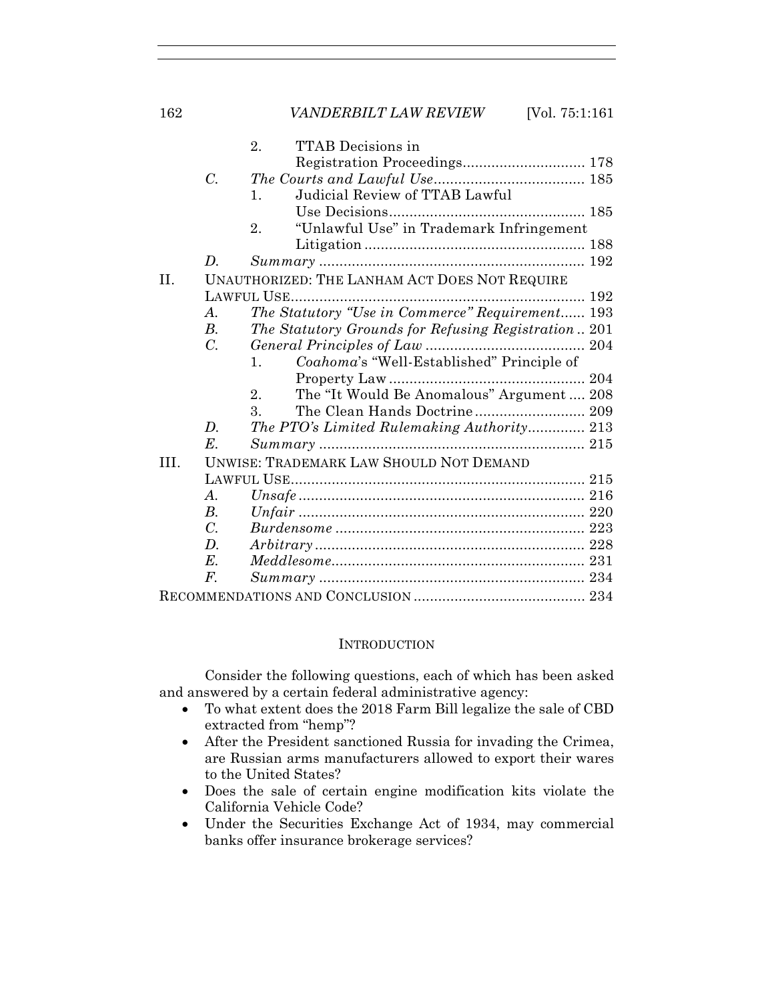|      |                                                | <b>TTAB</b> Decisions in<br>2.                       |     |  |  |  |
|------|------------------------------------------------|------------------------------------------------------|-----|--|--|--|
|      |                                                | Registration Proceedings 178                         |     |  |  |  |
|      | $\mathcal{C}$ .                                |                                                      |     |  |  |  |
|      |                                                | Judicial Review of TTAB Lawful<br>$\mathbf{1}$ .     |     |  |  |  |
|      |                                                |                                                      |     |  |  |  |
|      |                                                | "Unlawful Use" in Trademark Infringement<br>2.       |     |  |  |  |
|      |                                                |                                                      |     |  |  |  |
|      | D.                                             |                                                      |     |  |  |  |
| II.  |                                                | <b>UNAUTHORIZED: THE LANHAM ACT DOES NOT REQUIRE</b> |     |  |  |  |
|      |                                                |                                                      | 192 |  |  |  |
|      | $\boldsymbol{A}$ .                             | The Statutory "Use in Commerce" Requirement 193      |     |  |  |  |
|      | В.                                             | The Statutory Grounds for Refusing Registration 201  |     |  |  |  |
|      | $\overline{C}$ .                               |                                                      |     |  |  |  |
|      |                                                | Coahoma's "Well-Established" Principle of<br>$1_{-}$ |     |  |  |  |
|      |                                                |                                                      |     |  |  |  |
|      |                                                | The "It Would Be Anomalous" Argument  208<br>$2_{-}$ |     |  |  |  |
|      |                                                | 3.                                                   |     |  |  |  |
|      | $\boldsymbol{D}$ .                             | The PTO's Limited Rulemaking Authority 213           |     |  |  |  |
|      | $E$ .                                          |                                                      |     |  |  |  |
| III. | <b>UNWISE: TRADEMARK LAW SHOULD NOT DEMAND</b> |                                                      |     |  |  |  |
|      |                                                |                                                      |     |  |  |  |
|      | $\mathcal{A}$ .                                |                                                      |     |  |  |  |
|      | <i>B</i> .                                     |                                                      |     |  |  |  |
|      | $\overline{C}$ .                               |                                                      |     |  |  |  |
|      | D.                                             |                                                      |     |  |  |  |
|      | $E$ .                                          |                                                      |     |  |  |  |
|      | F.                                             |                                                      |     |  |  |  |
|      |                                                |                                                      |     |  |  |  |

# **INTRODUCTION**

Consider the following questions, each of which has been asked and answered by a certain federal administrative agency:

- To what extent does the 2018 Farm Bill legalize the sale of CBD extracted from "hemp"?
- After the President sanctioned Russia for invading the Crimea, are Russian arms manufacturers allowed to export their wares to the United States?
- Does the sale of certain engine modification kits violate the California Vehicle Code?
- Under the Securities Exchange Act of 1934, may commercial banks offer insurance brokerage services?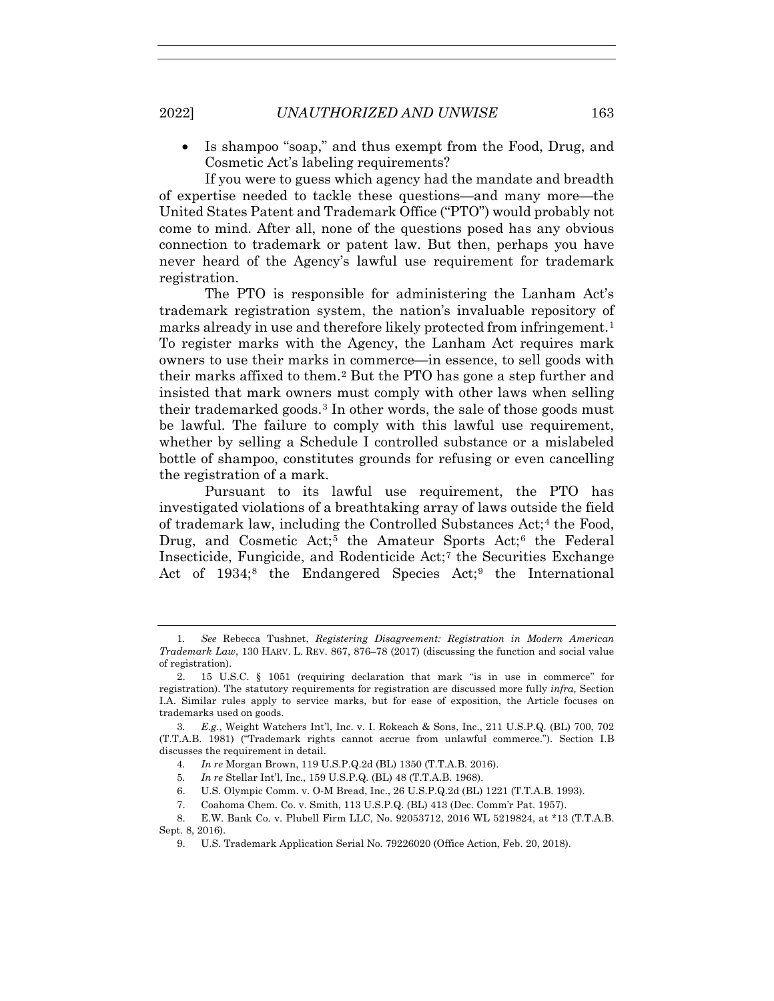• Is shampoo "soap," and thus exempt from the Food, Drug, and Cosmetic Act's labeling requirements?

If you were to guess which agency had the mandate and breadth of expertise needed to tackle these questions—and many more—the United States Patent and Trademark Office ("PTO") would probably not come to mind. After all, none of the questions posed has any obvious connection to trademark or patent law. But then, perhaps you have never heard of the Agency's lawful use requirement for trademark registration.

The PTO is responsible for administering the Lanham Act's trademark registration system, the nation's invaluable repository of marks already in use and therefore likely protected from infringement.<sup>1</sup> To register marks with the Agency, the Lanham Act requires mark owners to use their marks in commerce—in essence, to sell goods with their marks affixed to them.2 But the PTO has gone a step further and insisted that mark owners must comply with other laws when selling their trademarked goods.3 In other words, the sale of those goods must be lawful. The failure to comply with this lawful use requirement, whether by selling a Schedule I controlled substance or a mislabeled bottle of shampoo, constitutes grounds for refusing or even cancelling the registration of a mark.

Pursuant to its lawful use requirement, the PTO has investigated violations of a breathtaking array of laws outside the field of trademark law, including the Controlled Substances Act;<sup>4</sup> the Food, Drug, and Cosmetic Act;<sup>5</sup> the Amateur Sports Act;<sup>6</sup> the Federal Insecticide, Fungicide, and Rodenticide Act;7 the Securities Exchange Act of 1934;<sup>8</sup> the Endangered Species Act;<sup>9</sup> the International

<sup>1</sup>*. See* Rebecca Tushnet, *Registering Disagreement: Registration in Modern American Trademark Law*, 130 HARV. L. REV. 867, 876–78 (2017) (discussing the function and social value of registration).

 <sup>2. 15</sup> U.S.C. § 1051 (requiring declaration that mark "is in use in commerce" for registration). The statutory requirements for registration are discussed more fully *infra,* Section I.A. Similar rules apply to service marks, but for ease of exposition, the Article focuses on trademarks used on goods.

<sup>3</sup>*. E.g.*, Weight Watchers Int'l, Inc. v. I. Rokeach & Sons, Inc., 211 U.S.P.Q. (BL) 700, 702 (T.T.A.B. 1981) ("Trademark rights cannot accrue from unlawful commerce."). Section I.B discusses the requirement in detail.

<sup>4</sup>*. In re* Morgan Brown, 119 U.S.P.Q.2d (BL) 1350 (T.T.A.B. 2016).

<sup>5</sup>*. In re* Stellar Int'l, Inc., 159 U.S.P.Q. (BL) 48 (T.T.A.B. 1968).

 <sup>6.</sup> U.S. Olympic Comm. v. O-M Bread, Inc., 26 U.S.P.Q.2d (BL) 1221 (T.T.A.B. 1993).

 <sup>7.</sup> Coahoma Chem. Co. v. Smith, 113 U.S.P.Q. (BL) 413 (Dec. Comm'r Pat. 1957).

 <sup>8.</sup> E.W. Bank Co. v. Plubell Firm LLC, No. 92053712, 2016 WL 5219824, at \*13 (T.T.A.B. Sept. 8, 2016).

 <sup>9.</sup> U.S. Trademark Application Serial No. 79226020 (Office Action, Feb. 20, 2018).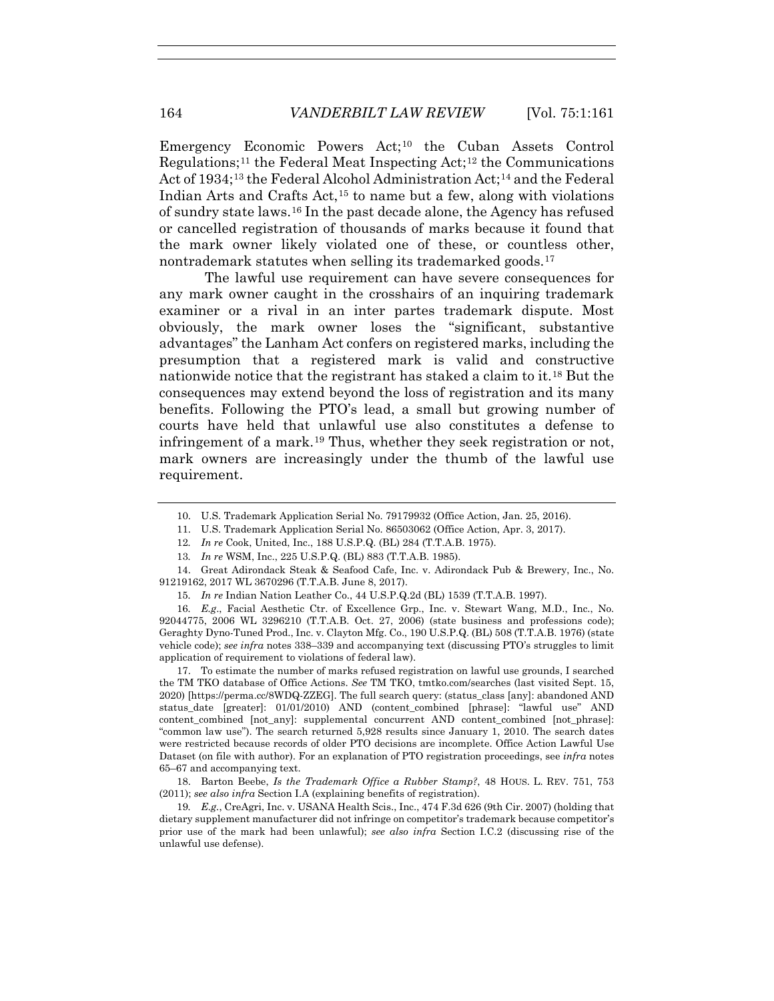Emergency Economic Powers Act;10 the Cuban Assets Control Regulations;<sup>11</sup> the Federal Meat Inspecting Act;<sup>12</sup> the Communications Act of 1934;13 the Federal Alcohol Administration Act;14 and the Federal Indian Arts and Crafts Act,15 to name but a few, along with violations of sundry state laws.16 In the past decade alone, the Agency has refused or cancelled registration of thousands of marks because it found that the mark owner likely violated one of these, or countless other, nontrademark statutes when selling its trademarked goods.<sup>17</sup>

The lawful use requirement can have severe consequences for any mark owner caught in the crosshairs of an inquiring trademark examiner or a rival in an inter partes trademark dispute. Most obviously, the mark owner loses the "significant, substantive advantages" the Lanham Act confers on registered marks, including the presumption that a registered mark is valid and constructive nationwide notice that the registrant has staked a claim to it.18 But the consequences may extend beyond the loss of registration and its many benefits. Following the PTO's lead, a small but growing number of courts have held that unlawful use also constitutes a defense to infringement of a mark.19 Thus, whether they seek registration or not, mark owners are increasingly under the thumb of the lawful use requirement.

12*. In re* Cook, United, Inc., 188 U.S.P.Q. (BL) 284 (T.T.A.B. 1975).

16*. E.g*., Facial Aesthetic Ctr. of Excellence Grp., Inc. v. Stewart Wang, M.D., Inc., No. 92044775, 2006 WL 3296210 (T.T.A.B. Oct. 27, 2006) (state business and professions code); Geraghty Dyno-Tuned Prod., Inc. v. Clayton Mfg. Co., 190 U.S.P.Q. (BL) 508 (T.T.A.B. 1976) (state vehicle code); *see infra* notes 338–339 and accompanying text (discussing PTO's struggles to limit application of requirement to violations of federal law).

 17. To estimate the number of marks refused registration on lawful use grounds, I searched the TM TKO database of Office Actions. *See* TM TKO, tmtko.com/searches (last visited Sept. 15, 2020) [https://perma.cc/8WDQ-ZZEG]. The full search query: (status\_class [any]: abandoned AND status\_date [greater]: 01/01/2010) AND (content\_combined [phrase]: "lawful use" AND content\_combined [not\_any]: supplemental concurrent AND content\_combined [not\_phrase]: "common law use"). The search returned 5,928 results since January 1, 2010. The search dates were restricted because records of older PTO decisions are incomplete. Office Action Lawful Use Dataset (on file with author). For an explanation of PTO registration proceedings, see *infra* notes 65–67 and accompanying text.

 18. Barton Beebe, *Is the Trademark Office a Rubber Stamp?*, 48 HOUS. L. REV. 751, 753 (2011); *see also infra* Section I.A (explaining benefits of registration).

19*. E.g.*, CreAgri, Inc. v. USANA Health Scis., Inc., 474 F.3d 626 (9th Cir. 2007) (holding that dietary supplement manufacturer did not infringe on competitor's trademark because competitor's prior use of the mark had been unlawful); *see also infra* Section I.C.2 (discussing rise of the unlawful use defense).

 <sup>10.</sup> U.S. Trademark Application Serial No. 79179932 (Office Action, Jan. 25, 2016).

 <sup>11.</sup> U.S. Trademark Application Serial No. 86503062 (Office Action, Apr. 3, 2017).

<sup>13</sup>*. In re* WSM, Inc., 225 U.S.P.Q. (BL) 883 (T.T.A.B. 1985).

 <sup>14.</sup> Great Adirondack Steak & Seafood Cafe, Inc. v. Adirondack Pub & Brewery, Inc., No. 91219162, 2017 WL 3670296 (T.T.A.B. June 8, 2017).

<sup>15</sup>*. In re* Indian Nation Leather Co., 44 U.S.P.Q.2d (BL) 1539 (T.T.A.B. 1997).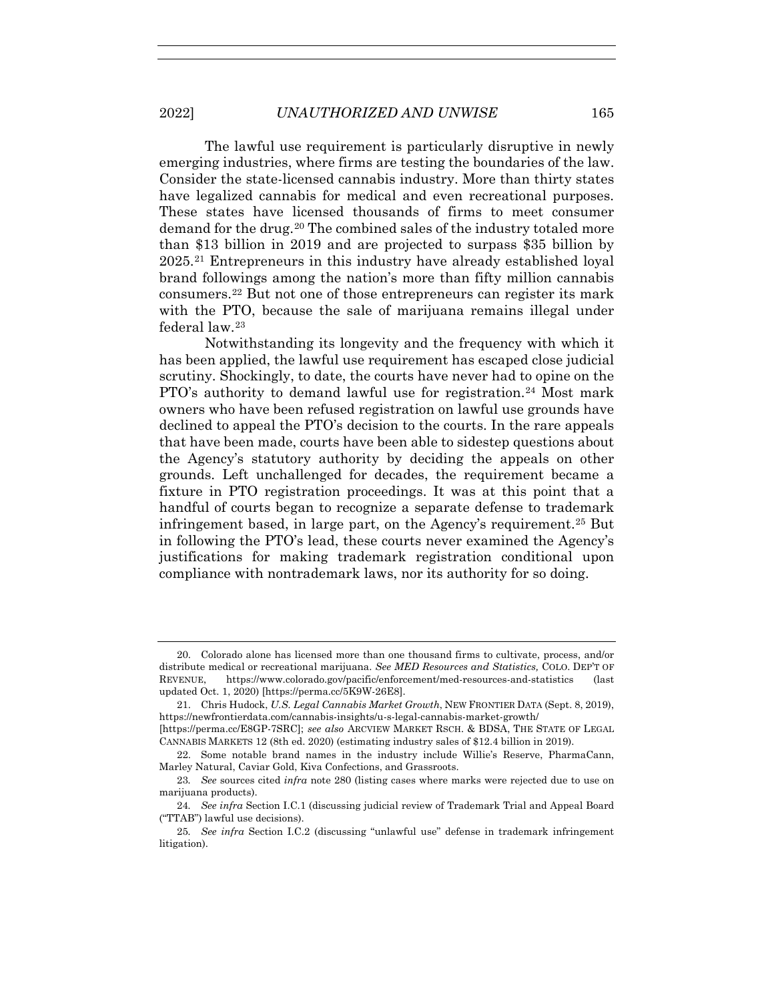The lawful use requirement is particularly disruptive in newly emerging industries, where firms are testing the boundaries of the law. Consider the state-licensed cannabis industry. More than thirty states have legalized cannabis for medical and even recreational purposes. These states have licensed thousands of firms to meet consumer demand for the drug.20 The combined sales of the industry totaled more than \$13 billion in 2019 and are projected to surpass \$35 billion by 2025.21 Entrepreneurs in this industry have already established loyal brand followings among the nation's more than fifty million cannabis consumers.22 But not one of those entrepreneurs can register its mark with the PTO, because the sale of marijuana remains illegal under federal law.23

Notwithstanding its longevity and the frequency with which it has been applied, the lawful use requirement has escaped close judicial scrutiny. Shockingly, to date, the courts have never had to opine on the PTO's authority to demand lawful use for registration.<sup>24</sup> Most mark owners who have been refused registration on lawful use grounds have declined to appeal the PTO's decision to the courts. In the rare appeals that have been made, courts have been able to sidestep questions about the Agency's statutory authority by deciding the appeals on other grounds. Left unchallenged for decades, the requirement became a fixture in PTO registration proceedings. It was at this point that a handful of courts began to recognize a separate defense to trademark infringement based, in large part, on the Agency's requirement.25 But in following the PTO's lead, these courts never examined the Agency's justifications for making trademark registration conditional upon compliance with nontrademark laws, nor its authority for so doing.

 <sup>20.</sup> Colorado alone has licensed more than one thousand firms to cultivate, process, and/or distribute medical or recreational marijuana. *See MED Resources and Statistics,* COLO. DEP'T OF REVENUE, https://www.colorado.gov/pacific/enforcement/med-resources-and-statistics (last updated Oct. 1, 2020) [https://perma.cc/5K9W-26E8].

 <sup>21.</sup> Chris Hudock, *U.S. Legal Cannabis Market Growth*, NEW FRONTIER DATA (Sept. 8, 2019), https://newfrontierdata.com/cannabis-insights/u-s-legal-cannabis-market-growth/ [https://perma.cc/E8GP-7SRC]; *see also* ARCVIEW MARKET RSCH. & BDSA, THE STATE OF LEGAL

CANNABIS MARKETS 12 (8th ed. 2020) (estimating industry sales of \$12.4 billion in 2019).

 <sup>22.</sup> Some notable brand names in the industry include Willie's Reserve, PharmaCann, Marley Natural, Caviar Gold, Kiva Confections, and Grassroots.

<sup>23</sup>*. See* sources cited *infra* note 280 (listing cases where marks were rejected due to use on marijuana products).

<sup>24</sup>*. See infra* Section I.C.1 (discussing judicial review of Trademark Trial and Appeal Board ("TTAB") lawful use decisions).

<sup>25</sup>*. See infra* Section I.C.2 (discussing "unlawful use" defense in trademark infringement litigation).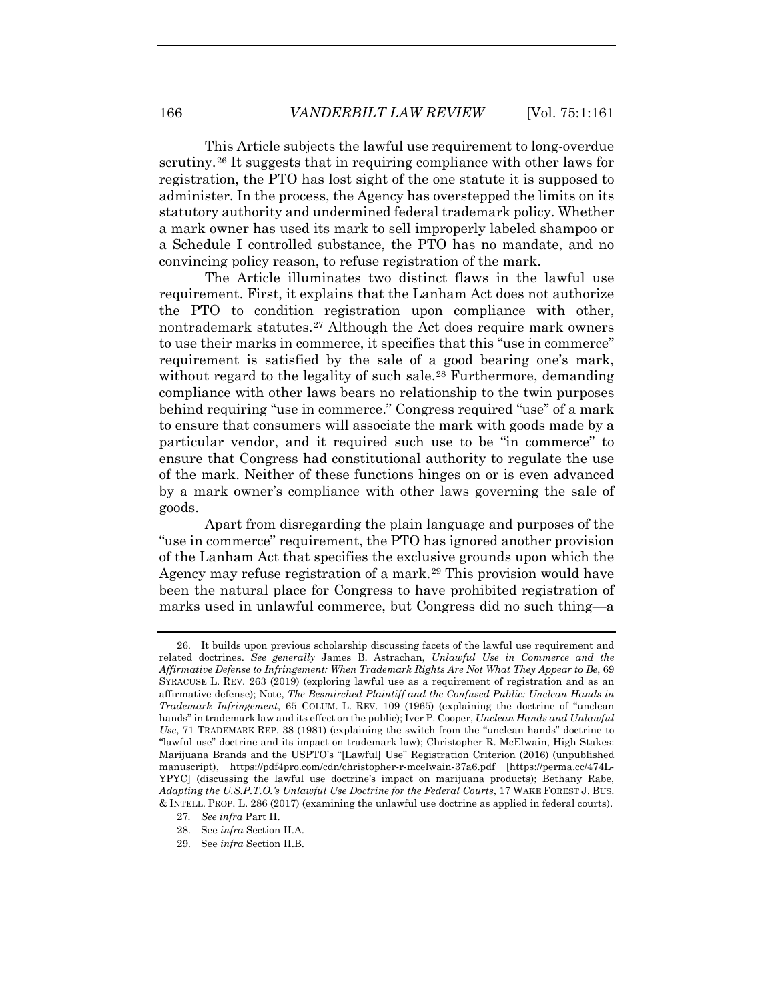This Article subjects the lawful use requirement to long-overdue scrutiny.26 It suggests that in requiring compliance with other laws for registration, the PTO has lost sight of the one statute it is supposed to administer. In the process, the Agency has overstepped the limits on its statutory authority and undermined federal trademark policy. Whether a mark owner has used its mark to sell improperly labeled shampoo or a Schedule I controlled substance, the PTO has no mandate, and no convincing policy reason, to refuse registration of the mark.

The Article illuminates two distinct flaws in the lawful use requirement. First, it explains that the Lanham Act does not authorize the PTO to condition registration upon compliance with other, nontrademark statutes.27 Although the Act does require mark owners to use their marks in commerce, it specifies that this "use in commerce" requirement is satisfied by the sale of a good bearing one's mark, without regard to the legality of such sale.<sup>28</sup> Furthermore, demanding compliance with other laws bears no relationship to the twin purposes behind requiring "use in commerce." Congress required "use" of a mark to ensure that consumers will associate the mark with goods made by a particular vendor, and it required such use to be "in commerce" to ensure that Congress had constitutional authority to regulate the use of the mark. Neither of these functions hinges on or is even advanced by a mark owner's compliance with other laws governing the sale of goods.

Apart from disregarding the plain language and purposes of the "use in commerce" requirement, the PTO has ignored another provision of the Lanham Act that specifies the exclusive grounds upon which the Agency may refuse registration of a mark.<sup>29</sup> This provision would have been the natural place for Congress to have prohibited registration of marks used in unlawful commerce, but Congress did no such thing—a

- 28. See *infra* Section II.A.
- 29. See *infra* Section II.B.

 <sup>26.</sup> It builds upon previous scholarship discussing facets of the lawful use requirement and related doctrines. *See generally* James B. Astrachan, *Unlawful Use in Commerce and the Affirmative Defense to Infringement: When Trademark Rights Are Not What They Appear to Be*, 69 SYRACUSE L. REV. 263 (2019) (exploring lawful use as a requirement of registration and as an affirmative defense); Note, *The Besmirched Plaintiff and the Confused Public: Unclean Hands in Trademark Infringement*, 65 COLUM. L. REV. 109 (1965) (explaining the doctrine of "unclean hands" in trademark law and its effect on the public); Iver P. Cooper, *Unclean Hands and Unlawful Use*, 71 TRADEMARK REP. 38 (1981) (explaining the switch from the "unclean hands" doctrine to "lawful use" doctrine and its impact on trademark law); Christopher R. McElwain, High Stakes: Marijuana Brands and the USPTO's "[Lawful] Use" Registration Criterion (2016) (unpublished manuscript), https://pdf4pro.com/cdn/christopher-r-mcelwain-37a6.pdf [https://perma.cc/474L-YPYC] (discussing the lawful use doctrine's impact on marijuana products); Bethany Rabe, *Adapting the U.S.P.T.O.'s Unlawful Use Doctrine for the Federal Courts*, 17 WAKE FOREST J. BUS. & INTELL. PROP. L. 286 (2017) (examining the unlawful use doctrine as applied in federal courts).

<sup>27</sup>*. See infra* Part II.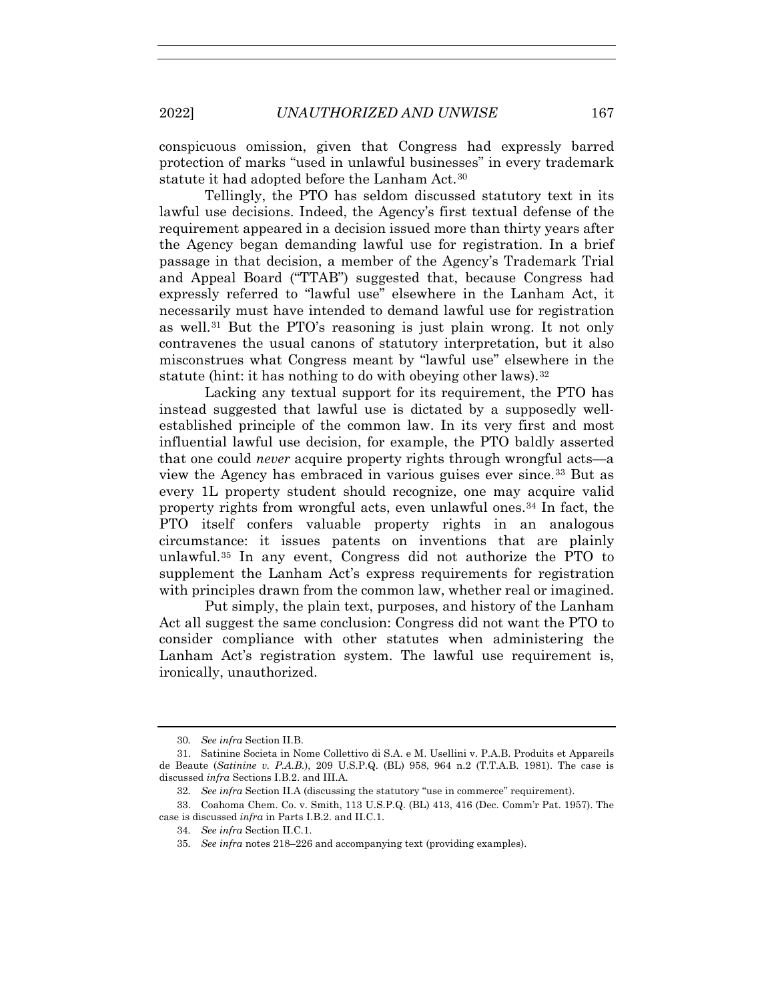conspicuous omission, given that Congress had expressly barred protection of marks "used in unlawful businesses" in every trademark statute it had adopted before the Lanham Act.<sup>30</sup>

Tellingly, the PTO has seldom discussed statutory text in its lawful use decisions. Indeed, the Agency's first textual defense of the requirement appeared in a decision issued more than thirty years after the Agency began demanding lawful use for registration. In a brief passage in that decision, a member of the Agency's Trademark Trial and Appeal Board ("TTAB") suggested that, because Congress had expressly referred to "lawful use" elsewhere in the Lanham Act, it necessarily must have intended to demand lawful use for registration as well.31 But the PTO's reasoning is just plain wrong. It not only contravenes the usual canons of statutory interpretation, but it also misconstrues what Congress meant by "lawful use" elsewhere in the statute (hint: it has nothing to do with obeying other laws).  $32$ 

Lacking any textual support for its requirement, the PTO has instead suggested that lawful use is dictated by a supposedly wellestablished principle of the common law. In its very first and most influential lawful use decision, for example, the PTO baldly asserted that one could *never* acquire property rights through wrongful acts—a view the Agency has embraced in various guises ever since.33 But as every 1L property student should recognize, one may acquire valid property rights from wrongful acts, even unlawful ones.34 In fact, the PTO itself confers valuable property rights in an analogous circumstance: it issues patents on inventions that are plainly unlawful.35 In any event, Congress did not authorize the PTO to supplement the Lanham Act's express requirements for registration with principles drawn from the common law, whether real or imagined.

Put simply, the plain text, purposes, and history of the Lanham Act all suggest the same conclusion: Congress did not want the PTO to consider compliance with other statutes when administering the Lanham Act's registration system. The lawful use requirement is, ironically, unauthorized.

<sup>30</sup>*. See infra* Section II.B.

 <sup>31.</sup> Satinine Societa in Nome Collettivo di S.A. e M. Usellini v. P.A.B. Produits et Appareils de Beaute (*Satinine v. P.A.B.*), 209 U.S.P.Q. (BL) 958, 964 n.2 (T.T.A.B. 1981). The case is discussed *infra* Sections I.B.2. and III.A.

<sup>32</sup>*. See infra* Section II.A (discussing the statutory "use in commerce" requirement).

 <sup>33.</sup> Coahoma Chem. Co. v. Smith, 113 U.S.P.Q. (BL) 413, 416 (Dec. Comm'r Pat. 1957). The case is discussed *infra* in Parts I.B.2. and II.C.1.

<sup>34</sup>*. See infra* Section II.C.1.

<sup>35</sup>*. See infra* notes 218–226 and accompanying text (providing examples).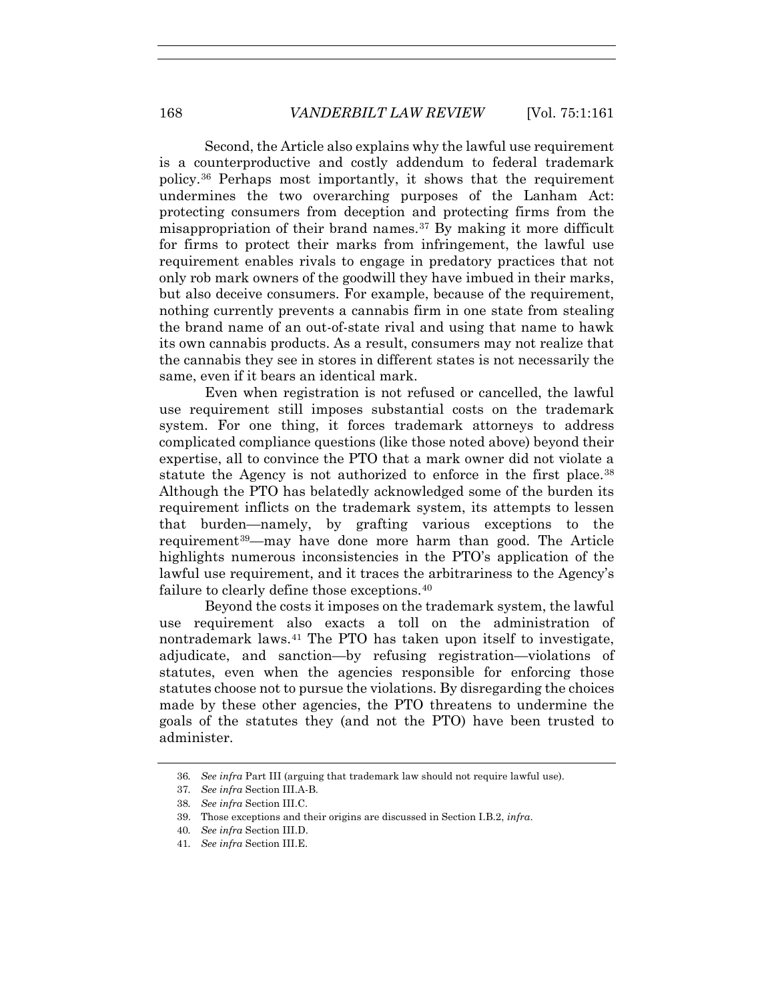Second, the Article also explains why the lawful use requirement is a counterproductive and costly addendum to federal trademark policy.36 Perhaps most importantly, it shows that the requirement undermines the two overarching purposes of the Lanham Act: protecting consumers from deception and protecting firms from the misappropriation of their brand names.37 By making it more difficult for firms to protect their marks from infringement, the lawful use requirement enables rivals to engage in predatory practices that not only rob mark owners of the goodwill they have imbued in their marks, but also deceive consumers. For example, because of the requirement, nothing currently prevents a cannabis firm in one state from stealing the brand name of an out-of-state rival and using that name to hawk its own cannabis products. As a result, consumers may not realize that the cannabis they see in stores in different states is not necessarily the same, even if it bears an identical mark.

Even when registration is not refused or cancelled, the lawful use requirement still imposes substantial costs on the trademark system. For one thing, it forces trademark attorneys to address complicated compliance questions (like those noted above) beyond their expertise, all to convince the PTO that a mark owner did not violate a statute the Agency is not authorized to enforce in the first place.<sup>38</sup> Although the PTO has belatedly acknowledged some of the burden its requirement inflicts on the trademark system, its attempts to lessen that burden—namely, by grafting various exceptions to the requirement39—may have done more harm than good. The Article highlights numerous inconsistencies in the PTO's application of the lawful use requirement, and it traces the arbitrariness to the Agency's failure to clearly define those exceptions.<sup>40</sup>

Beyond the costs it imposes on the trademark system, the lawful use requirement also exacts a toll on the administration of nontrademark laws.41 The PTO has taken upon itself to investigate, adjudicate, and sanction—by refusing registration—violations of statutes, even when the agencies responsible for enforcing those statutes choose not to pursue the violations. By disregarding the choices made by these other agencies, the PTO threatens to undermine the goals of the statutes they (and not the PTO) have been trusted to administer.

<sup>36</sup>*. See infra* Part III (arguing that trademark law should not require lawful use).

<sup>37</sup>*. See infra* Section III.A-B.

<sup>38</sup>*. See infra* Section III.C.

 <sup>39.</sup> Those exceptions and their origins are discussed in Section I.B.2, *infra*.

<sup>40</sup>*. See infra* Section III.D.

<sup>41</sup>*. See infra* Section III.E.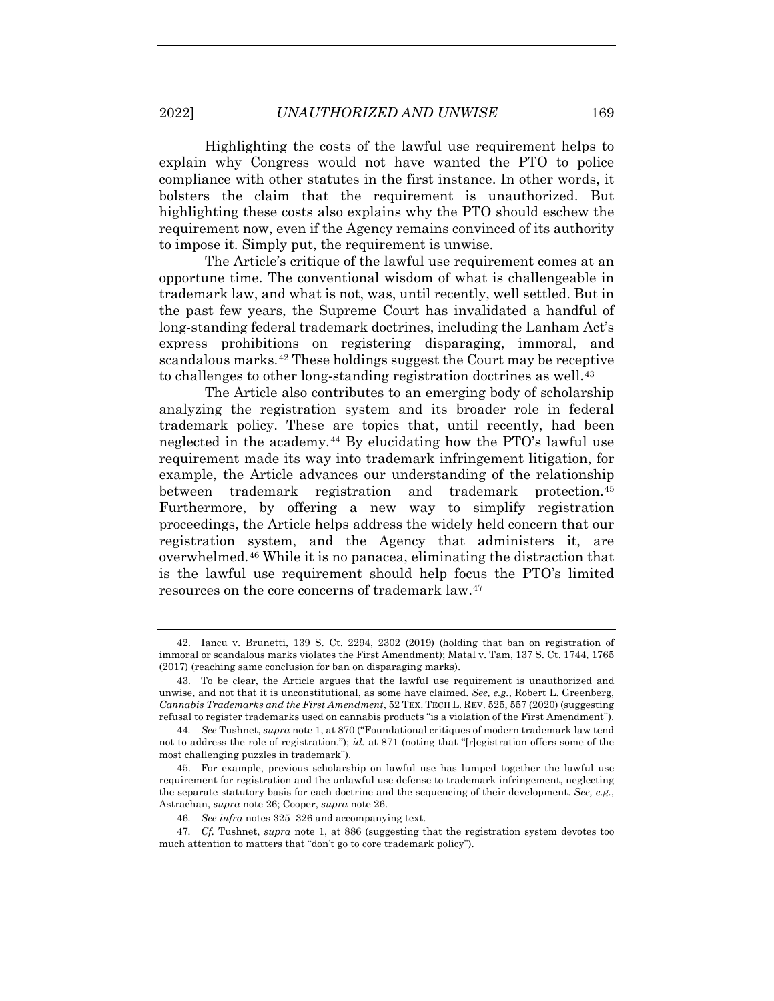Highlighting the costs of the lawful use requirement helps to explain why Congress would not have wanted the PTO to police compliance with other statutes in the first instance. In other words, it bolsters the claim that the requirement is unauthorized. But highlighting these costs also explains why the PTO should eschew the requirement now, even if the Agency remains convinced of its authority to impose it. Simply put, the requirement is unwise.

The Article's critique of the lawful use requirement comes at an opportune time. The conventional wisdom of what is challengeable in trademark law, and what is not, was, until recently, well settled. But in the past few years, the Supreme Court has invalidated a handful of long-standing federal trademark doctrines, including the Lanham Act's express prohibitions on registering disparaging, immoral, and scandalous marks.42 These holdings suggest the Court may be receptive to challenges to other long-standing registration doctrines as well.<sup>43</sup>

The Article also contributes to an emerging body of scholarship analyzing the registration system and its broader role in federal trademark policy. These are topics that, until recently, had been neglected in the academy.44 By elucidating how the PTO's lawful use requirement made its way into trademark infringement litigation, for example, the Article advances our understanding of the relationship between trademark registration and trademark protection.45 Furthermore, by offering a new way to simplify registration proceedings, the Article helps address the widely held concern that our registration system, and the Agency that administers it, are overwhelmed.46 While it is no panacea, eliminating the distraction that is the lawful use requirement should help focus the PTO's limited resources on the core concerns of trademark law.47

 <sup>42.</sup> Iancu v. Brunetti, 139 S. Ct. 2294, 2302 (2019) (holding that ban on registration of immoral or scandalous marks violates the First Amendment); Matal v. Tam, 137 S. Ct. 1744, 1765 (2017) (reaching same conclusion for ban on disparaging marks).

 <sup>43.</sup> To be clear, the Article argues that the lawful use requirement is unauthorized and unwise, and not that it is unconstitutional, as some have claimed. *See, e.g.*, Robert L. Greenberg, *Cannabis Trademarks and the First Amendment*, 52 TEX. TECH L. REV. 525, 557 (2020) (suggesting refusal to register trademarks used on cannabis products "is a violation of the First Amendment").

<sup>44</sup>*. See* Tushnet, *supra* note 1, at 870 ("Foundational critiques of modern trademark law tend not to address the role of registration."); *id.* at 871 (noting that "[r]egistration offers some of the most challenging puzzles in trademark").

 <sup>45.</sup> For example, previous scholarship on lawful use has lumped together the lawful use requirement for registration and the unlawful use defense to trademark infringement, neglecting the separate statutory basis for each doctrine and the sequencing of their development. *See, e.g.*, Astrachan, *supra* note 26; Cooper, *supra* note 26.

<sup>46</sup>*. See infra* notes 325–326 and accompanying text.

<sup>47</sup>*. Cf.* Tushnet, *supra* note 1, at 886 (suggesting that the registration system devotes too much attention to matters that "don't go to core trademark policy").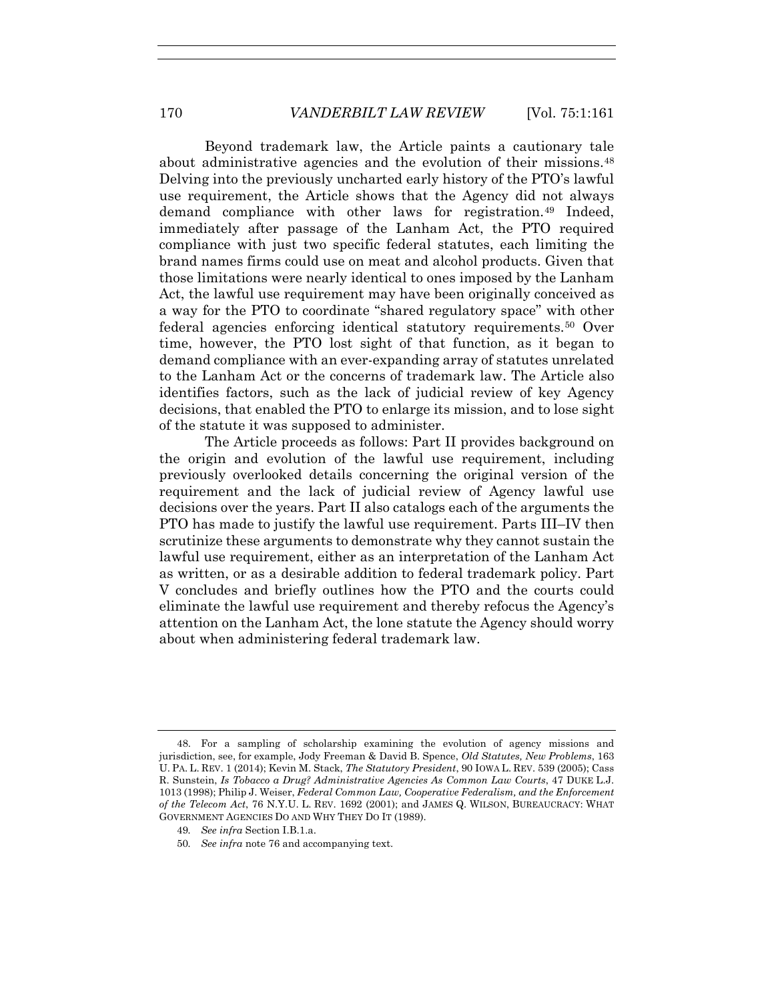Beyond trademark law, the Article paints a cautionary tale about administrative agencies and the evolution of their missions.<sup>48</sup> Delving into the previously uncharted early history of the PTO's lawful use requirement, the Article shows that the Agency did not always demand compliance with other laws for registration.49 Indeed, immediately after passage of the Lanham Act, the PTO required compliance with just two specific federal statutes, each limiting the brand names firms could use on meat and alcohol products. Given that those limitations were nearly identical to ones imposed by the Lanham Act, the lawful use requirement may have been originally conceived as a way for the PTO to coordinate "shared regulatory space" with other federal agencies enforcing identical statutory requirements.50 Over time, however, the PTO lost sight of that function, as it began to demand compliance with an ever-expanding array of statutes unrelated to the Lanham Act or the concerns of trademark law. The Article also identifies factors, such as the lack of judicial review of key Agency decisions, that enabled the PTO to enlarge its mission, and to lose sight of the statute it was supposed to administer.

The Article proceeds as follows: Part II provides background on the origin and evolution of the lawful use requirement, including previously overlooked details concerning the original version of the requirement and the lack of judicial review of Agency lawful use decisions over the years. Part II also catalogs each of the arguments the PTO has made to justify the lawful use requirement. Parts III–IV then scrutinize these arguments to demonstrate why they cannot sustain the lawful use requirement, either as an interpretation of the Lanham Act as written, or as a desirable addition to federal trademark policy. Part V concludes and briefly outlines how the PTO and the courts could eliminate the lawful use requirement and thereby refocus the Agency's attention on the Lanham Act, the lone statute the Agency should worry about when administering federal trademark law.

- 49*. See infra* Section I.B.1.a.
- 50*. See infra* note 76 and accompanying text.

 <sup>48.</sup> For a sampling of scholarship examining the evolution of agency missions and jurisdiction, see, for example, Jody Freeman & David B. Spence, *Old Statutes, New Problems*, 163 U. PA. L. REV. 1 (2014); Kevin M. Stack, *The Statutory President*, 90 IOWA L. REV. 539 (2005); Cass R. Sunstein, *Is Tobacco a Drug? Administrative Agencies As Common Law Courts*, 47 DUKE L.J. 1013 (1998); Philip J. Weiser, *Federal Common Law, Cooperative Federalism, and the Enforcement of the Telecom Act*, 76 N.Y.U. L. REV. 1692 (2001); and JAMES Q. WILSON, BUREAUCRACY: WHAT GOVERNMENT AGENCIES DO AND WHY THEY DO IT (1989).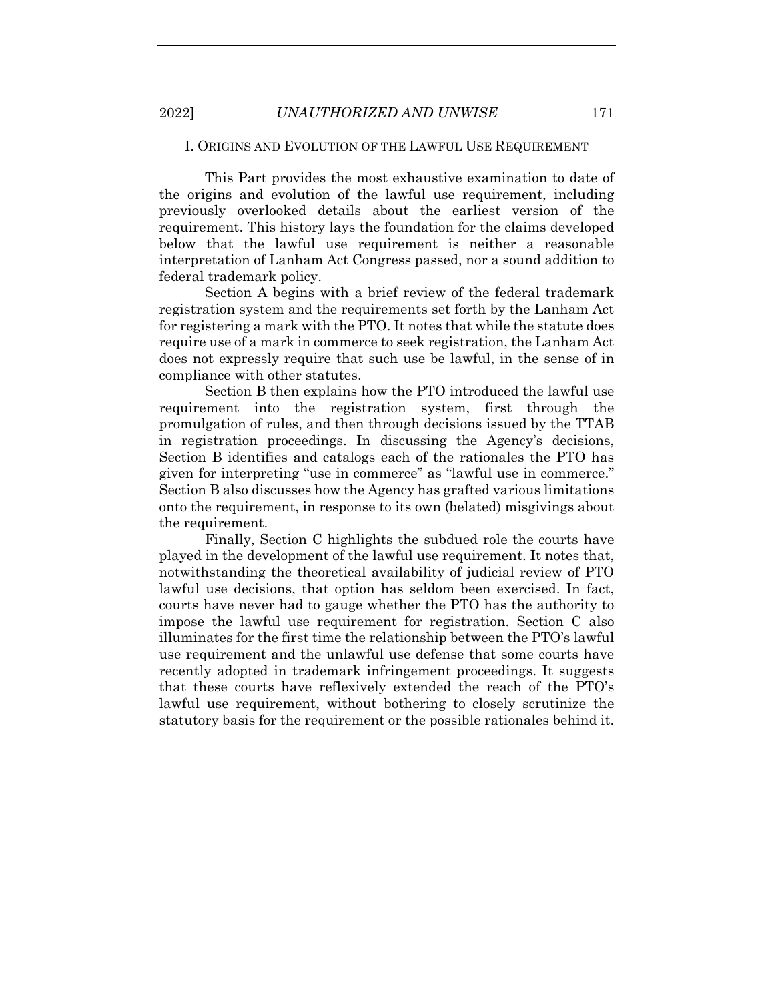#### I. ORIGINS AND EVOLUTION OF THE LAWFUL USE REQUIREMENT

This Part provides the most exhaustive examination to date of the origins and evolution of the lawful use requirement, including previously overlooked details about the earliest version of the requirement. This history lays the foundation for the claims developed below that the lawful use requirement is neither a reasonable interpretation of Lanham Act Congress passed, nor a sound addition to federal trademark policy.

Section A begins with a brief review of the federal trademark registration system and the requirements set forth by the Lanham Act for registering a mark with the PTO. It notes that while the statute does require use of a mark in commerce to seek registration, the Lanham Act does not expressly require that such use be lawful, in the sense of in compliance with other statutes.

Section B then explains how the PTO introduced the lawful use requirement into the registration system, first through the promulgation of rules, and then through decisions issued by the TTAB in registration proceedings. In discussing the Agency's decisions, Section B identifies and catalogs each of the rationales the PTO has given for interpreting "use in commerce" as "lawful use in commerce." Section B also discusses how the Agency has grafted various limitations onto the requirement, in response to its own (belated) misgivings about the requirement.

Finally, Section C highlights the subdued role the courts have played in the development of the lawful use requirement. It notes that, notwithstanding the theoretical availability of judicial review of PTO lawful use decisions, that option has seldom been exercised. In fact, courts have never had to gauge whether the PTO has the authority to impose the lawful use requirement for registration. Section C also illuminates for the first time the relationship between the PTO's lawful use requirement and the unlawful use defense that some courts have recently adopted in trademark infringement proceedings. It suggests that these courts have reflexively extended the reach of the PTO's lawful use requirement, without bothering to closely scrutinize the statutory basis for the requirement or the possible rationales behind it.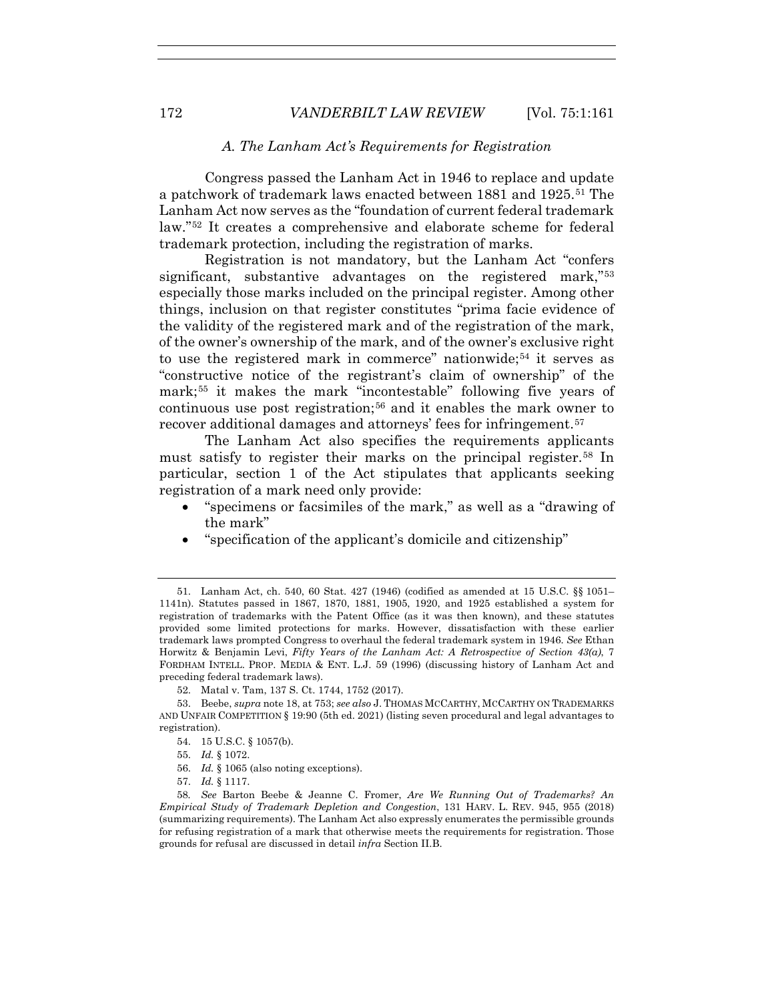# *A. The Lanham Act's Requirements for Registration*

Congress passed the Lanham Act in 1946 to replace and update a patchwork of trademark laws enacted between 1881 and 1925.51 The Lanham Act now serves as the "foundation of current federal trademark law."52 It creates a comprehensive and elaborate scheme for federal trademark protection, including the registration of marks.

Registration is not mandatory, but the Lanham Act "confers significant, substantive advantages on the registered mark,"53 especially those marks included on the principal register. Among other things, inclusion on that register constitutes "prima facie evidence of the validity of the registered mark and of the registration of the mark, of the owner's ownership of the mark, and of the owner's exclusive right to use the registered mark in commerce" nationwide;<sup>54</sup> it serves as "constructive notice of the registrant's claim of ownership" of the mark;55 it makes the mark "incontestable" following five years of continuous use post registration;<sup>56</sup> and it enables the mark owner to recover additional damages and attorneys' fees for infringement.57

The Lanham Act also specifies the requirements applicants must satisfy to register their marks on the principal register.58 In particular, section 1 of the Act stipulates that applicants seeking registration of a mark need only provide:

- "specimens or facsimiles of the mark," as well as a "drawing of the mark"
- "specification of the applicant's domicile and citizenship"

 <sup>51.</sup> Lanham Act, ch. 540, 60 Stat. 427 (1946) (codified as amended at 15 U.S.C. §§ 1051– 1141n). Statutes passed in 1867, 1870, 1881, 1905, 1920, and 1925 established a system for registration of trademarks with the Patent Office (as it was then known), and these statutes provided some limited protections for marks. However, dissatisfaction with these earlier trademark laws prompted Congress to overhaul the federal trademark system in 1946. *See* Ethan Horwitz & Benjamin Levi, *Fifty Years of the Lanham Act: A Retrospective of Section 43(a)*, 7 FORDHAM INTELL. PROP. MEDIA & ENT. L.J. 59 (1996) (discussing history of Lanham Act and preceding federal trademark laws).

 <sup>52.</sup> Matal v. Tam, 137 S. Ct. 1744, 1752 (2017).

 <sup>53.</sup> Beebe, *supra* note 18, at 753; *see also* J. THOMAS MCCARTHY, MCCARTHY ON TRADEMARKS AND UNFAIR COMPETITION § 19:90 (5th ed. 2021) (listing seven procedural and legal advantages to registration).

 <sup>54. 15</sup> U.S.C. § 1057(b).

 <sup>55.</sup> *Id.* § 1072.

 <sup>56.</sup> *Id.* § 1065 (also noting exceptions).

 <sup>57.</sup> *Id.* § 1117.

<sup>58</sup>*. See* Barton Beebe & Jeanne C. Fromer, *Are We Running Out of Trademarks? An Empirical Study of Trademark Depletion and Congestion*, 131 HARV. L. REV. 945, 955 (2018) (summarizing requirements). The Lanham Act also expressly enumerates the permissible grounds for refusing registration of a mark that otherwise meets the requirements for registration. Those grounds for refusal are discussed in detail *infra* Section II.B.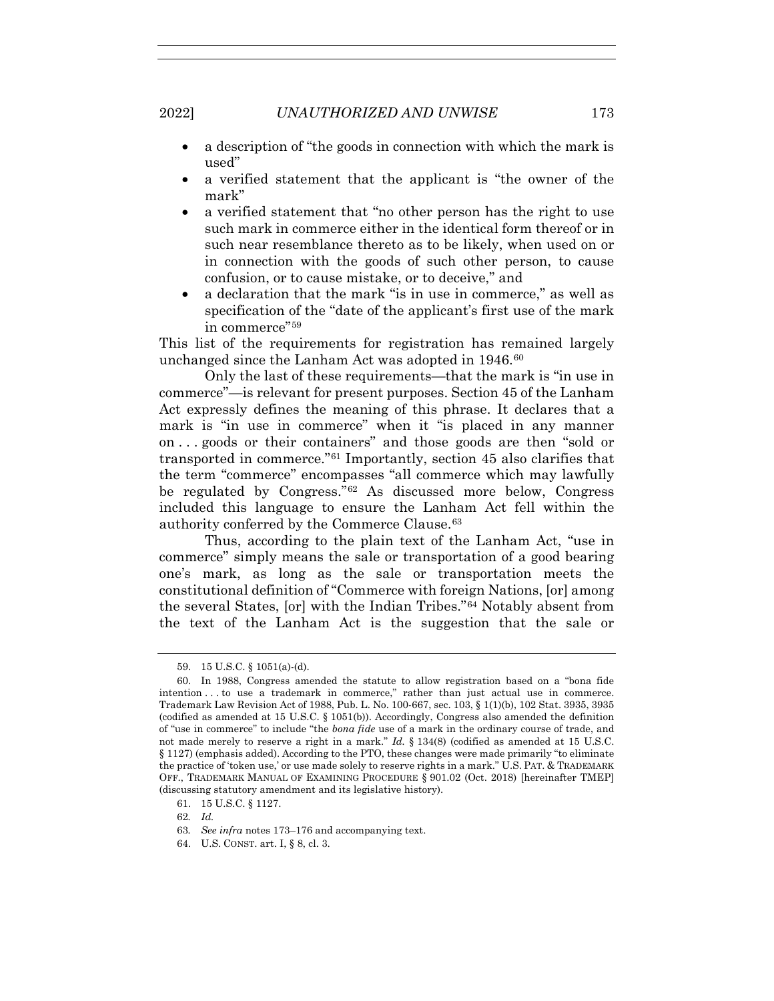- a description of "the goods in connection with which the mark is used"
- a verified statement that the applicant is "the owner of the mark"
- a verified statement that "no other person has the right to use such mark in commerce either in the identical form thereof or in such near resemblance thereto as to be likely, when used on or in connection with the goods of such other person, to cause confusion, or to cause mistake, or to deceive," and
- a declaration that the mark "is in use in commerce," as well as specification of the "date of the applicant's first use of the mark in commerce"59

This list of the requirements for registration has remained largely unchanged since the Lanham Act was adopted in 1946.<sup>60</sup>

Only the last of these requirements—that the mark is "in use in commerce"—is relevant for present purposes. Section 45 of the Lanham Act expressly defines the meaning of this phrase. It declares that a mark is "in use in commerce" when it "is placed in any manner on . . . goods or their containers" and those goods are then "sold or transported in commerce."61 Importantly, section 45 also clarifies that the term "commerce" encompasses "all commerce which may lawfully be regulated by Congress."62 As discussed more below, Congress included this language to ensure the Lanham Act fell within the authority conferred by the Commerce Clause.63

Thus, according to the plain text of the Lanham Act, "use in commerce" simply means the sale or transportation of a good bearing one's mark, as long as the sale or transportation meets the constitutional definition of "Commerce with foreign Nations, [or] among the several States, [or] with the Indian Tribes."64 Notably absent from the text of the Lanham Act is the suggestion that the sale or

64. U.S. CONST. art. I, § 8, cl. 3.

 <sup>59. 15</sup> U.S.C. § 1051(a)-(d).

 <sup>60.</sup> In 1988, Congress amended the statute to allow registration based on a "bona fide intention . . . to use a trademark in commerce," rather than just actual use in commerce. Trademark Law Revision Act of 1988, Pub. L. No. 100-667, sec. 103, § 1(1)(b), 102 Stat. 3935, 3935 (codified as amended at 15 U.S.C. § 1051(b)). Accordingly, Congress also amended the definition of "use in commerce" to include "the *bona fide* use of a mark in the ordinary course of trade, and not made merely to reserve a right in a mark." *Id.* § 134(8) (codified as amended at 15 U.S.C. § 1127) (emphasis added). According to the PTO, these changes were made primarily "to eliminate the practice of 'token use,' or use made solely to reserve rights in a mark." U.S. PAT. & TRADEMARK OFF., TRADEMARK MANUAL OF EXAMINING PROCEDURE § 901.02 (Oct. 2018) [hereinafter TMEP] (discussing statutory amendment and its legislative history).

 <sup>61. 15</sup> U.S.C. § 1127.

<sup>62</sup>*. Id.*

<sup>63</sup>*. See infra* notes 173–176 and accompanying text.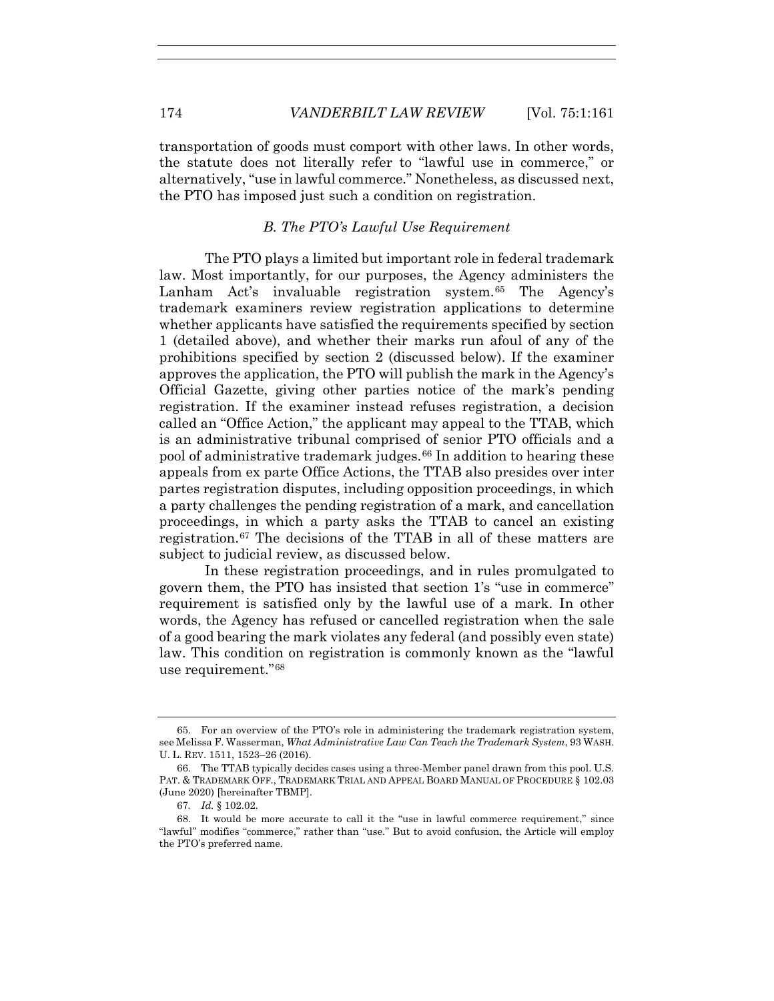transportation of goods must comport with other laws. In other words, the statute does not literally refer to "lawful use in commerce," or alternatively, "use in lawful commerce." Nonetheless, as discussed next, the PTO has imposed just such a condition on registration.

#### *B. The PTO's Lawful Use Requirement*

The PTO plays a limited but important role in federal trademark law. Most importantly, for our purposes, the Agency administers the Lanham Act's invaluable registration system.65 The Agency's trademark examiners review registration applications to determine whether applicants have satisfied the requirements specified by section 1 (detailed above), and whether their marks run afoul of any of the prohibitions specified by section 2 (discussed below). If the examiner approves the application, the PTO will publish the mark in the Agency's Official Gazette, giving other parties notice of the mark's pending registration. If the examiner instead refuses registration, a decision called an "Office Action," the applicant may appeal to the TTAB, which is an administrative tribunal comprised of senior PTO officials and a pool of administrative trademark judges.66 In addition to hearing these appeals from ex parte Office Actions, the TTAB also presides over inter partes registration disputes, including opposition proceedings, in which a party challenges the pending registration of a mark, and cancellation proceedings, in which a party asks the TTAB to cancel an existing registration.67 The decisions of the TTAB in all of these matters are subject to judicial review, as discussed below.

In these registration proceedings, and in rules promulgated to govern them, the PTO has insisted that section 1's "use in commerce" requirement is satisfied only by the lawful use of a mark. In other words, the Agency has refused or cancelled registration when the sale of a good bearing the mark violates any federal (and possibly even state) law. This condition on registration is commonly known as the "lawful use requirement."68

 <sup>65.</sup> For an overview of the PTO's role in administering the trademark registration system, see Melissa F. Wasserman, *What Administrative Law Can Teach the Trademark System*, 93 WASH. U. L. REV. 1511, 1523–26 (2016).

 <sup>66.</sup> The TTAB typically decides cases using a three-Member panel drawn from this pool. U.S. PAT. & TRADEMARK OFF., TRADEMARK TRIAL AND APPEAL BOARD MANUAL OF PROCEDURE § 102.03 (June 2020) [hereinafter TBMP].

<sup>67</sup>*. Id.* § 102.02.

 <sup>68.</sup> It would be more accurate to call it the "use in lawful commerce requirement," since "lawful" modifies "commerce," rather than "use." But to avoid confusion, the Article will employ the PTO's preferred name.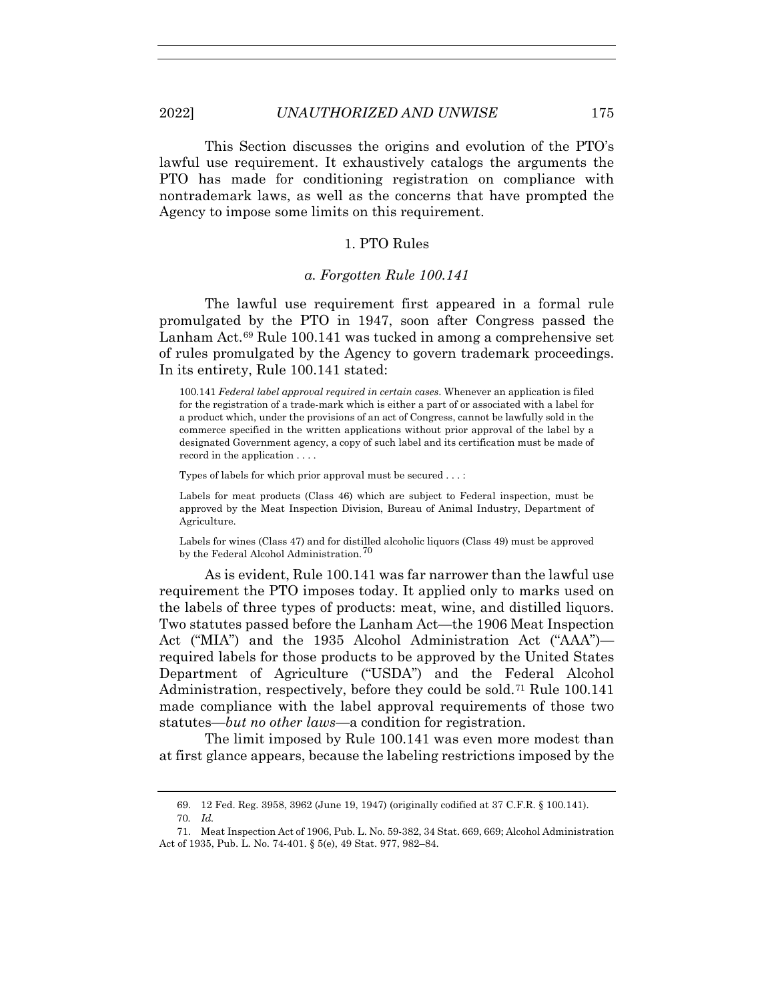This Section discusses the origins and evolution of the PTO's lawful use requirement. It exhaustively catalogs the arguments the PTO has made for conditioning registration on compliance with nontrademark laws, as well as the concerns that have prompted the Agency to impose some limits on this requirement.

#### 1. PTO Rules

#### *a. Forgotten Rule 100.141*

The lawful use requirement first appeared in a formal rule promulgated by the PTO in 1947, soon after Congress passed the Lanham Act.<sup>69</sup> Rule 100.141 was tucked in among a comprehensive set of rules promulgated by the Agency to govern trademark proceedings. In its entirety, Rule 100.141 stated:

100.141 *Federal label approval required in certain cases*. Whenever an application is filed for the registration of a trade-mark which is either a part of or associated with a label for a product which, under the provisions of an act of Congress, cannot be lawfully sold in the commerce specified in the written applications without prior approval of the label by a designated Government agency, a copy of such label and its certification must be made of record in the application . . . .

Types of labels for which prior approval must be secured . . . :

Labels for meat products (Class 46) which are subject to Federal inspection, must be approved by the Meat Inspection Division, Bureau of Animal Industry, Department of Agriculture.

Labels for wines (Class 47) and for distilled alcoholic liquors (Class 49) must be approved by the Federal Alcohol Administration.70

As is evident, Rule 100.141 was far narrower than the lawful use requirement the PTO imposes today. It applied only to marks used on the labels of three types of products: meat, wine, and distilled liquors. Two statutes passed before the Lanham Act—the 1906 Meat Inspection Act ("MIA") and the 1935 Alcohol Administration Act ("AAA") required labels for those products to be approved by the United States Department of Agriculture ("USDA") and the Federal Alcohol Administration, respectively, before they could be sold.<sup>71</sup> Rule 100.141 made compliance with the label approval requirements of those two statutes—*but no other laws*—a condition for registration.

The limit imposed by Rule 100.141 was even more modest than at first glance appears, because the labeling restrictions imposed by the

 <sup>69. 12</sup> Fed. Reg. 3958, 3962 (June 19, 1947) (originally codified at 37 C.F.R. § 100.141).

<sup>70</sup>*. Id.*

 <sup>71.</sup> Meat Inspection Act of 1906, Pub. L. No. 59-382, 34 Stat. 669, 669; Alcohol Administration Act of 1935, Pub. L. No. 74-401. § 5(e), 49 Stat. 977, 982–84.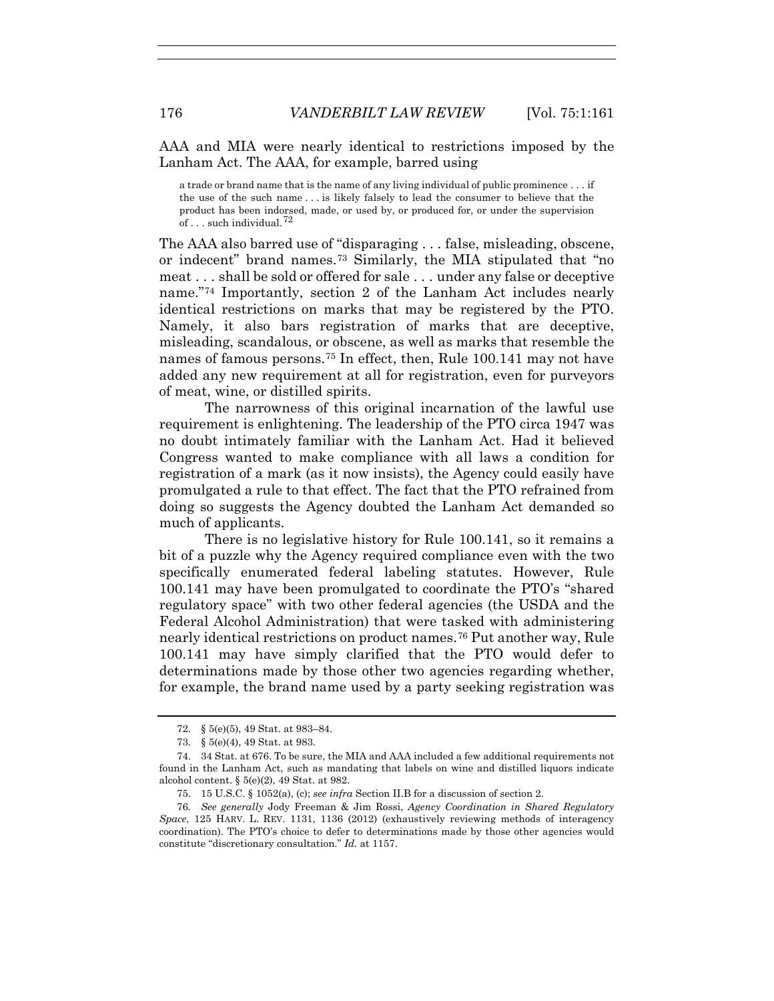AAA and MIA were nearly identical to restrictions imposed by the Lanham Act. The AAA, for example, barred using

a trade or brand name that is the name of any living individual of public prominence . . . if the use of the such name . . . is likely falsely to lead the consumer to believe that the product has been indorsed, made, or used by, or produced for, or under the supervision of  $\ldots$  such individual.<sup>72</sup>

The AAA also barred use of "disparaging . . . false, misleading, obscene, or indecent" brand names.73 Similarly, the MIA stipulated that "no meat . . . shall be sold or offered for sale . . . under any false or deceptive name."74 Importantly, section 2 of the Lanham Act includes nearly identical restrictions on marks that may be registered by the PTO. Namely, it also bars registration of marks that are deceptive, misleading, scandalous, or obscene, as well as marks that resemble the names of famous persons.75 In effect, then, Rule 100.141 may not have added any new requirement at all for registration, even for purveyors of meat, wine, or distilled spirits.

The narrowness of this original incarnation of the lawful use requirement is enlightening. The leadership of the PTO circa 1947 was no doubt intimately familiar with the Lanham Act. Had it believed Congress wanted to make compliance with all laws a condition for registration of a mark (as it now insists), the Agency could easily have promulgated a rule to that effect. The fact that the PTO refrained from doing so suggests the Agency doubted the Lanham Act demanded so much of applicants.

There is no legislative history for Rule 100.141, so it remains a bit of a puzzle why the Agency required compliance even with the two specifically enumerated federal labeling statutes. However, Rule 100.141 may have been promulgated to coordinate the PTO's "shared regulatory space" with two other federal agencies (the USDA and the Federal Alcohol Administration) that were tasked with administering nearly identical restrictions on product names.76 Put another way, Rule 100.141 may have simply clarified that the PTO would defer to determinations made by those other two agencies regarding whether, for example, the brand name used by a party seeking registration was

 <sup>72. § 5(</sup>e)(5), 49 Stat. at 983–84.

 <sup>73. § 5(</sup>e)(4), 49 Stat. at 983.

 <sup>74. 34</sup> Stat. at 676. To be sure, the MIA and AAA included a few additional requirements not found in the Lanham Act, such as mandating that labels on wine and distilled liquors indicate alcohol content. § 5(e)(2), 49 Stat. at 982.

 <sup>75. 15</sup> U.S.C. § 1052(a), (c); *see infra* Section II.B for a discussion of section 2.

<sup>76</sup>*. See generally* Jody Freeman & Jim Rossi, *Agency Coordination in Shared Regulatory Space*, 125 HARV. L. REV. 1131, 1136 (2012) (exhaustively reviewing methods of interagency coordination). The PTO's choice to defer to determinations made by those other agencies would constitute "discretionary consultation." *Id.* at 1157.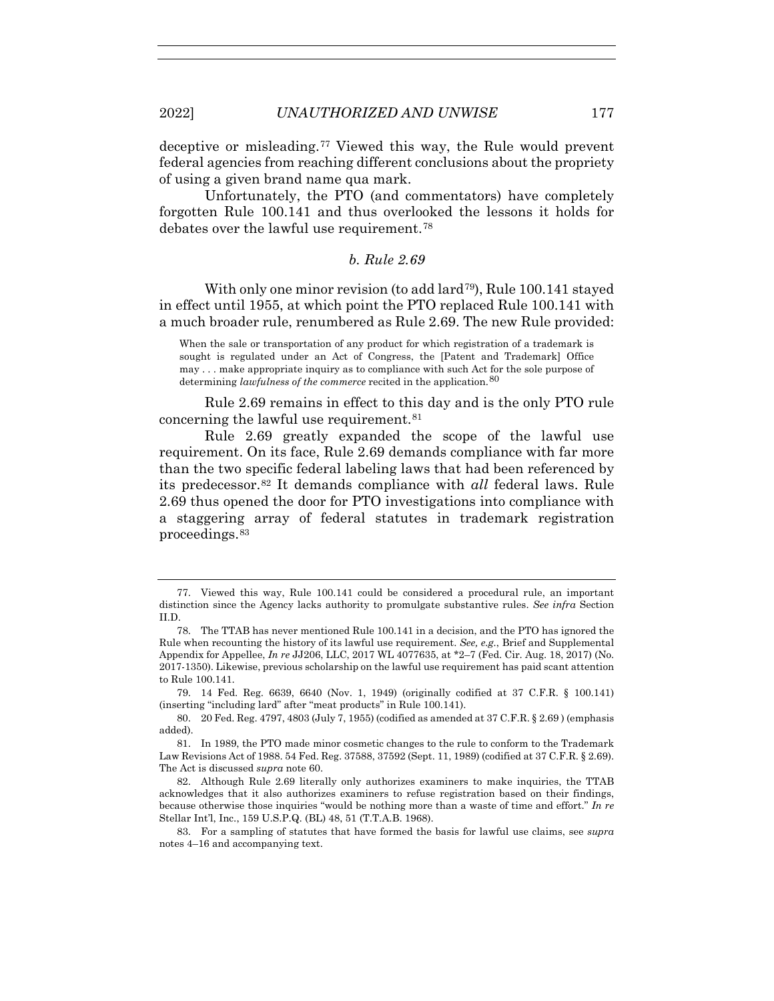deceptive or misleading.77 Viewed this way, the Rule would prevent federal agencies from reaching different conclusions about the propriety of using a given brand name qua mark.

Unfortunately, the PTO (and commentators) have completely forgotten Rule 100.141 and thus overlooked the lessons it holds for debates over the lawful use requirement.78

*b. Rule 2.69*

With only one minor revision (to add lard<sup>79</sup>), Rule 100.141 stayed in effect until 1955, at which point the PTO replaced Rule 100.141 with a much broader rule, renumbered as Rule 2.69. The new Rule provided:

When the sale or transportation of any product for which registration of a trademark is sought is regulated under an Act of Congress, the [Patent and Trademark] Office may . . . make appropriate inquiry as to compliance with such Act for the sole purpose of determining *lawfulness of the commerce* recited in the application.<sup>80</sup>

Rule 2.69 remains in effect to this day and is the only PTO rule concerning the lawful use requirement.<sup>81</sup>

Rule 2.69 greatly expanded the scope of the lawful use requirement. On its face, Rule 2.69 demands compliance with far more than the two specific federal labeling laws that had been referenced by its predecessor.82 It demands compliance with *all* federal laws. Rule 2.69 thus opened the door for PTO investigations into compliance with a staggering array of federal statutes in trademark registration proceedings.83

 <sup>77.</sup> Viewed this way, Rule 100.141 could be considered a procedural rule, an important distinction since the Agency lacks authority to promulgate substantive rules. *See infra* Section II.D.

 <sup>78.</sup> The TTAB has never mentioned Rule 100.141 in a decision, and the PTO has ignored the Rule when recounting the history of its lawful use requirement. *See, e.g.*, Brief and Supplemental Appendix for Appellee, *In re* JJ206, LLC, 2017 WL 4077635, at \*2–7 (Fed. Cir. Aug. 18, 2017) (No. 2017-1350). Likewise, previous scholarship on the lawful use requirement has paid scant attention to Rule 100.141.

 <sup>79. 14</sup> Fed. Reg. 6639, 6640 (Nov. 1, 1949) (originally codified at 37 C.F.R. § 100.141) (inserting "including lard" after "meat products" in Rule 100.141).

 <sup>80. 20</sup> Fed. Reg. 4797, 4803 (July 7, 1955) (codified as amended at 37 C.F.R. § 2.69 ) (emphasis added).

 <sup>81.</sup> In 1989, the PTO made minor cosmetic changes to the rule to conform to the Trademark Law Revisions Act of 1988. 54 Fed. Reg. 37588, 37592 (Sept. 11, 1989) (codified at 37 C.F.R. § 2.69). The Act is discussed *supra* note 60.

 <sup>82.</sup> Although Rule 2.69 literally only authorizes examiners to make inquiries, the TTAB acknowledges that it also authorizes examiners to refuse registration based on their findings, because otherwise those inquiries "would be nothing more than a waste of time and effort." *In re*  Stellar Int'l, Inc., 159 U.S.P.Q. (BL) 48, 51 (T.T.A.B. 1968).

 <sup>83.</sup> For a sampling of statutes that have formed the basis for lawful use claims, see *supra*  notes 4–16 and accompanying text.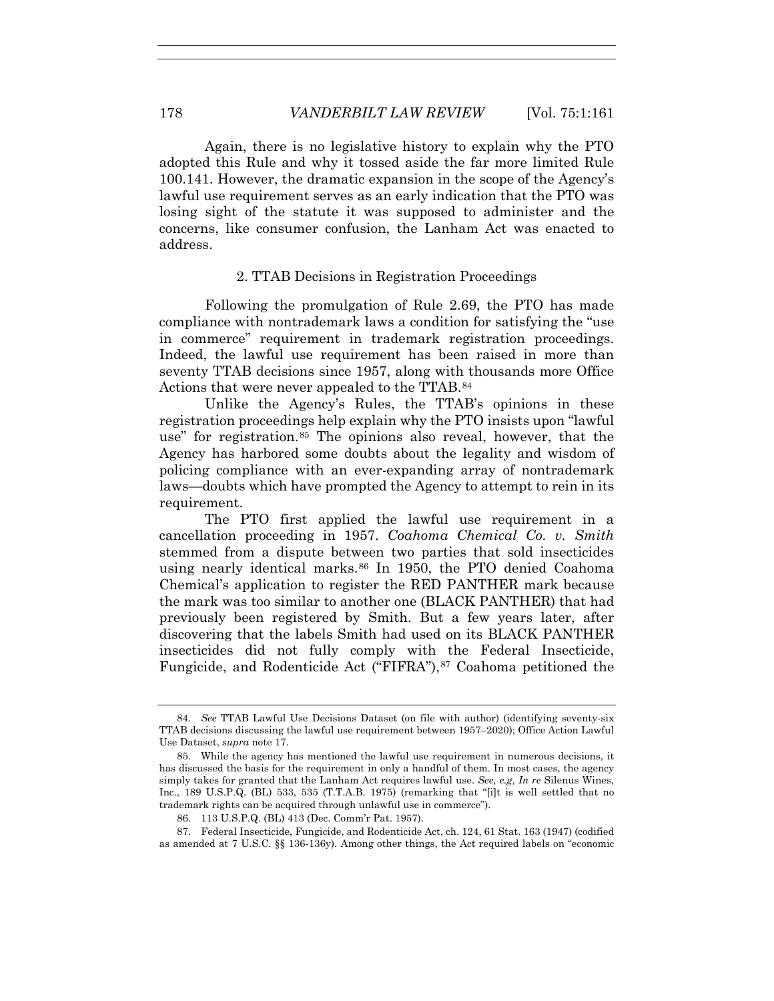Again, there is no legislative history to explain why the PTO adopted this Rule and why it tossed aside the far more limited Rule 100.141. However, the dramatic expansion in the scope of the Agency's lawful use requirement serves as an early indication that the PTO was losing sight of the statute it was supposed to administer and the concerns, like consumer confusion, the Lanham Act was enacted to address.

# 2. TTAB Decisions in Registration Proceedings

Following the promulgation of Rule 2.69, the PTO has made compliance with nontrademark laws a condition for satisfying the "use in commerce" requirement in trademark registration proceedings. Indeed, the lawful use requirement has been raised in more than seventy TTAB decisions since 1957, along with thousands more Office Actions that were never appealed to the TTAB.84

Unlike the Agency's Rules, the TTAB's opinions in these registration proceedings help explain why the PTO insists upon "lawful use" for registration.<sup>85</sup> The opinions also reveal, however, that the Agency has harbored some doubts about the legality and wisdom of policing compliance with an ever-expanding array of nontrademark laws—doubts which have prompted the Agency to attempt to rein in its requirement.

The PTO first applied the lawful use requirement in a cancellation proceeding in 1957. *Coahoma Chemical Co. v. Smith* stemmed from a dispute between two parties that sold insecticides using nearly identical marks.<sup>86</sup> In 1950, the PTO denied Coahoma Chemical's application to register the RED PANTHER mark because the mark was too similar to another one (BLACK PANTHER) that had previously been registered by Smith. But a few years later, after discovering that the labels Smith had used on its BLACK PANTHER insecticides did not fully comply with the Federal Insecticide, Fungicide, and Rodenticide Act ("FIFRA"),<sup>87</sup> Coahoma petitioned the

<sup>84</sup>*. See* TTAB Lawful Use Decisions Dataset (on file with author) (identifying seventy-six TTAB decisions discussing the lawful use requirement between 1957–2020); Office Action Lawful Use Dataset, *supra* note 17.

 <sup>85.</sup> While the agency has mentioned the lawful use requirement in numerous decisions, it has discussed the basis for the requirement in only a handful of them. In most cases, the agency simply takes for granted that the Lanham Act requires lawful use. *See, e.g*, *In re* Silenus Wines, Inc., 189 U.S.P.Q. (BL) 533, 535 (T.T.A.B. 1975) (remarking that "[i]t is well settled that no trademark rights can be acquired through unlawful use in commerce").

 <sup>86. 113</sup> U.S.P.Q. (BL) 413 (Dec. Comm'r Pat. 1957).

 <sup>87.</sup> Federal Insecticide, Fungicide, and Rodenticide Act, ch. 124, 61 Stat. 163 (1947) (codified as amended at 7 U.S.C. §§ 136-136y). Among other things, the Act required labels on "economic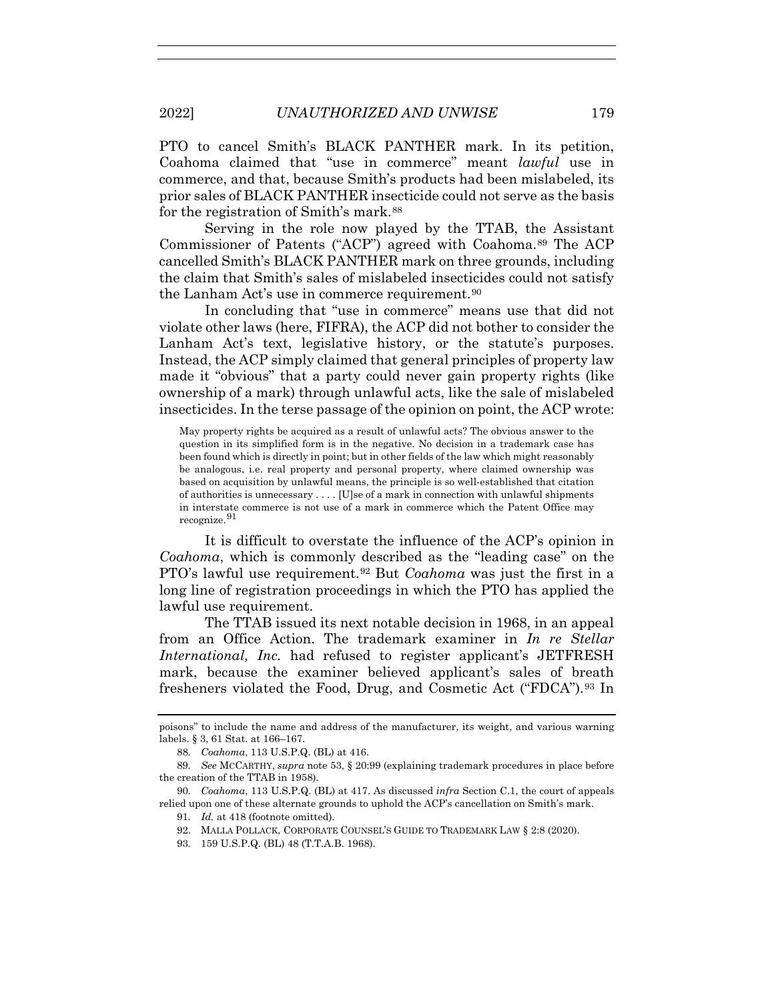PTO to cancel Smith's BLACK PANTHER mark. In its petition, Coahoma claimed that "use in commerce" meant *lawful* use in commerce, and that, because Smith's products had been mislabeled, its prior sales of BLACK PANTHER insecticide could not serve as the basis for the registration of Smith's mark.<sup>88</sup>

Serving in the role now played by the TTAB, the Assistant Commissioner of Patents ("ACP") agreed with Coahoma.<sup>89</sup> The ACP cancelled Smith's BLACK PANTHER mark on three grounds, including the claim that Smith's sales of mislabeled insecticides could not satisfy the Lanham Act's use in commerce requirement.<sup>90</sup>

In concluding that "use in commerce" means use that did not violate other laws (here, FIFRA), the ACP did not bother to consider the Lanham Act's text, legislative history, or the statute's purposes. Instead, the ACP simply claimed that general principles of property law made it "obvious" that a party could never gain property rights (like ownership of a mark) through unlawful acts, like the sale of mislabeled insecticides. In the terse passage of the opinion on point, the ACP wrote:

May property rights be acquired as a result of unlawful acts? The obvious answer to the question in its simplified form is in the negative. No decision in a trademark case has been found which is directly in point; but in other fields of the law which might reasonably be analogous, i.e. real property and personal property, where claimed ownership was based on acquisition by unlawful means, the principle is so well-established that citation of authorities is unnecessary . . . . [U]se of a mark in connection with unlawful shipments in interstate commerce is not use of a mark in commerce which the Patent Office may recognize.<sup>91</sup>

It is difficult to overstate the influence of the ACP's opinion in *Coahoma*, which is commonly described as the "leading case" on the PTO's lawful use requirement.92 But *Coahoma* was just the first in a long line of registration proceedings in which the PTO has applied the lawful use requirement.

The TTAB issued its next notable decision in 1968, in an appeal from an Office Action. The trademark examiner in *In re Stellar International, Inc.* had refused to register applicant's JETFRESH mark, because the examiner believed applicant's sales of breath fresheners violated the Food, Drug, and Cosmetic Act ("FDCA").93 In

poisons" to include the name and address of the manufacturer, its weight, and various warning labels. § 3, 61 Stat. at 166–167.

<sup>88</sup>*. Coahoma*, 113 U.S.P.Q. (BL) at 416.

<sup>89</sup>*. See* MCCARTHY, *supra* note 53, § 20:99 (explaining trademark procedures in place before the creation of the TTAB in 1958).

<sup>90</sup>*. Coahoma*, 113 U.S.P.Q. (BL) at 417. As discussed *infra* Section C.1, the court of appeals relied upon one of these alternate grounds to uphold the ACP's cancellation on Smith's mark.

<sup>91</sup>*. Id.* at 418 (footnote omitted).

 <sup>92.</sup> MALLA POLLACK, CORPORATE COUNSEL'S GUIDE TO TRADEMARK LAW § 2:8 (2020).

<sup>93</sup>*.* 159 U.S.P.Q. (BL) 48 (T.T.A.B. 1968).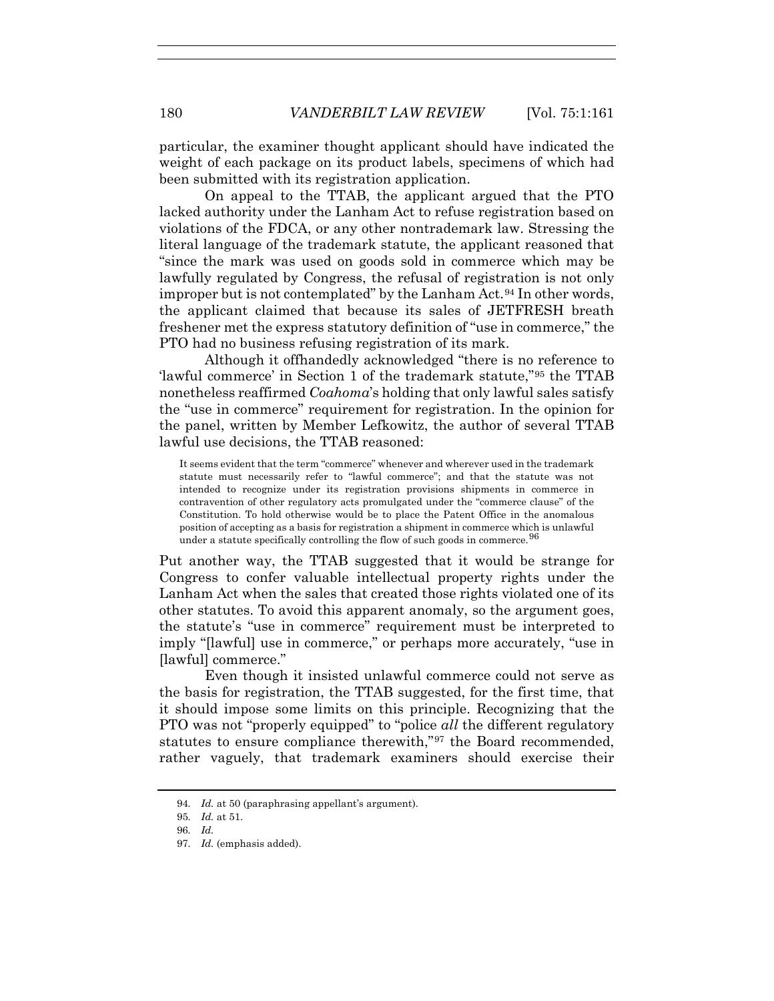particular, the examiner thought applicant should have indicated the weight of each package on its product labels, specimens of which had been submitted with its registration application.

On appeal to the TTAB, the applicant argued that the PTO lacked authority under the Lanham Act to refuse registration based on violations of the FDCA, or any other nontrademark law. Stressing the literal language of the trademark statute, the applicant reasoned that "since the mark was used on goods sold in commerce which may be lawfully regulated by Congress, the refusal of registration is not only improper but is not contemplated" by the Lanham Act.<sup>94</sup> In other words, the applicant claimed that because its sales of JETFRESH breath freshener met the express statutory definition of "use in commerce," the PTO had no business refusing registration of its mark.

Although it offhandedly acknowledged "there is no reference to 'lawful commerce' in Section 1 of the trademark statute,"95 the TTAB nonetheless reaffirmed *Coahoma*'s holding that only lawful sales satisfy the "use in commerce" requirement for registration. In the opinion for the panel, written by Member Lefkowitz, the author of several TTAB lawful use decisions, the TTAB reasoned:

It seems evident that the term "commerce" whenever and wherever used in the trademark statute must necessarily refer to "lawful commerce"; and that the statute was not intended to recognize under its registration provisions shipments in commerce in contravention of other regulatory acts promulgated under the "commerce clause" of the Constitution. To hold otherwise would be to place the Patent Office in the anomalous position of accepting as a basis for registration a shipment in commerce which is unlawful under a statute specifically controlling the flow of such goods in commerce.<sup>96</sup>

Put another way, the TTAB suggested that it would be strange for Congress to confer valuable intellectual property rights under the Lanham Act when the sales that created those rights violated one of its other statutes. To avoid this apparent anomaly, so the argument goes, the statute's "use in commerce" requirement must be interpreted to imply "[lawful] use in commerce," or perhaps more accurately, "use in [lawful] commerce."

Even though it insisted unlawful commerce could not serve as the basis for registration, the TTAB suggested, for the first time, that it should impose some limits on this principle. Recognizing that the PTO was not "properly equipped" to "police *all* the different regulatory statutes to ensure compliance therewith,"97 the Board recommended, rather vaguely, that trademark examiners should exercise their

<sup>94</sup>*. Id.* at 50 (paraphrasing appellant's argument).

<sup>95</sup>*. Id.* at 51.

<sup>96</sup>*. Id.* 

<sup>97</sup>*. Id.* (emphasis added).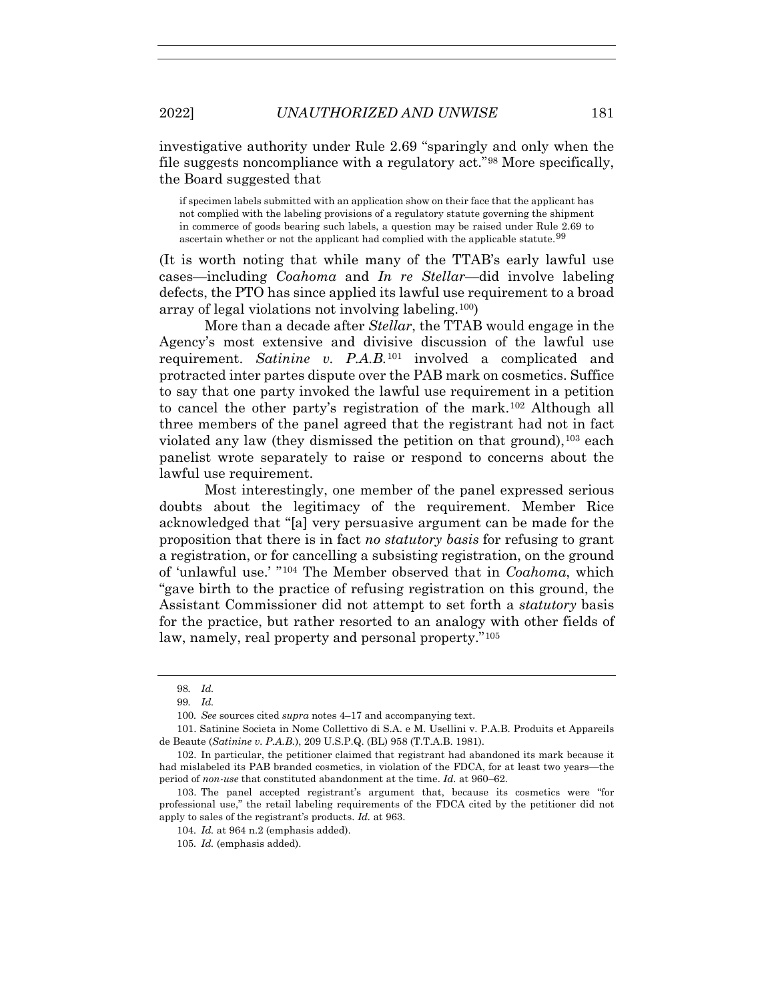investigative authority under Rule 2.69 "sparingly and only when the file suggests noncompliance with a regulatory act."98 More specifically, the Board suggested that

if specimen labels submitted with an application show on their face that the applicant has not complied with the labeling provisions of a regulatory statute governing the shipment in commerce of goods bearing such labels, a question may be raised under Rule 2.69 to ascertain whether or not the applicant had complied with the applicable statute.<sup>99</sup>

(It is worth noting that while many of the TTAB's early lawful use cases—including *Coahoma* and *In re Stellar*—did involve labeling defects, the PTO has since applied its lawful use requirement to a broad array of legal violations not involving labeling.100)

More than a decade after *Stellar*, the TTAB would engage in the Agency's most extensive and divisive discussion of the lawful use requirement. *Satinine v. P.A.B.*<sup>101</sup> involved a complicated and protracted inter partes dispute over the PAB mark on cosmetics. Suffice to say that one party invoked the lawful use requirement in a petition to cancel the other party's registration of the mark.102 Although all three members of the panel agreed that the registrant had not in fact violated any law (they dismissed the petition on that ground),  $^{103}$  each panelist wrote separately to raise or respond to concerns about the lawful use requirement.

Most interestingly, one member of the panel expressed serious doubts about the legitimacy of the requirement. Member Rice acknowledged that "[a] very persuasive argument can be made for the proposition that there is in fact *no statutory basis* for refusing to grant a registration, or for cancelling a subsisting registration, on the ground of 'unlawful use.' "104 The Member observed that in *Coahoma*, which "gave birth to the practice of refusing registration on this ground, the Assistant Commissioner did not attempt to set forth a *statutory* basis for the practice, but rather resorted to an analogy with other fields of law, namely, real property and personal property."105

 103. The panel accepted registrant's argument that, because its cosmetics were "for professional use," the retail labeling requirements of the FDCA cited by the petitioner did not apply to sales of the registrant's products. *Id.* at 963.

<sup>98</sup>*. Id.*

<sup>99</sup>*. Id.*

<sup>100</sup>*. See* sources cited *supra* notes 4–17 and accompanying text.

 <sup>101.</sup> Satinine Societa in Nome Collettivo di S.A. e M. Usellini v. P.A.B. Produits et Appareils de Beaute (*Satinine v. P.A.B.*), 209 U.S.P.Q. (BL) 958 (T.T.A.B. 1981).

 <sup>102.</sup> In particular, the petitioner claimed that registrant had abandoned its mark because it had mislabeled its PAB branded cosmetics, in violation of the FDCA, for at least two years—the period of *non-use* that constituted abandonment at the time. *Id.* at 960–62.

<sup>104</sup>*. Id.* at 964 n.2 (emphasis added).

<sup>105</sup>*. Id.* (emphasis added).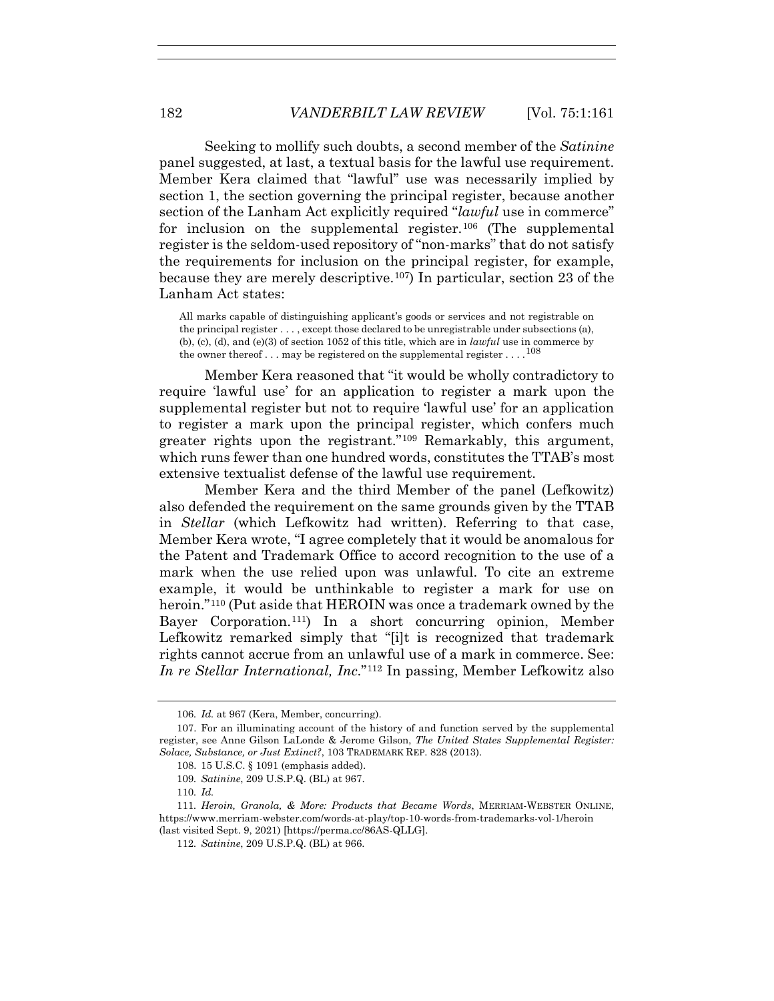Seeking to mollify such doubts, a second member of the *Satinine* panel suggested, at last, a textual basis for the lawful use requirement. Member Kera claimed that "lawful" use was necessarily implied by section 1, the section governing the principal register, because another section of the Lanham Act explicitly required "*lawful* use in commerce" for inclusion on the supplemental register.<sup>106</sup> (The supplemental register is the seldom-used repository of "non-marks" that do not satisfy the requirements for inclusion on the principal register, for example, because they are merely descriptive.107) In particular, section 23 of the Lanham Act states:

All marks capable of distinguishing applicant's goods or services and not registrable on the principal register . . . , except those declared to be unregistrable under subsections (a), (b), (c), (d), and (e)(3) of section 1052 of this title, which are in *lawful* use in commerce by the owner thereof . . . may be registered on the supplemental register . . . .<sup>108</sup>

Member Kera reasoned that "it would be wholly contradictory to require 'lawful use' for an application to register a mark upon the supplemental register but not to require 'lawful use' for an application to register a mark upon the principal register, which confers much greater rights upon the registrant."109 Remarkably, this argument, which runs fewer than one hundred words, constitutes the TTAB's most extensive textualist defense of the lawful use requirement.

Member Kera and the third Member of the panel (Lefkowitz) also defended the requirement on the same grounds given by the TTAB in *Stellar* (which Lefkowitz had written). Referring to that case, Member Kera wrote, "I agree completely that it would be anomalous for the Patent and Trademark Office to accord recognition to the use of a mark when the use relied upon was unlawful. To cite an extreme example, it would be unthinkable to register a mark for use on heroin."<sup>110</sup> (Put aside that HEROIN was once a trademark owned by the Bayer Corporation.111) In a short concurring opinion, Member Lefkowitz remarked simply that "[i]t is recognized that trademark rights cannot accrue from an unlawful use of a mark in commerce. See: *In re Stellar International, Inc*."112 In passing, Member Lefkowitz also

<sup>106</sup>*. Id.* at 967 (Kera, Member, concurring).

 <sup>107.</sup> For an illuminating account of the history of and function served by the supplemental register, see Anne Gilson LaLonde & Jerome Gilson, *The United States Supplemental Register: Solace, Substance, or Just Extinct?*, 103 TRADEMARK REP. 828 (2013).

 <sup>108. 15</sup> U.S.C. § 1091 (emphasis added).

<sup>109</sup>*. Satinine*, 209 U.S.P.Q. (BL) at 967.

<sup>110</sup>*. Id.*

<sup>111</sup>*. Heroin, Granola, & More: Products that Became Words*, MERRIAM-WEBSTER ONLINE, https://www.merriam-webster.com/words-at-play/top-10-words-from-trademarks-vol-1/heroin (last visited Sept. 9, 2021) [https://perma.cc/86AS-QLLG].

<sup>112</sup>*. Satinine*, 209 U.S.P.Q. (BL) at 966.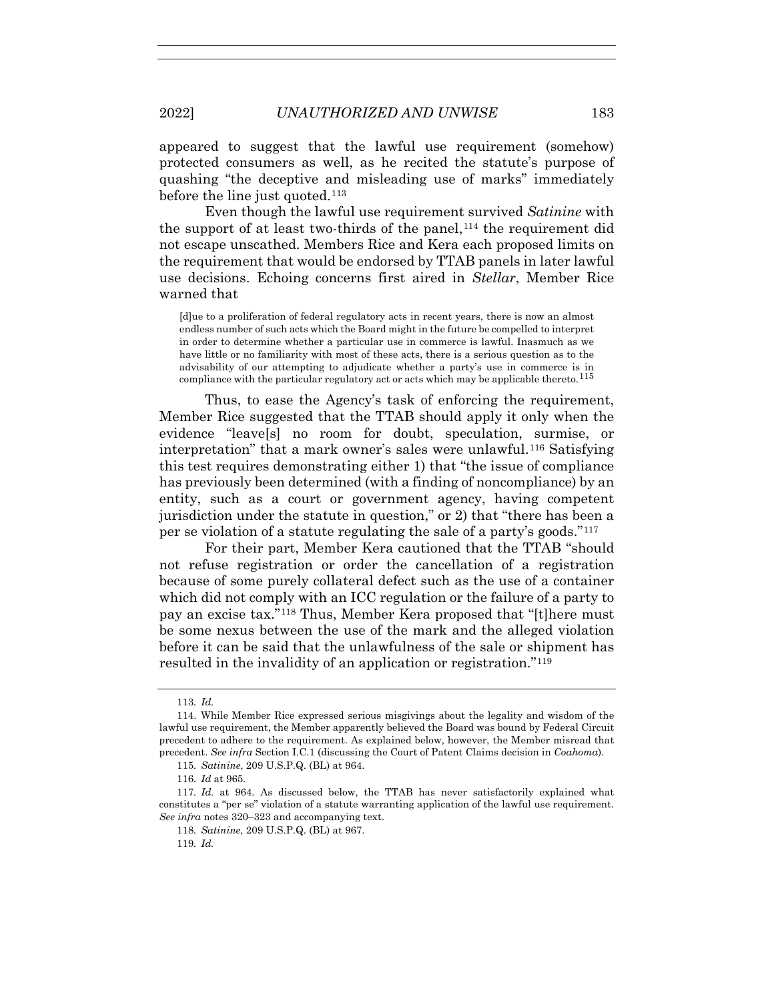appeared to suggest that the lawful use requirement (somehow) protected consumers as well, as he recited the statute's purpose of quashing "the deceptive and misleading use of marks" immediately before the line just quoted.<sup>113</sup>

Even though the lawful use requirement survived *Satinine* with the support of at least two-thirds of the panel,  $114$  the requirement did not escape unscathed. Members Rice and Kera each proposed limits on the requirement that would be endorsed by TTAB panels in later lawful use decisions. Echoing concerns first aired in *Stellar*, Member Rice warned that

[d]ue to a proliferation of federal regulatory acts in recent years, there is now an almost endless number of such acts which the Board might in the future be compelled to interpret in order to determine whether a particular use in commerce is lawful. Inasmuch as we have little or no familiarity with most of these acts, there is a serious question as to the advisability of our attempting to adjudicate whether a party's use in commerce is in compliance with the particular regulatory act or acts which may be applicable thereto.<sup>115</sup>

Thus, to ease the Agency's task of enforcing the requirement, Member Rice suggested that the TTAB should apply it only when the evidence "leave[s] no room for doubt, speculation, surmise, or interpretation" that a mark owner's sales were unlawful.116 Satisfying this test requires demonstrating either 1) that "the issue of compliance has previously been determined (with a finding of noncompliance) by an entity, such as a court or government agency, having competent jurisdiction under the statute in question," or 2) that "there has been a per se violation of a statute regulating the sale of a party's goods."117

For their part, Member Kera cautioned that the TTAB "should not refuse registration or order the cancellation of a registration because of some purely collateral defect such as the use of a container which did not comply with an ICC regulation or the failure of a party to pay an excise tax."118 Thus, Member Kera proposed that "[t]here must be some nexus between the use of the mark and the alleged violation before it can be said that the unlawfulness of the sale or shipment has resulted in the invalidity of an application or registration."119

119*. Id.*

<sup>113</sup>*. Id.*

 <sup>114.</sup> While Member Rice expressed serious misgivings about the legality and wisdom of the lawful use requirement, the Member apparently believed the Board was bound by Federal Circuit precedent to adhere to the requirement. As explained below, however, the Member misread that precedent. *See infra* Section I.C.1 (discussing the Court of Patent Claims decision in *Coahoma*).

<sup>115</sup>*. Satinine*, 209 U.S.P.Q. (BL) at 964.

<sup>116</sup>*. Id* at 965*.*

<sup>117</sup>*. Id.* at 964. As discussed below, the TTAB has never satisfactorily explained what constitutes a "per se" violation of a statute warranting application of the lawful use requirement. *See infra* notes 320–323 and accompanying text.

<sup>118</sup>*. Satinine*, 209 U.S.P.Q. (BL) at 967.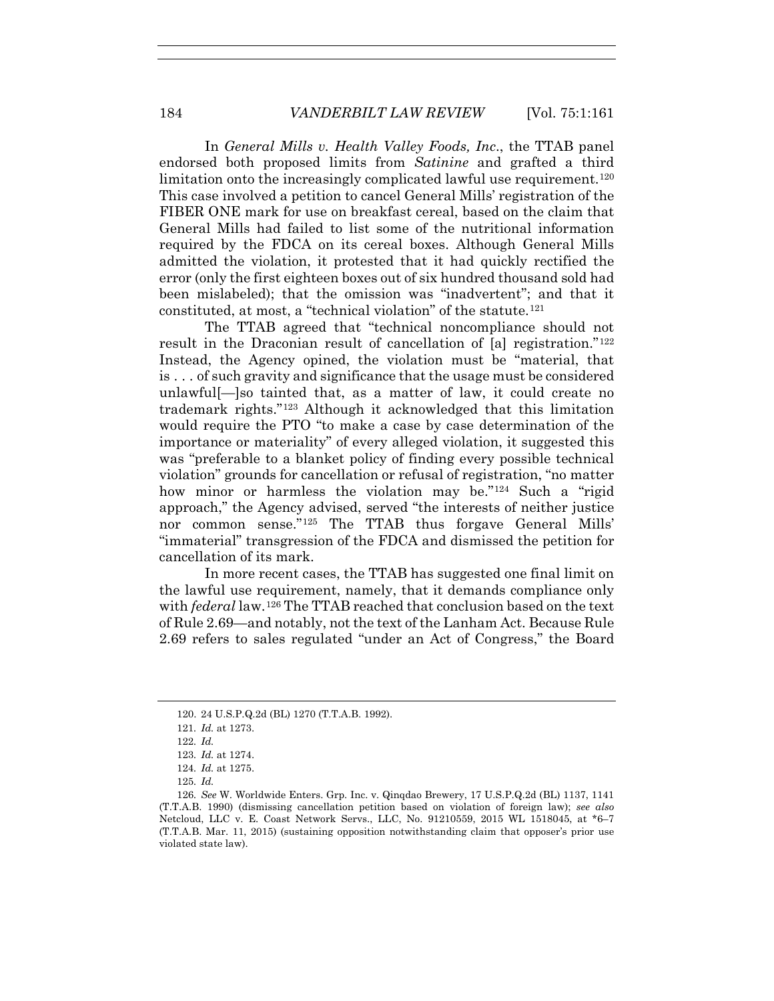In *General Mills v. Health Valley Foods, Inc*., the TTAB panel endorsed both proposed limits from *Satinine* and grafted a third limitation onto the increasingly complicated lawful use requirement.<sup>120</sup> This case involved a petition to cancel General Mills' registration of the FIBER ONE mark for use on breakfast cereal, based on the claim that General Mills had failed to list some of the nutritional information required by the FDCA on its cereal boxes. Although General Mills admitted the violation, it protested that it had quickly rectified the error (only the first eighteen boxes out of six hundred thousand sold had been mislabeled); that the omission was "inadvertent"; and that it constituted, at most, a "technical violation" of the statute. $121$ 

The TTAB agreed that "technical noncompliance should not result in the Draconian result of cancellation of [a] registration."122 Instead, the Agency opined, the violation must be "material, that is . . . of such gravity and significance that the usage must be considered unlawful[—]so tainted that, as a matter of law, it could create no trademark rights."123 Although it acknowledged that this limitation would require the PTO "to make a case by case determination of the importance or materiality" of every alleged violation, it suggested this was "preferable to a blanket policy of finding every possible technical violation" grounds for cancellation or refusal of registration, "no matter how minor or harmless the violation may be."<sup>124</sup> Such a "rigid" approach," the Agency advised, served "the interests of neither justice nor common sense."125 The TTAB thus forgave General Mills' "immaterial" transgression of the FDCA and dismissed the petition for cancellation of its mark.

In more recent cases, the TTAB has suggested one final limit on the lawful use requirement, namely, that it demands compliance only with *federal* law.126 The TTAB reached that conclusion based on the text of Rule 2.69—and notably, not the text of the Lanham Act. Because Rule 2.69 refers to sales regulated "under an Act of Congress," the Board

 <sup>120. 24</sup> U.S.P.Q.2d (BL) 1270 (T.T.A.B. 1992).

<sup>121</sup>*. Id.* at 1273.

<sup>122</sup>*. Id.*

<sup>123</sup>*. Id.* at 1274.

<sup>124</sup>*. Id.* at 1275.

<sup>125</sup>*. Id.*

<sup>126</sup>*. See* W. Worldwide Enters. Grp. Inc. v. Qinqdao Brewery, 17 U.S.P.Q.2d (BL) 1137, 1141 (T.T.A.B. 1990) (dismissing cancellation petition based on violation of foreign law); *see also* Netcloud, LLC v. E. Coast Network Servs., LLC, No. 91210559, 2015 WL 1518045, at \*6–7 (T.T.A.B. Mar. 11, 2015) (sustaining opposition notwithstanding claim that opposer's prior use violated state law).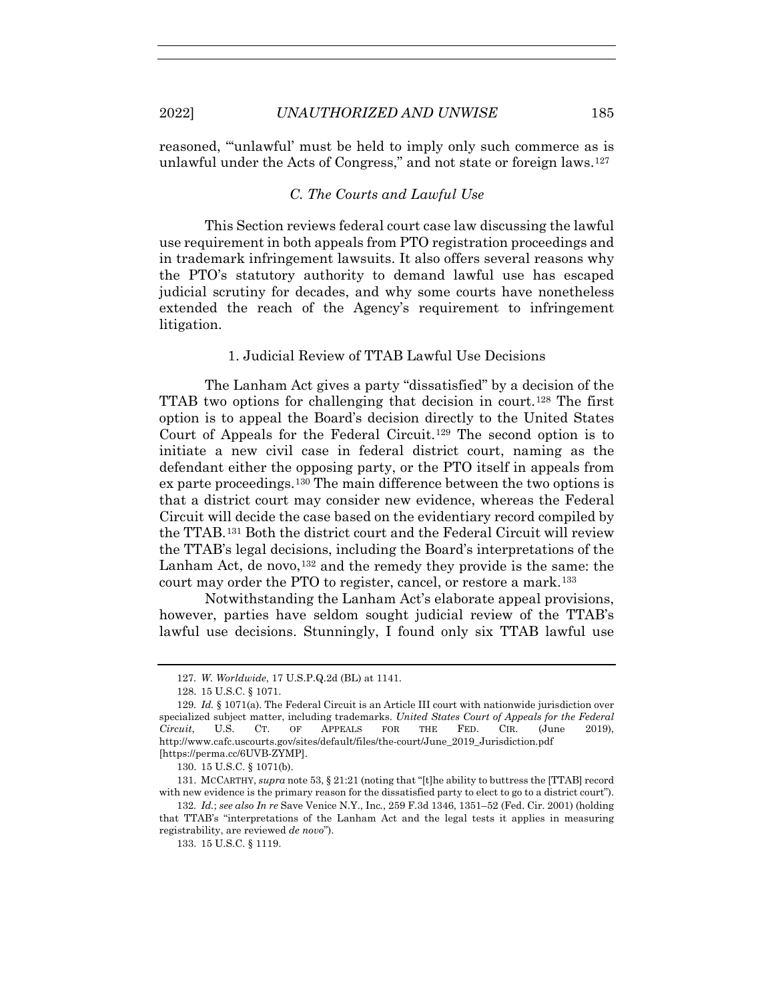reasoned, "'unlawful' must be held to imply only such commerce as is unlawful under the Acts of Congress," and not state or foreign laws.127

# *C. The Courts and Lawful Use*

This Section reviews federal court case law discussing the lawful use requirement in both appeals from PTO registration proceedings and in trademark infringement lawsuits. It also offers several reasons why the PTO's statutory authority to demand lawful use has escaped judicial scrutiny for decades, and why some courts have nonetheless extended the reach of the Agency's requirement to infringement litigation.

1. Judicial Review of TTAB Lawful Use Decisions

The Lanham Act gives a party "dissatisfied" by a decision of the TTAB two options for challenging that decision in court.128 The first option is to appeal the Board's decision directly to the United States Court of Appeals for the Federal Circuit.129 The second option is to initiate a new civil case in federal district court, naming as the defendant either the opposing party, or the PTO itself in appeals from ex parte proceedings.130 The main difference between the two options is that a district court may consider new evidence, whereas the Federal Circuit will decide the case based on the evidentiary record compiled by the TTAB.131 Both the district court and the Federal Circuit will review the TTAB's legal decisions, including the Board's interpretations of the Lanham Act, de novo,  $132$  and the remedy they provide is the same: the court may order the PTO to register, cancel, or restore a mark.133

Notwithstanding the Lanham Act's elaborate appeal provisions, however, parties have seldom sought judicial review of the TTAB's lawful use decisions. Stunningly, I found only six TTAB lawful use

133. 15 U.S.C. § 1119.

<sup>127</sup>*. W. Worldwide*, 17 U.S.P.Q.2d (BL) at 1141.

 <sup>128. 15</sup> U.S.C. § 1071.

<sup>129</sup>*. Id.* § 1071(a). The Federal Circuit is an Article III court with nationwide jurisdiction over specialized subject matter, including trademarks. *United States Court of Appeals for the Federal Circuit*, U.S. CT. OF APPEALS FOR THE FED. CIR. (June 2019), http://www.cafc.uscourts.gov/sites/default/files/the-court/June\_2019\_Jurisdiction.pdf [https://perma.cc/6UVB-ZYMP].

 <sup>130. 15</sup> U.S.C. § 1071(b).

 <sup>131.</sup> MCCARTHY, *supra* note 53, § 21:21 (noting that "[t]he ability to buttress the [TTAB] record with new evidence is the primary reason for the dissatisfied party to elect to go to a district court").

<sup>132</sup>*. Id.*; *see also In re* Save Venice N.Y., Inc*.*, 259 F.3d 1346, 1351–52 (Fed. Cir. 2001) (holding that TTAB's "interpretations of the Lanham Act and the legal tests it applies in measuring registrability, are reviewed *de novo*").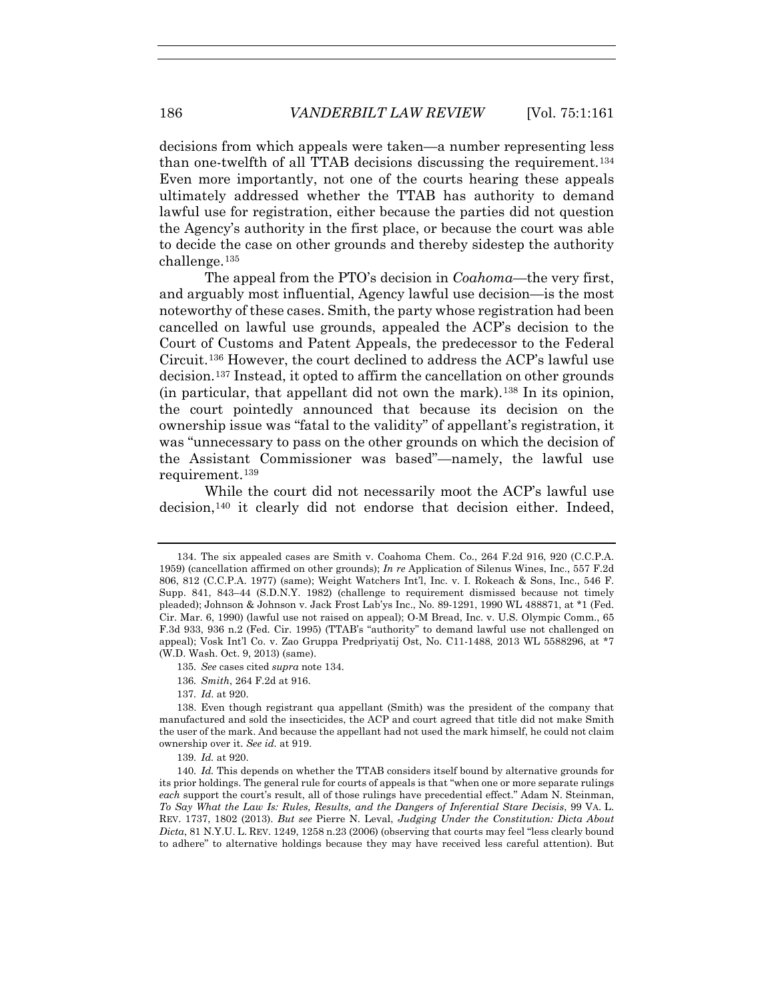decisions from which appeals were taken—a number representing less than one-twelfth of all TTAB decisions discussing the requirement.134 Even more importantly, not one of the courts hearing these appeals ultimately addressed whether the TTAB has authority to demand lawful use for registration, either because the parties did not question the Agency's authority in the first place, or because the court was able to decide the case on other grounds and thereby sidestep the authority challenge.135

The appeal from the PTO's decision in *Coahoma*—the very first, and arguably most influential, Agency lawful use decision—is the most noteworthy of these cases. Smith, the party whose registration had been cancelled on lawful use grounds, appealed the ACP's decision to the Court of Customs and Patent Appeals, the predecessor to the Federal Circuit.136 However, the court declined to address the ACP's lawful use decision.137 Instead, it opted to affirm the cancellation on other grounds (in particular, that appellant did not own the mark).138 In its opinion, the court pointedly announced that because its decision on the ownership issue was "fatal to the validity" of appellant's registration, it was "unnecessary to pass on the other grounds on which the decision of the Assistant Commissioner was based"—namely, the lawful use requirement.<sup>139</sup>

While the court did not necessarily moot the ACP's lawful use decision,140 it clearly did not endorse that decision either. Indeed,

137*. Id*. at 920.

 <sup>134.</sup> The six appealed cases are Smith v. Coahoma Chem. Co., 264 F.2d 916, 920 (C.C.P.A. 1959) (cancellation affirmed on other grounds); *In re* Application of Silenus Wines, Inc., 557 F.2d 806, 812 (C.C.P.A. 1977) (same); Weight Watchers Int'l, Inc. v. I. Rokeach & Sons, Inc., 546 F. Supp. 841, 843–44 (S.D.N.Y. 1982) (challenge to requirement dismissed because not timely pleaded); Johnson & Johnson v. Jack Frost Lab'ys Inc., No. 89-1291, 1990 WL 488871, at \*1 (Fed. Cir. Mar. 6, 1990) (lawful use not raised on appeal); O-M Bread, Inc. v. U.S. Olympic Comm., 65 F.3d 933, 936 n.2 (Fed. Cir. 1995) (TTAB's "authority" to demand lawful use not challenged on appeal); Vosk Int'l Co. v. Zao Gruppa Predpriyatij Ost, No. C11-1488, 2013 WL 5588296, at \*7 (W.D. Wash. Oct. 9, 2013) (same).

<sup>135</sup>*. See* cases cited *supra* note 134.

<sup>136</sup>*. Smith*, 264 F.2d at 916.

 <sup>138.</sup> Even though registrant qua appellant (Smith) was the president of the company that manufactured and sold the insecticides, the ACP and court agreed that title did not make Smith the user of the mark. And because the appellant had not used the mark himself, he could not claim ownership over it. *See id.* at 919.

<sup>139</sup>*. Id.* at 920.

<sup>140</sup>*. Id.* This depends on whether the TTAB considers itself bound by alternative grounds for its prior holdings. The general rule for courts of appeals is that "when one or more separate rulings *each* support the court's result, all of those rulings have precedential effect." Adam N. Steinman, *To Say What the Law Is: Rules, Results, and the Dangers of Inferential Stare Decisis*, 99 VA. L. REV. 1737, 1802 (2013). *But see* Pierre N. Leval, *Judging Under the Constitution: Dicta About Dicta*, 81 N.Y.U. L. REV. 1249, 1258 n.23 (2006) (observing that courts may feel "less clearly bound to adhere" to alternative holdings because they may have received less careful attention). But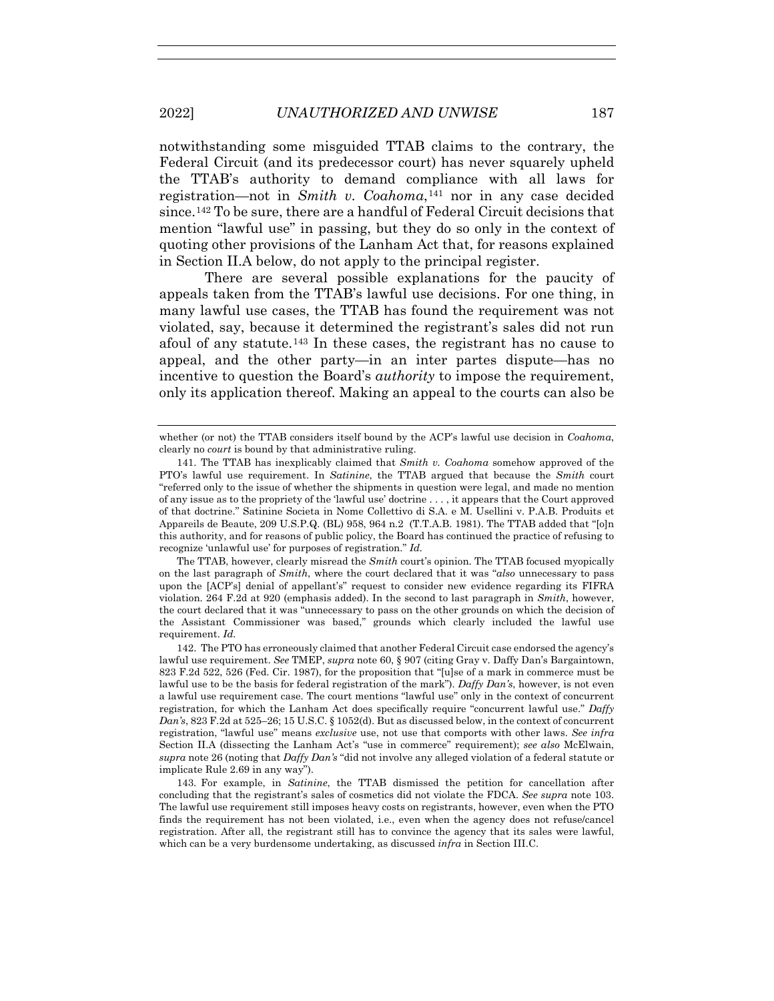notwithstanding some misguided TTAB claims to the contrary, the Federal Circuit (and its predecessor court) has never squarely upheld the TTAB's authority to demand compliance with all laws for registration—not in *Smith v. Coahoma*,141 nor in any case decided since.142 To be sure, there are a handful of Federal Circuit decisions that mention "lawful use" in passing, but they do so only in the context of quoting other provisions of the Lanham Act that, for reasons explained in Section II.A below, do not apply to the principal register.

There are several possible explanations for the paucity of appeals taken from the TTAB's lawful use decisions. For one thing, in many lawful use cases, the TTAB has found the requirement was not violated, say, because it determined the registrant's sales did not run afoul of any statute.143 In these cases, the registrant has no cause to appeal, and the other party—in an inter partes dispute—has no incentive to question the Board's *authority* to impose the requirement, only its application thereof. Making an appeal to the courts can also be

 The TTAB, however, clearly misread the *Smith* court's opinion. The TTAB focused myopically on the last paragraph of *Smith*, where the court declared that it was "*also* unnecessary to pass upon the [ACP's] denial of appellant's" request to consider new evidence regarding its FIFRA violation. 264 F.2d at 920 (emphasis added). In the second to last paragraph in *Smith*, however, the court declared that it was "unnecessary to pass on the other grounds on which the decision of the Assistant Commissioner was based," grounds which clearly included the lawful use requirement. *Id.*

 142. The PTO has erroneously claimed that another Federal Circuit case endorsed the agency's lawful use requirement. *See* TMEP, *supra* note 60, § 907 (citing Gray v. Daffy Dan's Bargaintown, 823 F.2d 522, 526 (Fed. Cir. 1987), for the proposition that "[u]se of a mark in commerce must be lawful use to be the basis for federal registration of the mark"). *Daffy Dan's*, however, is not even a lawful use requirement case. The court mentions "lawful use" only in the context of concurrent registration, for which the Lanham Act does specifically require "concurrent lawful use." *Daffy Dan's*, 823 F.2d at 525–26; 15 U.S.C. § 1052(d). But as discussed below, in the context of concurrent registration, "lawful use" means *exclusive* use, not use that comports with other laws. *See infra* Section II.A (dissecting the Lanham Act's "use in commerce" requirement); *see also* McElwain, *supra* note 26 (noting that *Daffy Dan's* "did not involve any alleged violation of a federal statute or implicate Rule 2.69 in any way").

 143. For example, in *Satinine*, the TTAB dismissed the petition for cancellation after concluding that the registrant's sales of cosmetics did not violate the FDCA. *See supra* note 103. The lawful use requirement still imposes heavy costs on registrants, however, even when the PTO finds the requirement has not been violated, i.e., even when the agency does not refuse/cancel registration. After all, the registrant still has to convince the agency that its sales were lawful, which can be a very burdensome undertaking, as discussed *infra* in Section III.C.

whether (or not) the TTAB considers itself bound by the ACP's lawful use decision in *Coahoma*, clearly no *court* is bound by that administrative ruling.

 <sup>141.</sup> The TTAB has inexplicably claimed that *Smith v. Coahoma* somehow approved of the PTO's lawful use requirement. In *Satinine*, the TTAB argued that because the *Smith* court "referred only to the issue of whether the shipments in question were legal, and made no mention of any issue as to the propriety of the 'lawful use' doctrine . . . , it appears that the Court approved of that doctrine." Satinine Societa in Nome Collettivo di S.A. e M. Usellini v. P.A.B. Produits et Appareils de Beaute, 209 U.S.P.Q. (BL) 958, 964 n.2 (T.T.A.B. 1981). The TTAB added that "[o]n this authority, and for reasons of public policy, the Board has continued the practice of refusing to recognize 'unlawful use' for purposes of registration." *Id.*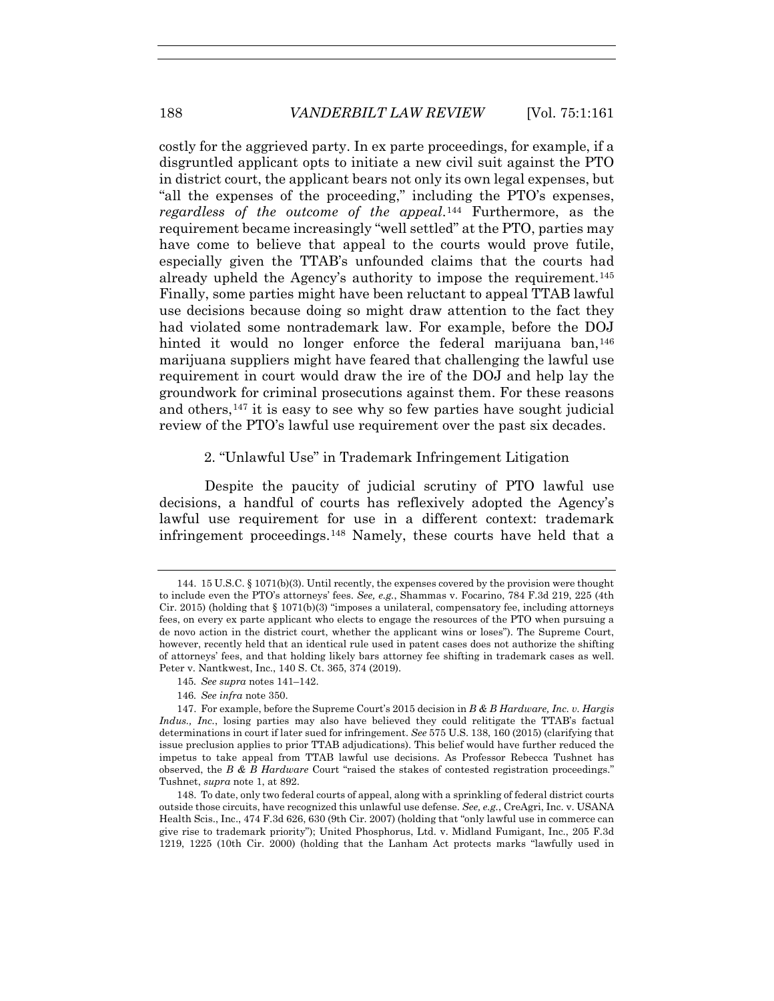costly for the aggrieved party. In ex parte proceedings, for example, if a disgruntled applicant opts to initiate a new civil suit against the PTO in district court, the applicant bears not only its own legal expenses, but "all the expenses of the proceeding," including the PTO's expenses, *regardless of the outcome of the appeal*.144 Furthermore, as the requirement became increasingly "well settled" at the PTO, parties may have come to believe that appeal to the courts would prove futile, especially given the TTAB's unfounded claims that the courts had already upheld the Agency's authority to impose the requirement.145 Finally, some parties might have been reluctant to appeal TTAB lawful use decisions because doing so might draw attention to the fact they had violated some nontrademark law. For example, before the DOJ hinted it would no longer enforce the federal marijuana ban, <sup>146</sup> marijuana suppliers might have feared that challenging the lawful use requirement in court would draw the ire of the DOJ and help lay the groundwork for criminal prosecutions against them. For these reasons and others,147 it is easy to see why so few parties have sought judicial review of the PTO's lawful use requirement over the past six decades.

#### 2. "Unlawful Use" in Trademark Infringement Litigation

Despite the paucity of judicial scrutiny of PTO lawful use decisions, a handful of courts has reflexively adopted the Agency's lawful use requirement for use in a different context: trademark infringement proceedings.148 Namely, these courts have held that a

 <sup>144. 15</sup> U.S.C. § 1071(b)(3). Until recently, the expenses covered by the provision were thought to include even the PTO's attorneys' fees. *See, e.g.*, Shammas v. Focarino, 784 F.3d 219, 225 (4th Cir. 2015) (holding that  $\S 1071(b)(3)$  "imposes a unilateral, compensatory fee, including attorneys fees, on every ex parte applicant who elects to engage the resources of the PTO when pursuing a de novo action in the district court, whether the applicant wins or loses"). The Supreme Court, however, recently held that an identical rule used in patent cases does not authorize the shifting of attorneys' fees, and that holding likely bars attorney fee shifting in trademark cases as well. Peter v. Nantkwest, Inc., 140 S. Ct. 365, 374 (2019).

<sup>145</sup>*. See supra* notes 141–142.

<sup>146</sup>*. See infra* note 350.

 <sup>147.</sup> For example, before the Supreme Court's 2015 decision in *B & B Hardware, Inc. v. Hargis Indus., Inc.*, losing parties may also have believed they could relitigate the TTAB's factual determinations in court if later sued for infringement. *See* 575 U.S. 138, 160 (2015) (clarifying that issue preclusion applies to prior TTAB adjudications). This belief would have further reduced the impetus to take appeal from TTAB lawful use decisions. As Professor Rebecca Tushnet has observed, the *B & B Hardware* Court "raised the stakes of contested registration proceedings." Tushnet, *supra* note 1, at 892.

 <sup>148.</sup> To date, only two federal courts of appeal, along with a sprinkling of federal district courts outside those circuits, have recognized this unlawful use defense. *See, e.g.*, CreAgri, Inc. v. USANA Health Scis., Inc., 474 F.3d 626, 630 (9th Cir. 2007) (holding that "only lawful use in commerce can give rise to trademark priority"); United Phosphorus, Ltd. v. Midland Fumigant, Inc., 205 F.3d 1219, 1225 (10th Cir. 2000) (holding that the Lanham Act protects marks "lawfully used in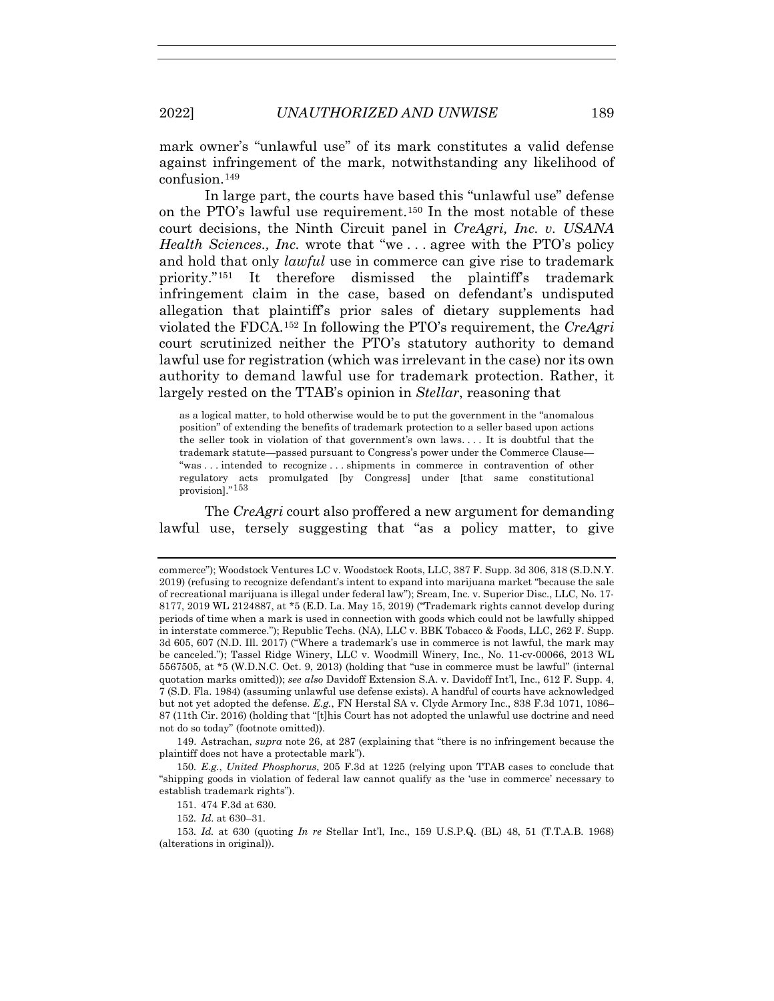mark owner's "unlawful use" of its mark constitutes a valid defense against infringement of the mark, notwithstanding any likelihood of confusion.149

In large part, the courts have based this "unlawful use" defense on the PTO's lawful use requirement.150 In the most notable of these court decisions, the Ninth Circuit panel in *CreAgri, Inc. v. USANA Health Sciences., Inc.* wrote that "we... agree with the PTO's policy and hold that only *lawful* use in commerce can give rise to trademark priority."151 It therefore dismissed the plaintiff's trademark infringement claim in the case, based on defendant's undisputed allegation that plaintiff's prior sales of dietary supplements had violated the FDCA.152 In following the PTO's requirement, the *CreAgri* court scrutinized neither the PTO's statutory authority to demand lawful use for registration (which was irrelevant in the case) nor its own authority to demand lawful use for trademark protection. Rather, it largely rested on the TTAB's opinion in *Stellar*, reasoning that

as a logical matter, to hold otherwise would be to put the government in the "anomalous position" of extending the benefits of trademark protection to a seller based upon actions the seller took in violation of that government's own laws. . . . It is doubtful that the trademark statute—passed pursuant to Congress's power under the Commerce Clause— "was . . . intended to recognize . . . shipments in commerce in contravention of other regulatory acts promulgated [by Congress] under [that same constitutional provision]."153

The *CreAgri* court also proffered a new argument for demanding lawful use, tersely suggesting that "as a policy matter, to give

commerce"); Woodstock Ventures LC v. Woodstock Roots, LLC, 387 F. Supp. 3d 306, 318 (S.D.N.Y. 2019) (refusing to recognize defendant's intent to expand into marijuana market "because the sale of recreational marijuana is illegal under federal law"); Sream, Inc. v. Superior Disc., LLC, No. 17- 8177, 2019 WL 2124887, at \*5 (E.D. La. May 15, 2019) ("Trademark rights cannot develop during periods of time when a mark is used in connection with goods which could not be lawfully shipped in interstate commerce."); Republic Techs. (NA), LLC v. BBK Tobacco & Foods, LLC, 262 F. Supp. 3d 605, 607 (N.D. Ill. 2017) ("Where a trademark's use in commerce is not lawful, the mark may be canceled."); Tassel Ridge Winery, LLC v. Woodmill Winery, Inc*.*, No. 11-cv-00066, 2013 WL 5567505, at \*5 (W.D.N.C. Oct. 9, 2013) (holding that "use in commerce must be lawful" (internal quotation marks omitted)); *see also* Davidoff Extension S.A. v. Davidoff Int'l, Inc., 612 F. Supp. 4, 7 (S.D. Fla. 1984) (assuming unlawful use defense exists). A handful of courts have acknowledged but not yet adopted the defense. *E.g.*, FN Herstal SA v. Clyde Armory Inc., 838 F.3d 1071, 1086– 87 (11th Cir. 2016) (holding that "[t]his Court has not adopted the unlawful use doctrine and need not do so today" (footnote omitted)).

 <sup>149.</sup> Astrachan, *supra* note 26, at 287 (explaining that "there is no infringement because the plaintiff does not have a protectable mark").

<sup>150</sup>*. E.g.*, *United Phosphorus*, 205 F.3d at 1225 (relying upon TTAB cases to conclude that "shipping goods in violation of federal law cannot qualify as the 'use in commerce' necessary to establish trademark rights").

 <sup>151. 474</sup> F.3d at 630.

<sup>152</sup>*. Id*. at 630–31.

<sup>153</sup>*. Id.* at 630 (quoting *In re* Stellar Int'l, Inc., 159 U.S.P.Q. (BL) 48, 51 (T.T.A.B. 1968) (alterations in original)).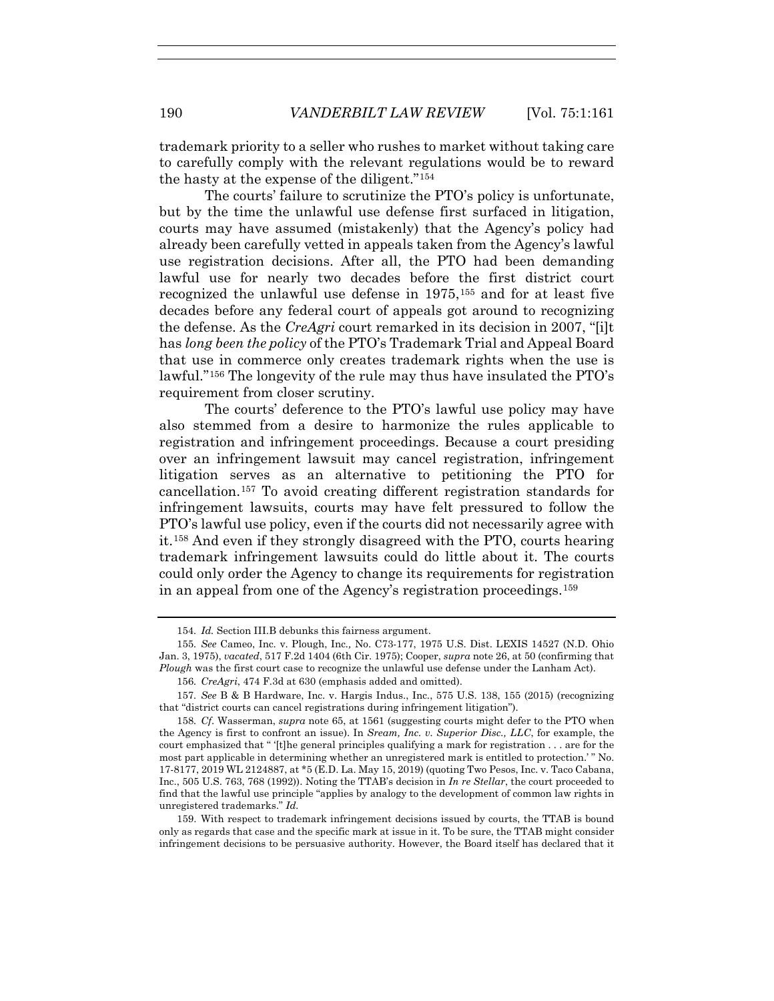trademark priority to a seller who rushes to market without taking care to carefully comply with the relevant regulations would be to reward the hasty at the expense of the diligent."154

The courts' failure to scrutinize the PTO's policy is unfortunate, but by the time the unlawful use defense first surfaced in litigation, courts may have assumed (mistakenly) that the Agency's policy had already been carefully vetted in appeals taken from the Agency's lawful use registration decisions. After all, the PTO had been demanding lawful use for nearly two decades before the first district court recognized the unlawful use defense in 1975,155 and for at least five decades before any federal court of appeals got around to recognizing the defense. As the *CreAgri* court remarked in its decision in 2007, "[i]t has *long been the policy* of the PTO's Trademark Trial and Appeal Board that use in commerce only creates trademark rights when the use is lawful."156 The longevity of the rule may thus have insulated the PTO's requirement from closer scrutiny.

The courts' deference to the PTO's lawful use policy may have also stemmed from a desire to harmonize the rules applicable to registration and infringement proceedings. Because a court presiding over an infringement lawsuit may cancel registration, infringement litigation serves as an alternative to petitioning the PTO for cancellation.157 To avoid creating different registration standards for infringement lawsuits, courts may have felt pressured to follow the PTO's lawful use policy, even if the courts did not necessarily agree with it.158 And even if they strongly disagreed with the PTO, courts hearing trademark infringement lawsuits could do little about it. The courts could only order the Agency to change its requirements for registration in an appeal from one of the Agency's registration proceedings.159

<sup>154</sup>*. Id.* Section III.B debunks this fairness argument.

<sup>155</sup>*. See* Cameo, Inc. v. Plough, Inc*.,* No. C73-177, 1975 U.S. Dist. LEXIS 14527 (N.D. Ohio Jan. 3, 1975), *vacated*, 517 F.2d 1404 (6th Cir. 1975); Cooper, *supra* note 26, at 50 (confirming that *Plough* was the first court case to recognize the unlawful use defense under the Lanham Act).

<sup>156</sup>*. CreAgri*, 474 F.3d at 630 (emphasis added and omitted).

<sup>157</sup>*. See* B & B Hardware, Inc. v. Hargis Indus., Inc., 575 U.S. 138, 155 (2015) (recognizing that "district courts can cancel registrations during infringement litigation").

<sup>158</sup>*. Cf*. Wasserman, *supra* note 65, at 1561 (suggesting courts might defer to the PTO when the Agency is first to confront an issue). In *Sream, Inc. v. Superior Disc., LLC*, for example, the court emphasized that " '[t]he general principles qualifying a mark for registration . . . are for the most part applicable in determining whether an unregistered mark is entitled to protection.' " No. 17-8177, 2019 WL 2124887, at \*5 (E.D. La. May 15, 2019) (quoting Two Pesos, Inc. v. Taco Cabana, Inc., 505 U.S. 763, 768 (1992)). Noting the TTAB's decision in *In re Stellar*, the court proceeded to find that the lawful use principle "applies by analogy to the development of common law rights in unregistered trademarks." *Id.*

 <sup>159.</sup> With respect to trademark infringement decisions issued by courts, the TTAB is bound only as regards that case and the specific mark at issue in it. To be sure, the TTAB might consider infringement decisions to be persuasive authority. However, the Board itself has declared that it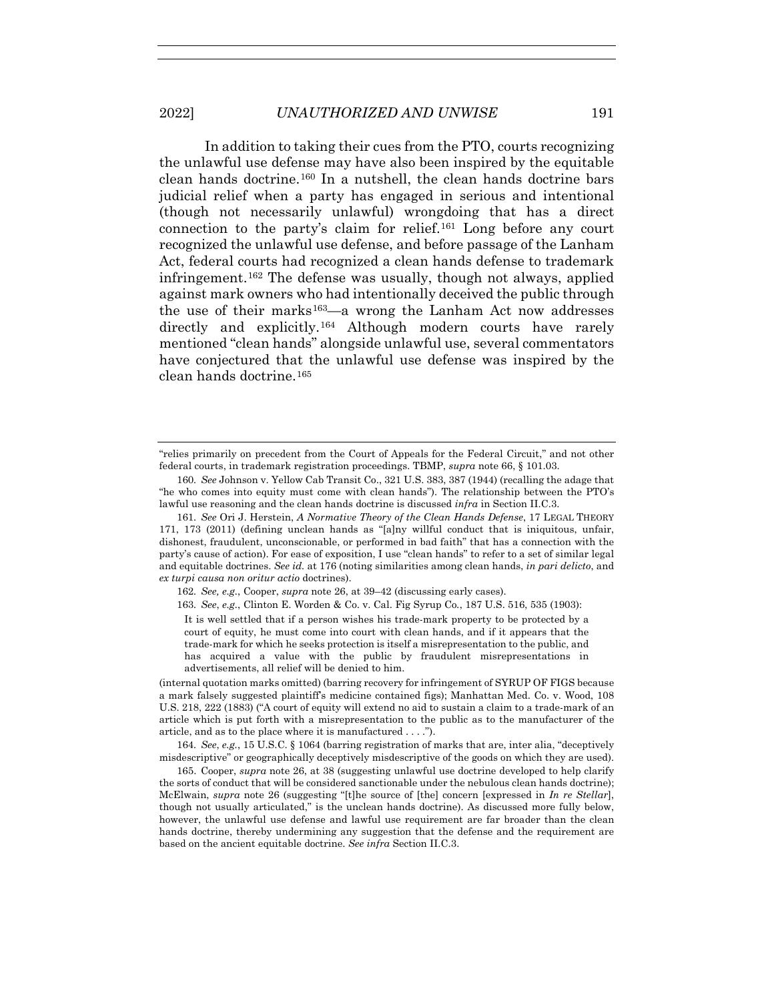In addition to taking their cues from the PTO, courts recognizing the unlawful use defense may have also been inspired by the equitable clean hands doctrine.160 In a nutshell, the clean hands doctrine bars judicial relief when a party has engaged in serious and intentional (though not necessarily unlawful) wrongdoing that has a direct connection to the party's claim for relief.161 Long before any court recognized the unlawful use defense, and before passage of the Lanham Act, federal courts had recognized a clean hands defense to trademark infringement.162 The defense was usually, though not always, applied against mark owners who had intentionally deceived the public through the use of their marks<sup>163</sup>—a wrong the Lanham Act now addresses directly and explicitly.<sup>164</sup> Although modern courts have rarely mentioned "clean hands" alongside unlawful use, several commentators have conjectured that the unlawful use defense was inspired by the clean hands doctrine.165

162*. See, e.g.*, Cooper, *supra* note 26, at 39–42 (discussing early cases).

163*. See*, *e.g.*, Clinton E. Worden & Co. v. Cal. Fig Syrup Co*.*, 187 U.S. 516, 535 (1903):

It is well settled that if a person wishes his trade-mark property to be protected by a court of equity, he must come into court with clean hands, and if it appears that the trade-mark for which he seeks protection is itself a misrepresentation to the public, and has acquired a value with the public by fraudulent misrepresentations in advertisements, all relief will be denied to him.

(internal quotation marks omitted) (barring recovery for infringement of SYRUP OF FIGS because a mark falsely suggested plaintiff's medicine contained figs); Manhattan Med. Co. v. Wood, 108 U.S. 218, 222 (1883) ("A court of equity will extend no aid to sustain a claim to a trade-mark of an article which is put forth with a misrepresentation to the public as to the manufacturer of the article, and as to the place where it is manufactured . . . .").

164*. See*, *e.g.*, 15 U.S.C. § 1064 (barring registration of marks that are, inter alia, "deceptively misdescriptive" or geographically deceptively misdescriptive of the goods on which they are used).

 165. Cooper, *supra* note 26, at 38 (suggesting unlawful use doctrine developed to help clarify the sorts of conduct that will be considered sanctionable under the nebulous clean hands doctrine); McElwain, *supra* note 26 (suggesting "[t]he source of [the] concern [expressed in *In re Stellar*], though not usually articulated," is the unclean hands doctrine). As discussed more fully below, however, the unlawful use defense and lawful use requirement are far broader than the clean hands doctrine, thereby undermining any suggestion that the defense and the requirement are based on the ancient equitable doctrine. *See infra* Section II.C.3.

<sup>&</sup>quot;relies primarily on precedent from the Court of Appeals for the Federal Circuit," and not other federal courts, in trademark registration proceedings. TBMP, *supra* note 66, § 101.03.

<sup>160</sup>*. See* Johnson v. Yellow Cab Transit Co., 321 U.S. 383, 387 (1944) (recalling the adage that "he who comes into equity must come with clean hands"). The relationship between the PTO's lawful use reasoning and the clean hands doctrine is discussed *infra* in Section II.C.3.

<sup>161</sup>*. See* Ori J. Herstein, *A Normative Theory of the Clean Hands Defense*, 17 LEGAL THEORY 171, 173 (2011) (defining unclean hands as "[a]ny willful conduct that is iniquitous, unfair, dishonest, fraudulent, unconscionable, or performed in bad faith" that has a connection with the party's cause of action). For ease of exposition, I use "clean hands" to refer to a set of similar legal and equitable doctrines. *See id.* at 176 (noting similarities among clean hands, *in pari delicto*, and *ex turpi causa non oritur actio* doctrines).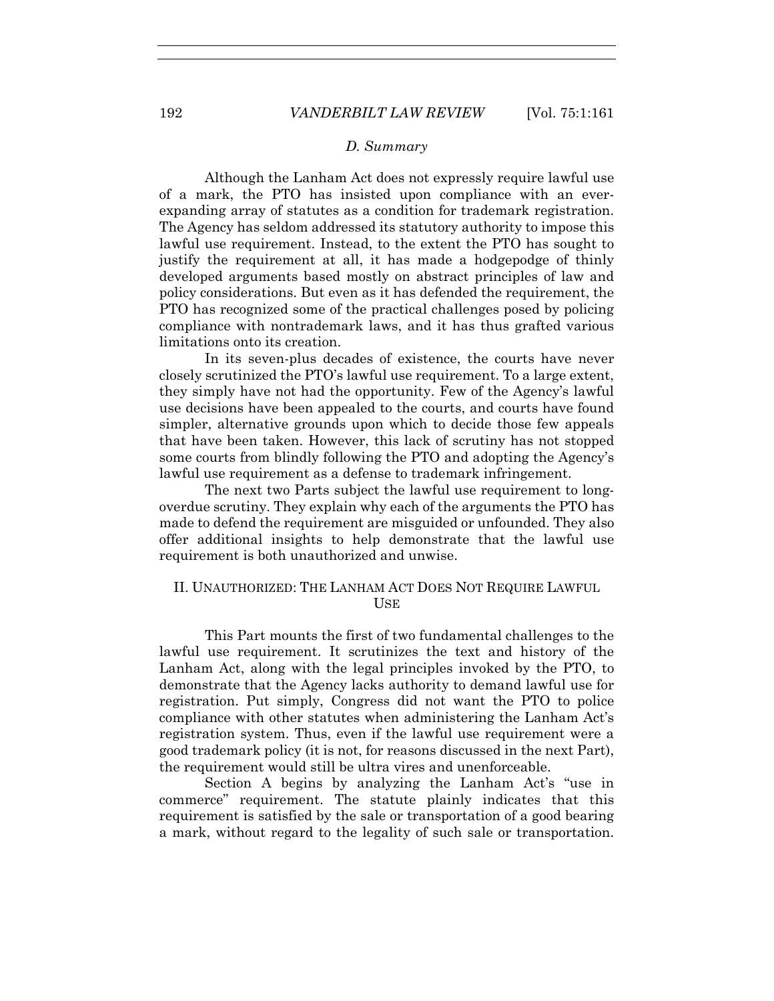### *D. Summary*

Although the Lanham Act does not expressly require lawful use of a mark, the PTO has insisted upon compliance with an everexpanding array of statutes as a condition for trademark registration. The Agency has seldom addressed its statutory authority to impose this lawful use requirement. Instead, to the extent the PTO has sought to justify the requirement at all, it has made a hodgepodge of thinly developed arguments based mostly on abstract principles of law and policy considerations. But even as it has defended the requirement, the PTO has recognized some of the practical challenges posed by policing compliance with nontrademark laws, and it has thus grafted various limitations onto its creation.

In its seven-plus decades of existence, the courts have never closely scrutinized the PTO's lawful use requirement. To a large extent, they simply have not had the opportunity. Few of the Agency's lawful use decisions have been appealed to the courts, and courts have found simpler, alternative grounds upon which to decide those few appeals that have been taken. However, this lack of scrutiny has not stopped some courts from blindly following the PTO and adopting the Agency's lawful use requirement as a defense to trademark infringement.

The next two Parts subject the lawful use requirement to longoverdue scrutiny. They explain why each of the arguments the PTO has made to defend the requirement are misguided or unfounded. They also offer additional insights to help demonstrate that the lawful use requirement is both unauthorized and unwise.

# II. UNAUTHORIZED: THE LANHAM ACT DOES NOT REQUIRE LAWFUL USE

This Part mounts the first of two fundamental challenges to the lawful use requirement. It scrutinizes the text and history of the Lanham Act, along with the legal principles invoked by the PTO, to demonstrate that the Agency lacks authority to demand lawful use for registration. Put simply, Congress did not want the PTO to police compliance with other statutes when administering the Lanham Act's registration system. Thus, even if the lawful use requirement were a good trademark policy (it is not, for reasons discussed in the next Part), the requirement would still be ultra vires and unenforceable.

Section A begins by analyzing the Lanham Act's "use in commerce" requirement. The statute plainly indicates that this requirement is satisfied by the sale or transportation of a good bearing a mark, without regard to the legality of such sale or transportation.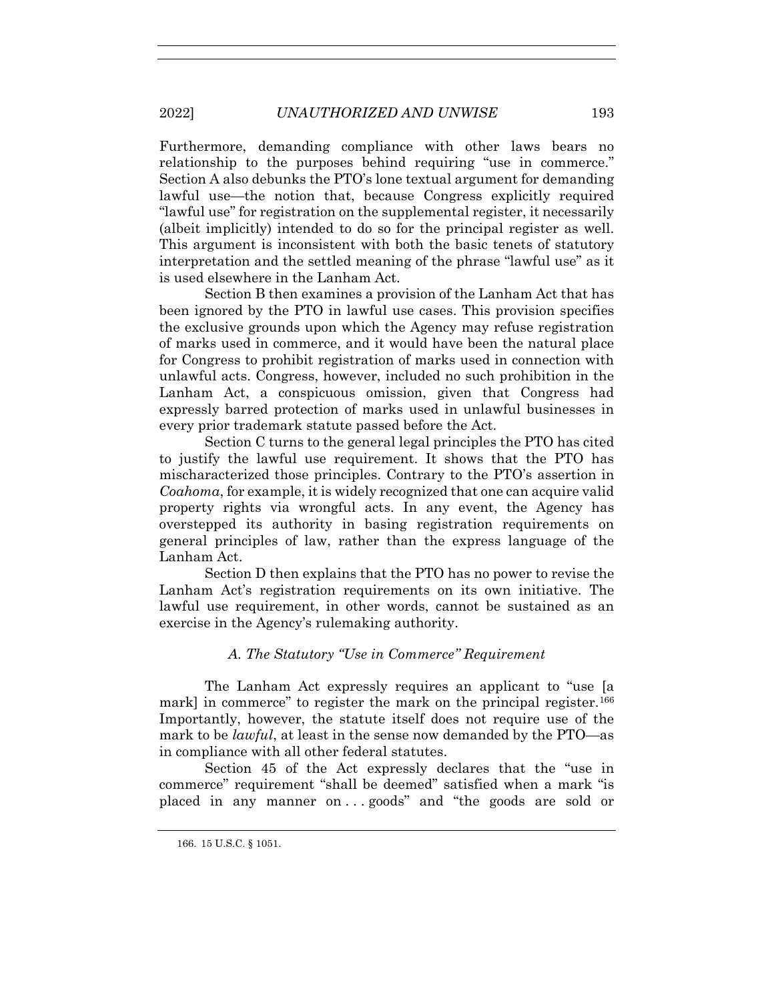Furthermore, demanding compliance with other laws bears no relationship to the purposes behind requiring "use in commerce." Section A also debunks the PTO's lone textual argument for demanding lawful use—the notion that, because Congress explicitly required "lawful use" for registration on the supplemental register, it necessarily (albeit implicitly) intended to do so for the principal register as well. This argument is inconsistent with both the basic tenets of statutory interpretation and the settled meaning of the phrase "lawful use" as it is used elsewhere in the Lanham Act.

Section B then examines a provision of the Lanham Act that has been ignored by the PTO in lawful use cases. This provision specifies the exclusive grounds upon which the Agency may refuse registration of marks used in commerce, and it would have been the natural place for Congress to prohibit registration of marks used in connection with unlawful acts. Congress, however, included no such prohibition in the Lanham Act, a conspicuous omission, given that Congress had expressly barred protection of marks used in unlawful businesses in every prior trademark statute passed before the Act.

Section C turns to the general legal principles the PTO has cited to justify the lawful use requirement. It shows that the PTO has mischaracterized those principles. Contrary to the PTO's assertion in *Coahoma*, for example, it is widely recognized that one can acquire valid property rights via wrongful acts. In any event, the Agency has overstepped its authority in basing registration requirements on general principles of law, rather than the express language of the Lanham Act.

Section D then explains that the PTO has no power to revise the Lanham Act's registration requirements on its own initiative. The lawful use requirement, in other words, cannot be sustained as an exercise in the Agency's rulemaking authority.

# *A. The Statutory "Use in Commerce" Requirement*

The Lanham Act expressly requires an applicant to "use [a mark] in commerce" to register the mark on the principal register.<sup>166</sup> Importantly, however, the statute itself does not require use of the mark to be *lawful*, at least in the sense now demanded by the PTO—as in compliance with all other federal statutes.

Section 45 of the Act expressly declares that the "use in commerce" requirement "shall be deemed" satisfied when a mark "is placed in any manner on . . . goods" and "the goods are sold or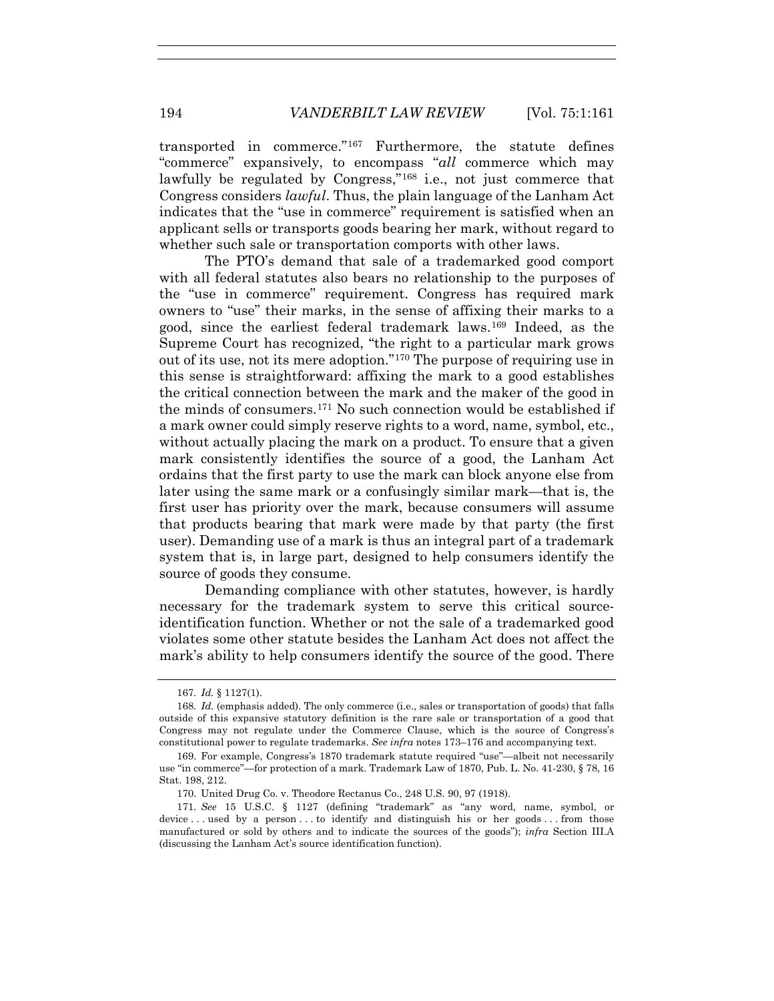transported in commerce."167 Furthermore, the statute defines "commerce" expansively, to encompass "*all* commerce which may lawfully be regulated by Congress,"<sup>168</sup> i.e., not just commerce that Congress considers *lawful*. Thus, the plain language of the Lanham Act indicates that the "use in commerce" requirement is satisfied when an applicant sells or transports goods bearing her mark, without regard to whether such sale or transportation comports with other laws.

The PTO's demand that sale of a trademarked good comport with all federal statutes also bears no relationship to the purposes of the "use in commerce" requirement. Congress has required mark owners to "use" their marks, in the sense of affixing their marks to a good, since the earliest federal trademark laws.169 Indeed, as the Supreme Court has recognized, "the right to a particular mark grows out of its use, not its mere adoption."170 The purpose of requiring use in this sense is straightforward: affixing the mark to a good establishes the critical connection between the mark and the maker of the good in the minds of consumers.171 No such connection would be established if a mark owner could simply reserve rights to a word, name, symbol, etc., without actually placing the mark on a product. To ensure that a given mark consistently identifies the source of a good, the Lanham Act ordains that the first party to use the mark can block anyone else from later using the same mark or a confusingly similar mark—that is, the first user has priority over the mark, because consumers will assume that products bearing that mark were made by that party (the first user). Demanding use of a mark is thus an integral part of a trademark system that is, in large part, designed to help consumers identify the source of goods they consume.

Demanding compliance with other statutes, however, is hardly necessary for the trademark system to serve this critical sourceidentification function. Whether or not the sale of a trademarked good violates some other statute besides the Lanham Act does not affect the mark's ability to help consumers identify the source of the good. There

<sup>167</sup>*. Id.* § 1127(1).

<sup>168</sup>*. Id.* (emphasis added). The only commerce (i.e., sales or transportation of goods) that falls outside of this expansive statutory definition is the rare sale or transportation of a good that Congress may not regulate under the Commerce Clause, which is the source of Congress's constitutional power to regulate trademarks. *See infra* notes 173–176 and accompanying text.

 <sup>169.</sup> For example, Congress's 1870 trademark statute required "use"—albeit not necessarily use "in commerce"—for protection of a mark. Trademark Law of 1870, Pub. L. No. 41-230, § 78, 16 Stat. 198, 212.

 <sup>170.</sup> United Drug Co. v. Theodore Rectanus Co., 248 U.S. 90, 97 (1918).

<sup>171</sup>*. See* 15 U.S.C. § 1127 (defining "trademark" as "any word, name, symbol, or device ... used by a person ... to identify and distinguish his or her goods ... from those manufactured or sold by others and to indicate the sources of the goods"); *infra* Section III.A (discussing the Lanham Act's source identification function).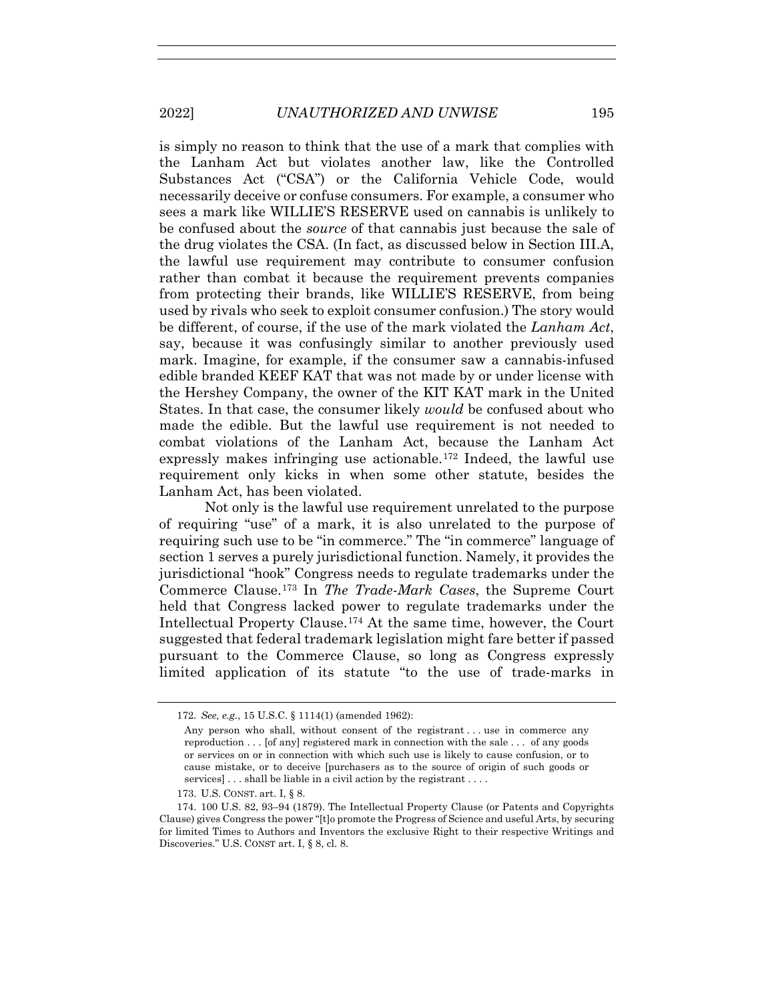is simply no reason to think that the use of a mark that complies with the Lanham Act but violates another law, like the Controlled Substances Act ("CSA") or the California Vehicle Code, would necessarily deceive or confuse consumers. For example, a consumer who sees a mark like WILLIE'S RESERVE used on cannabis is unlikely to be confused about the *source* of that cannabis just because the sale of the drug violates the CSA. (In fact, as discussed below in Section III.A, the lawful use requirement may contribute to consumer confusion rather than combat it because the requirement prevents companies from protecting their brands, like WILLIE'S RESERVE, from being used by rivals who seek to exploit consumer confusion.) The story would be different, of course, if the use of the mark violated the *Lanham Act*, say, because it was confusingly similar to another previously used mark. Imagine, for example, if the consumer saw a cannabis-infused edible branded KEEF KAT that was not made by or under license with the Hershey Company, the owner of the KIT KAT mark in the United States. In that case, the consumer likely *would* be confused about who made the edible. But the lawful use requirement is not needed to combat violations of the Lanham Act, because the Lanham Act expressly makes infringing use actionable.172 Indeed, the lawful use requirement only kicks in when some other statute, besides the Lanham Act, has been violated.

Not only is the lawful use requirement unrelated to the purpose of requiring "use" of a mark, it is also unrelated to the purpose of requiring such use to be "in commerce." The "in commerce" language of section 1 serves a purely jurisdictional function. Namely, it provides the jurisdictional "hook" Congress needs to regulate trademarks under the Commerce Clause.173 In *The Trade-Mark Cases*, the Supreme Court held that Congress lacked power to regulate trademarks under the Intellectual Property Clause.174 At the same time, however, the Court suggested that federal trademark legislation might fare better if passed pursuant to the Commerce Clause, so long as Congress expressly limited application of its statute "to the use of trade-marks in

<sup>172</sup>*. See, e.g.*, 15 U.S.C. § 1114(1) (amended 1962):

Any person who shall, without consent of the registrant . . . use in commerce any reproduction . . . [of any] registered mark in connection with the sale . . . of any goods or services on or in connection with which such use is likely to cause confusion, or to cause mistake, or to deceive [purchasers as to the source of origin of such goods or services]... shall be liable in a civil action by the registrant ....

 <sup>173.</sup> U.S. CONST. art. I, § 8.

 <sup>174. 100</sup> U.S. 82, 93–94 (1879). The Intellectual Property Clause (or Patents and Copyrights Clause) gives Congress the power "[t]o promote the Progress of Science and useful Arts, by securing for limited Times to Authors and Inventors the exclusive Right to their respective Writings and Discoveries." U.S. CONST art. I, § 8, cl. 8.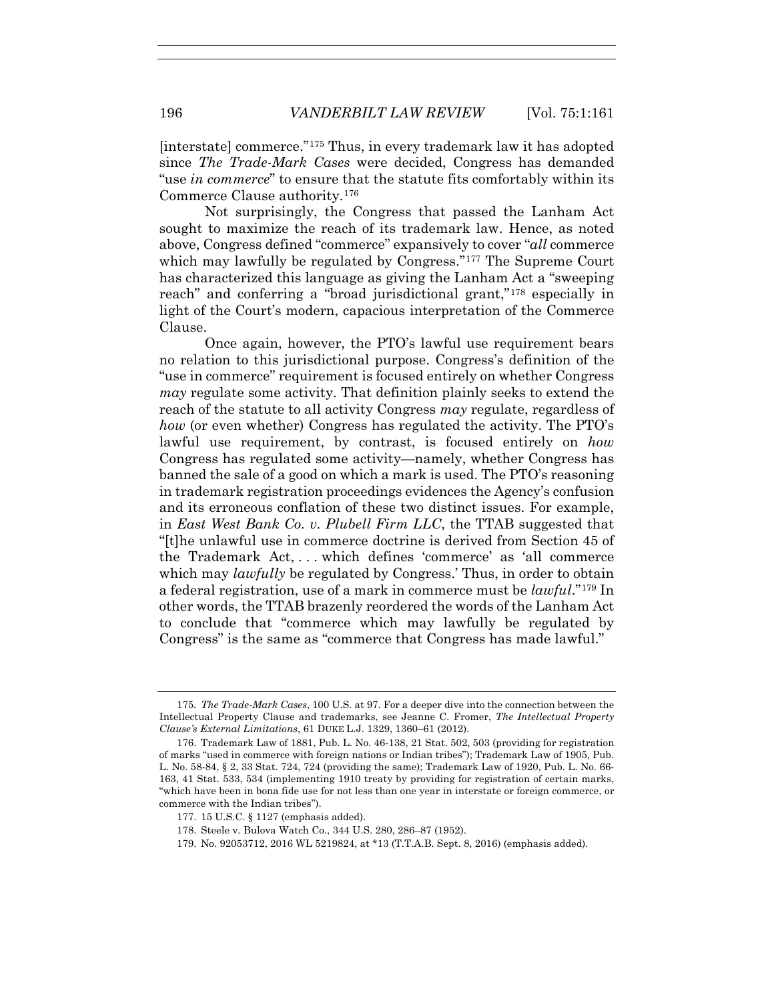[interstate] commerce."175 Thus, in every trademark law it has adopted since *The Trade-Mark Cases* were decided, Congress has demanded "use *in commerce*" to ensure that the statute fits comfortably within its Commerce Clause authority.176

Not surprisingly, the Congress that passed the Lanham Act sought to maximize the reach of its trademark law. Hence, as noted above, Congress defined "commerce" expansively to cover "*all* commerce which may lawfully be regulated by Congress."<sup>177</sup> The Supreme Court has characterized this language as giving the Lanham Act a "sweeping reach" and conferring a "broad jurisdictional grant,"178 especially in light of the Court's modern, capacious interpretation of the Commerce Clause.

Once again, however, the PTO's lawful use requirement bears no relation to this jurisdictional purpose. Congress's definition of the "use in commerce" requirement is focused entirely on whether Congress *may* regulate some activity. That definition plainly seeks to extend the reach of the statute to all activity Congress *may* regulate, regardless of *how* (or even whether) Congress has regulated the activity. The PTO's lawful use requirement, by contrast, is focused entirely on *how* Congress has regulated some activity—namely, whether Congress has banned the sale of a good on which a mark is used. The PTO's reasoning in trademark registration proceedings evidences the Agency's confusion and its erroneous conflation of these two distinct issues. For example, in *East West Bank Co. v. Plubell Firm LLC*, the TTAB suggested that "[t]he unlawful use in commerce doctrine is derived from Section 45 of the Trademark Act, . . . which defines 'commerce' as 'all commerce which may *lawfully* be regulated by Congress.' Thus, in order to obtain a federal registration, use of a mark in commerce must be *lawful*."179 In other words, the TTAB brazenly reordered the words of the Lanham Act to conclude that "commerce which may lawfully be regulated by Congress" is the same as "commerce that Congress has made lawful."

<sup>175</sup>*. The Trade-Mark Cases*, 100 U.S. at 97. For a deeper dive into the connection between the Intellectual Property Clause and trademarks, see Jeanne C. Fromer, *The Intellectual Property Clause's External Limitations*, 61 DUKE L.J. 1329, 1360–61 (2012).

 <sup>176.</sup> Trademark Law of 1881, Pub. L. No. 46-138, 21 Stat. 502, 503 (providing for registration of marks "used in commerce with foreign nations or Indian tribes"); Trademark Law of 1905, Pub. L. No. 58-84, § 2, 33 Stat. 724, 724 (providing the same); Trademark Law of 1920, Pub. L. No. 66- 163, 41 Stat. 533, 534 (implementing 1910 treaty by providing for registration of certain marks, "which have been in bona fide use for not less than one year in interstate or foreign commerce, or commerce with the Indian tribes").

 <sup>177. 15</sup> U.S.C. § 1127 (emphasis added).

 <sup>178.</sup> Steele v. Bulova Watch Co*.*, 344 U.S. 280, 286–87 (1952).

 <sup>179.</sup> No. 92053712, 2016 WL 5219824, at \*13 (T.T.A.B. Sept. 8, 2016) (emphasis added).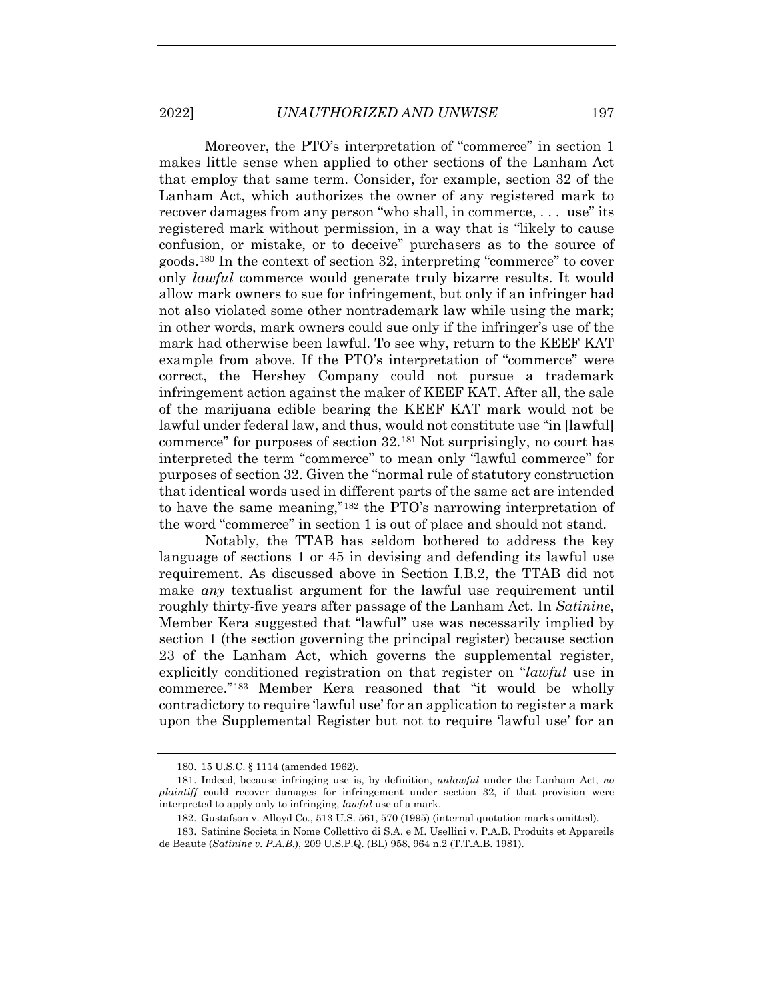Moreover, the PTO's interpretation of "commerce" in section 1 makes little sense when applied to other sections of the Lanham Act that employ that same term. Consider, for example, section 32 of the Lanham Act, which authorizes the owner of any registered mark to recover damages from any person "who shall, in commerce, . . . use" its registered mark without permission, in a way that is "likely to cause confusion, or mistake, or to deceive" purchasers as to the source of goods.180 In the context of section 32, interpreting "commerce" to cover only *lawful* commerce would generate truly bizarre results. It would allow mark owners to sue for infringement, but only if an infringer had not also violated some other nontrademark law while using the mark; in other words, mark owners could sue only if the infringer's use of the mark had otherwise been lawful. To see why, return to the KEEF KAT example from above. If the PTO's interpretation of "commerce" were correct, the Hershey Company could not pursue a trademark infringement action against the maker of KEEF KAT. After all, the sale of the marijuana edible bearing the KEEF KAT mark would not be lawful under federal law, and thus, would not constitute use "in [lawful] commerce" for purposes of section 32.181 Not surprisingly, no court has interpreted the term "commerce" to mean only "lawful commerce" for purposes of section 32. Given the "normal rule of statutory construction that identical words used in different parts of the same act are intended to have the same meaning,"182 the PTO's narrowing interpretation of the word "commerce" in section 1 is out of place and should not stand.

Notably, the TTAB has seldom bothered to address the key language of sections 1 or 45 in devising and defending its lawful use requirement. As discussed above in Section I.B.2, the TTAB did not make *any* textualist argument for the lawful use requirement until roughly thirty-five years after passage of the Lanham Act. In *Satinine*, Member Kera suggested that "lawful" use was necessarily implied by section 1 (the section governing the principal register) because section 23 of the Lanham Act, which governs the supplemental register, explicitly conditioned registration on that register on "*lawful* use in commerce."183 Member Kera reasoned that "it would be wholly contradictory to require 'lawful use' for an application to register a mark upon the Supplemental Register but not to require 'lawful use' for an

 <sup>180. 15</sup> U.S.C. § 1114 (amended 1962).

 <sup>181.</sup> Indeed, because infringing use is, by definition, *unlawful* under the Lanham Act, *no plaintiff* could recover damages for infringement under section 32, if that provision were interpreted to apply only to infringing, *lawful* use of a mark.

 <sup>182.</sup> Gustafson v. Alloyd Co., 513 U.S. 561, 570 (1995) (internal quotation marks omitted).

 <sup>183.</sup> Satinine Societa in Nome Collettivo di S.A. e M. Usellini v. P.A.B. Produits et Appareils de Beaute (*Satinine v. P.A.B.*), 209 U.S.P.Q. (BL) 958, 964 n.2 (T.T.A.B. 1981).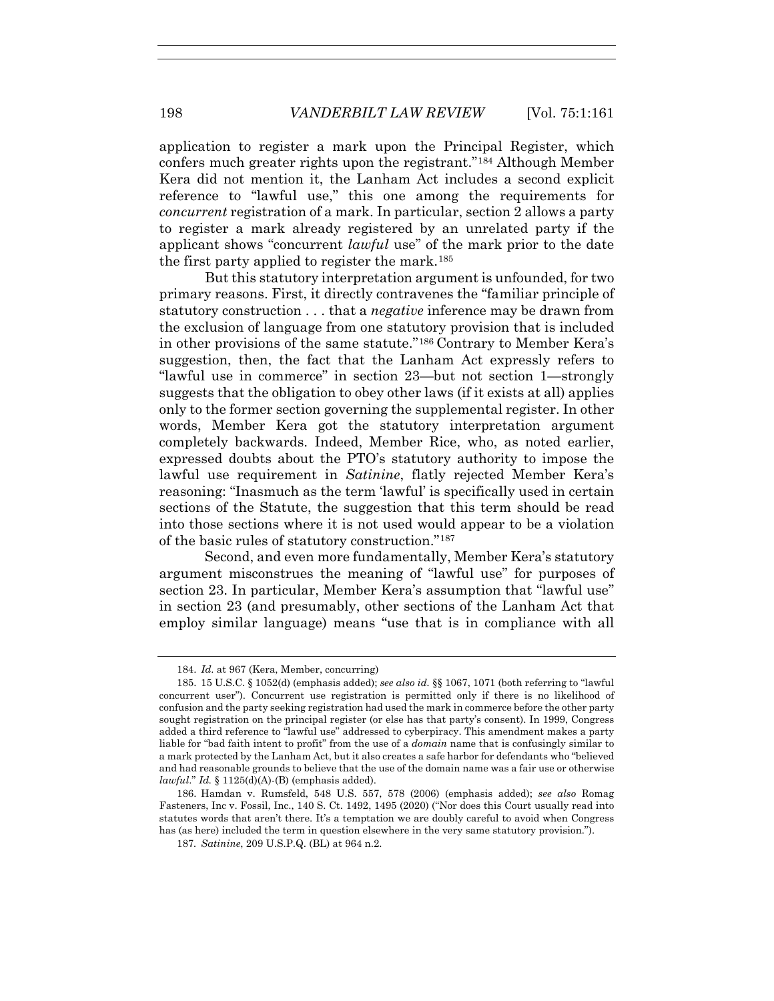application to register a mark upon the Principal Register, which confers much greater rights upon the registrant."184 Although Member Kera did not mention it, the Lanham Act includes a second explicit reference to "lawful use," this one among the requirements for *concurrent* registration of a mark. In particular, section 2 allows a party to register a mark already registered by an unrelated party if the applicant shows "concurrent *lawful* use" of the mark prior to the date the first party applied to register the mark.185

But this statutory interpretation argument is unfounded, for two primary reasons. First, it directly contravenes the "familiar principle of statutory construction . . . that a *negative* inference may be drawn from the exclusion of language from one statutory provision that is included in other provisions of the same statute."186 Contrary to Member Kera's suggestion, then, the fact that the Lanham Act expressly refers to "lawful use in commerce" in section 23—but not section 1—strongly suggests that the obligation to obey other laws (if it exists at all) applies only to the former section governing the supplemental register. In other words, Member Kera got the statutory interpretation argument completely backwards. Indeed, Member Rice, who, as noted earlier, expressed doubts about the PTO's statutory authority to impose the lawful use requirement in *Satinine*, flatly rejected Member Kera's reasoning: "Inasmuch as the term 'lawful' is specifically used in certain sections of the Statute, the suggestion that this term should be read into those sections where it is not used would appear to be a violation of the basic rules of statutory construction."187

Second, and even more fundamentally, Member Kera's statutory argument misconstrues the meaning of "lawful use" for purposes of section 23. In particular, Member Kera's assumption that "lawful use" in section 23 (and presumably, other sections of the Lanham Act that employ similar language) means "use that is in compliance with all

 <sup>184.</sup> *Id*. at 967 (Kera, Member, concurring)

 <sup>185. 15</sup> U.S.C. § 1052(d) (emphasis added); *see also id.* §§ 1067, 1071 (both referring to "lawful concurrent user"). Concurrent use registration is permitted only if there is no likelihood of confusion and the party seeking registration had used the mark in commerce before the other party sought registration on the principal register (or else has that party's consent). In 1999, Congress added a third reference to "lawful use" addressed to cyberpiracy. This amendment makes a party liable for "bad faith intent to profit" from the use of a *domain* name that is confusingly similar to a mark protected by the Lanham Act, but it also creates a safe harbor for defendants who "believed and had reasonable grounds to believe that the use of the domain name was a fair use or otherwise *lawful*." *Id.* § 1125(d)(A)-(B) (emphasis added).

 <sup>186.</sup> Hamdan v. Rumsfeld, 548 U.S. 557, 578 (2006) (emphasis added); *see also* Romag Fasteners, Inc v. Fossil, Inc., 140 S. Ct. 1492, 1495 (2020) ("Nor does this Court usually read into statutes words that aren't there. It's a temptation we are doubly careful to avoid when Congress has (as here) included the term in question elsewhere in the very same statutory provision.").

<sup>187</sup>*. Satinine*, 209 U.S.P.Q. (BL) at 964 n.2.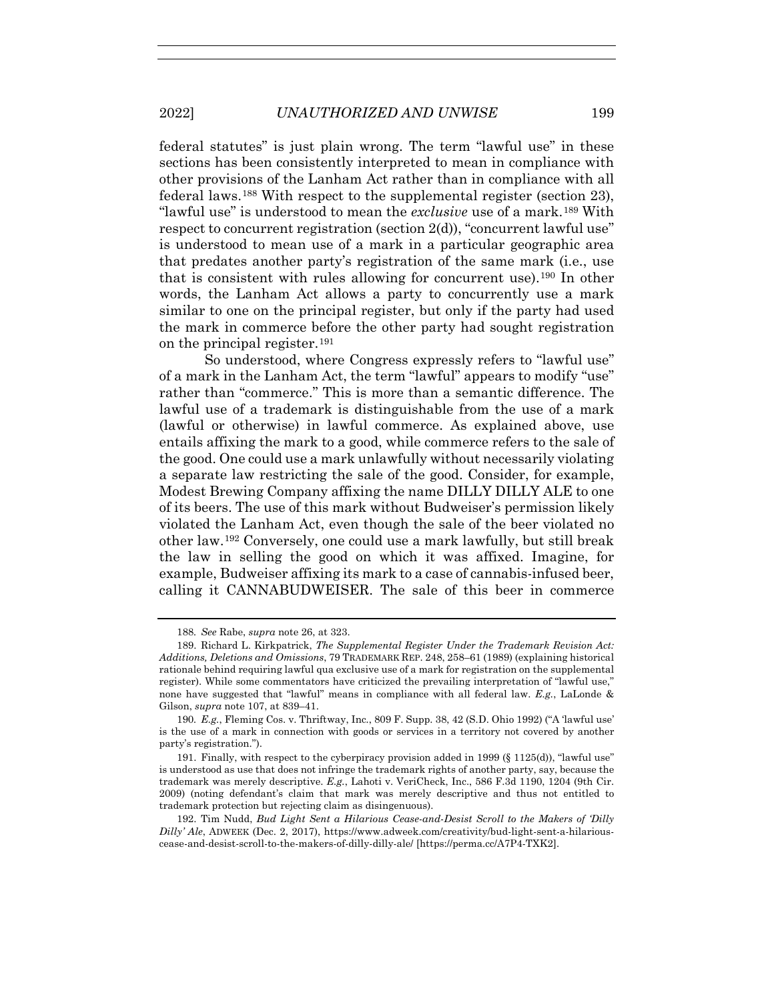federal statutes" is just plain wrong. The term "lawful use" in these sections has been consistently interpreted to mean in compliance with other provisions of the Lanham Act rather than in compliance with all federal laws.188 With respect to the supplemental register (section 23), "lawful use" is understood to mean the *exclusive* use of a mark.189 With respect to concurrent registration (section 2(d)), "concurrent lawful use" is understood to mean use of a mark in a particular geographic area that predates another party's registration of the same mark (i.e., use that is consistent with rules allowing for concurrent use).190 In other words, the Lanham Act allows a party to concurrently use a mark similar to one on the principal register, but only if the party had used the mark in commerce before the other party had sought registration on the principal register.191

So understood, where Congress expressly refers to "lawful use" of a mark in the Lanham Act, the term "lawful" appears to modify "use" rather than "commerce." This is more than a semantic difference. The lawful use of a trademark is distinguishable from the use of a mark (lawful or otherwise) in lawful commerce. As explained above, use entails affixing the mark to a good, while commerce refers to the sale of the good. One could use a mark unlawfully without necessarily violating a separate law restricting the sale of the good. Consider, for example, Modest Brewing Company affixing the name DILLY DILLY ALE to one of its beers. The use of this mark without Budweiser's permission likely violated the Lanham Act, even though the sale of the beer violated no other law.192 Conversely, one could use a mark lawfully, but still break the law in selling the good on which it was affixed. Imagine, for example, Budweiser affixing its mark to a case of cannabis-infused beer, calling it CANNABUDWEISER. The sale of this beer in commerce

<sup>188</sup>*. See* Rabe, *supra* note 26, at 323.

 <sup>189.</sup> Richard L. Kirkpatrick, *The Supplemental Register Under the Trademark Revision Act: Additions, Deletions and Omissions*, 79 TRADEMARK REP. 248, 258–61 (1989) (explaining historical rationale behind requiring lawful qua exclusive use of a mark for registration on the supplemental register). While some commentators have criticized the prevailing interpretation of "lawful use," none have suggested that "lawful" means in compliance with all federal law. *E.g.*, LaLonde & Gilson, *supra* note 107, at 839–41.

<sup>190</sup>*. E.g.*, Fleming Cos. v. Thriftway, Inc*.*, 809 F. Supp. 38, 42 (S.D. Ohio 1992) ("A 'lawful use' is the use of a mark in connection with goods or services in a territory not covered by another party's registration.").

 <sup>191.</sup> Finally, with respect to the cyberpiracy provision added in 1999 (§ 1125(d)), "lawful use" is understood as use that does not infringe the trademark rights of another party, say, because the trademark was merely descriptive. *E.g.*, Lahoti v. VeriCheck, Inc., 586 F.3d 1190, 1204 (9th Cir. 2009) (noting defendant's claim that mark was merely descriptive and thus not entitled to trademark protection but rejecting claim as disingenuous).

 <sup>192.</sup> Tim Nudd, *Bud Light Sent a Hilarious Cease-and-Desist Scroll to the Makers of 'Dilly Dilly' Ale*, ADWEEK (Dec. 2, 2017), https://www.adweek.com/creativity/bud-light-sent-a-hilariouscease-and-desist-scroll-to-the-makers-of-dilly-dilly-ale/ [https://perma.cc/A7P4-TXK2].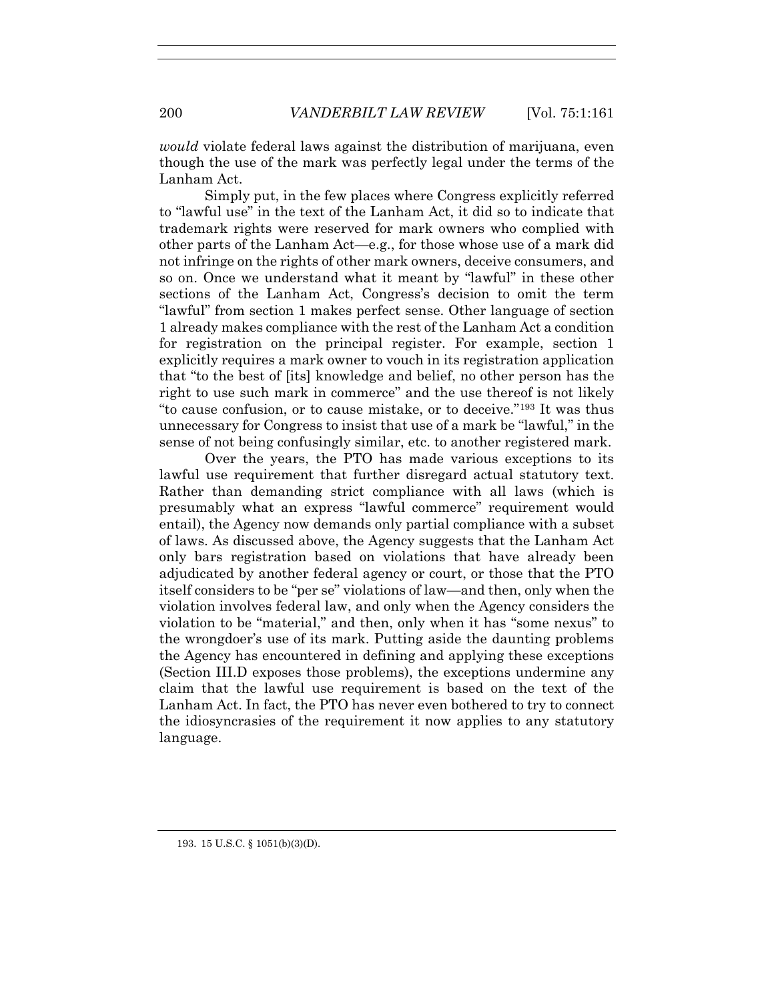*would* violate federal laws against the distribution of marijuana, even though the use of the mark was perfectly legal under the terms of the Lanham Act.

Simply put, in the few places where Congress explicitly referred to "lawful use" in the text of the Lanham Act, it did so to indicate that trademark rights were reserved for mark owners who complied with other parts of the Lanham Act—e.g., for those whose use of a mark did not infringe on the rights of other mark owners, deceive consumers, and so on. Once we understand what it meant by "lawful" in these other sections of the Lanham Act, Congress's decision to omit the term "lawful" from section 1 makes perfect sense. Other language of section 1 already makes compliance with the rest of the Lanham Act a condition for registration on the principal register. For example, section 1 explicitly requires a mark owner to vouch in its registration application that "to the best of [its] knowledge and belief, no other person has the right to use such mark in commerce" and the use thereof is not likely "to cause confusion, or to cause mistake, or to deceive."193 It was thus unnecessary for Congress to insist that use of a mark be "lawful," in the sense of not being confusingly similar, etc. to another registered mark.

Over the years, the PTO has made various exceptions to its lawful use requirement that further disregard actual statutory text. Rather than demanding strict compliance with all laws (which is presumably what an express "lawful commerce" requirement would entail), the Agency now demands only partial compliance with a subset of laws. As discussed above, the Agency suggests that the Lanham Act only bars registration based on violations that have already been adjudicated by another federal agency or court, or those that the PTO itself considers to be "per se" violations of law—and then, only when the violation involves federal law, and only when the Agency considers the violation to be "material," and then, only when it has "some nexus" to the wrongdoer's use of its mark. Putting aside the daunting problems the Agency has encountered in defining and applying these exceptions (Section III.D exposes those problems), the exceptions undermine any claim that the lawful use requirement is based on the text of the Lanham Act. In fact, the PTO has never even bothered to try to connect the idiosyncrasies of the requirement it now applies to any statutory language.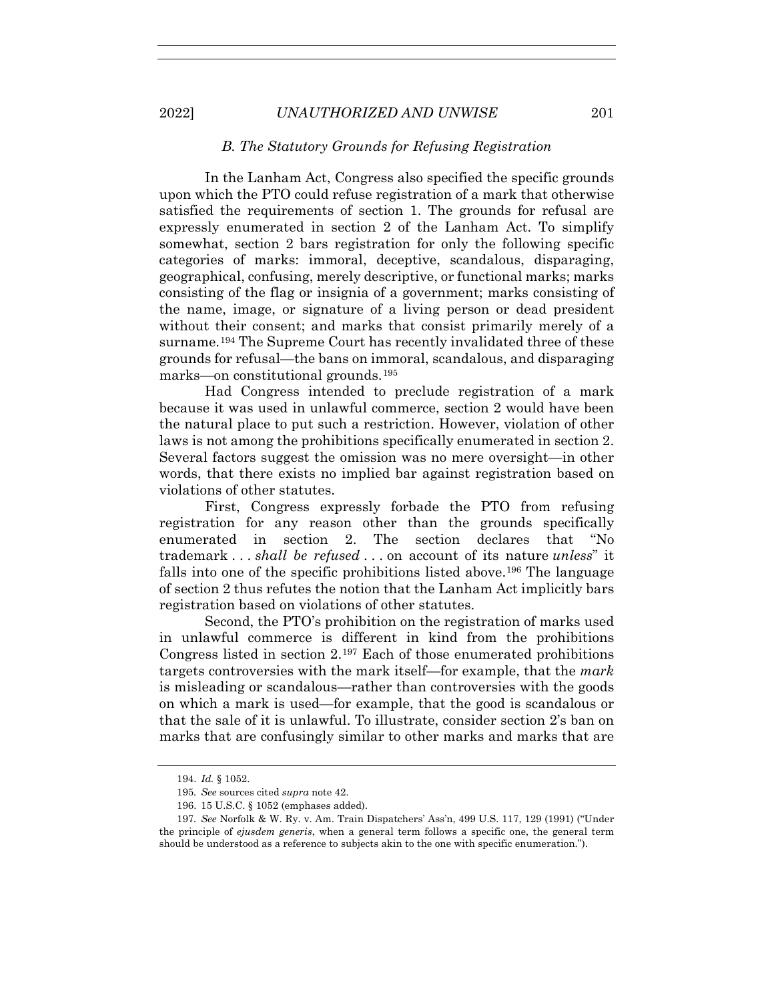### *B. The Statutory Grounds for Refusing Registration*

In the Lanham Act, Congress also specified the specific grounds upon which the PTO could refuse registration of a mark that otherwise satisfied the requirements of section 1. The grounds for refusal are expressly enumerated in section 2 of the Lanham Act. To simplify somewhat, section 2 bars registration for only the following specific categories of marks: immoral, deceptive, scandalous, disparaging, geographical, confusing, merely descriptive, or functional marks; marks consisting of the flag or insignia of a government; marks consisting of the name, image, or signature of a living person or dead president without their consent; and marks that consist primarily merely of a surname.194 The Supreme Court has recently invalidated three of these grounds for refusal—the bans on immoral, scandalous, and disparaging marks—on constitutional grounds.195

Had Congress intended to preclude registration of a mark because it was used in unlawful commerce, section 2 would have been the natural place to put such a restriction. However, violation of other laws is not among the prohibitions specifically enumerated in section 2. Several factors suggest the omission was no mere oversight—in other words, that there exists no implied bar against registration based on violations of other statutes.

First, Congress expressly forbade the PTO from refusing registration for any reason other than the grounds specifically enumerated in section 2. The section declares that "No trademark . . . *shall be refused* . . . on account of its nature *unless*" it falls into one of the specific prohibitions listed above.196 The language of section 2 thus refutes the notion that the Lanham Act implicitly bars registration based on violations of other statutes.

Second, the PTO's prohibition on the registration of marks used in unlawful commerce is different in kind from the prohibitions Congress listed in section 2.197 Each of those enumerated prohibitions targets controversies with the mark itself—for example, that the *mark* is misleading or scandalous—rather than controversies with the goods on which a mark is used—for example, that the good is scandalous or that the sale of it is unlawful. To illustrate, consider section 2's ban on marks that are confusingly similar to other marks and marks that are

 <sup>194.</sup> *Id.* § 1052.

<sup>195</sup>*. See* sources cited *supra* note 42.

 <sup>196. 15</sup> U.S.C. § 1052 (emphases added).

<sup>197</sup>*. See* Norfolk & W. Ry. v. Am. Train Dispatchers' Ass'n, 499 U.S. 117, 129 (1991) ("Under the principle of *ejusdem generis*, when a general term follows a specific one, the general term should be understood as a reference to subjects akin to the one with specific enumeration.").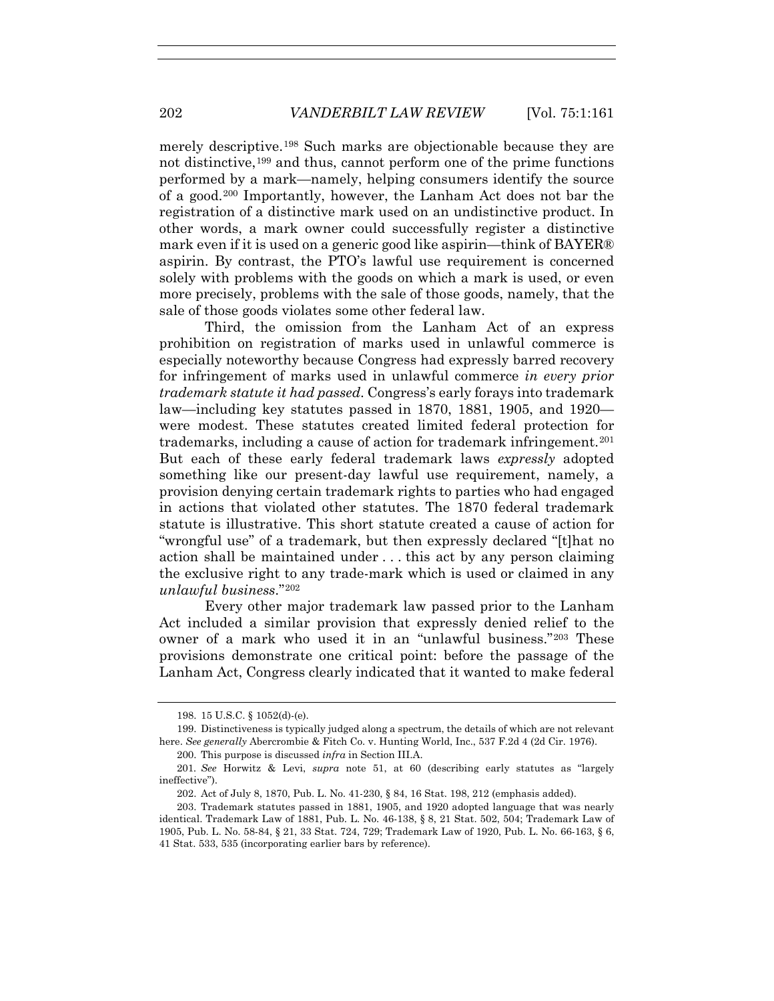merely descriptive.198 Such marks are objectionable because they are not distinctive,199 and thus, cannot perform one of the prime functions performed by a mark—namely, helping consumers identify the source of a good.200 Importantly, however, the Lanham Act does not bar the registration of a distinctive mark used on an undistinctive product. In other words, a mark owner could successfully register a distinctive mark even if it is used on a generic good like aspirin—think of BAYER® aspirin. By contrast, the PTO's lawful use requirement is concerned solely with problems with the goods on which a mark is used, or even more precisely, problems with the sale of those goods, namely, that the sale of those goods violates some other federal law.

Third, the omission from the Lanham Act of an express prohibition on registration of marks used in unlawful commerce is especially noteworthy because Congress had expressly barred recovery for infringement of marks used in unlawful commerce *in every prior trademark statute it had passed*. Congress's early forays into trademark law—including key statutes passed in 1870, 1881, 1905, and 1920 were modest. These statutes created limited federal protection for trademarks, including a cause of action for trademark infringement.201 But each of these early federal trademark laws *expressly* adopted something like our present-day lawful use requirement, namely, a provision denying certain trademark rights to parties who had engaged in actions that violated other statutes. The 1870 federal trademark statute is illustrative. This short statute created a cause of action for "wrongful use" of a trademark, but then expressly declared "[t]hat no action shall be maintained under . . . this act by any person claiming the exclusive right to any trade-mark which is used or claimed in any *unlawful business*."202

Every other major trademark law passed prior to the Lanham Act included a similar provision that expressly denied relief to the owner of a mark who used it in an "unlawful business."203 These provisions demonstrate one critical point: before the passage of the Lanham Act, Congress clearly indicated that it wanted to make federal

 <sup>198. 15</sup> U.S.C. § 1052(d)-(e).

 <sup>199.</sup> Distinctiveness is typically judged along a spectrum, the details of which are not relevant here. *See generally* Abercrombie & Fitch Co. v. Hunting World, Inc., 537 F.2d 4 (2d Cir. 1976).

 <sup>200.</sup> This purpose is discussed *infra* in Section III.A.

<sup>201</sup>*. See* Horwitz & Levi, *supra* note 51, at 60 (describing early statutes as "largely ineffective").

 <sup>202.</sup> Act of July 8, 1870, Pub. L. No. 41-230, § 84, 16 Stat. 198, 212 (emphasis added).

 <sup>203.</sup> Trademark statutes passed in 1881, 1905, and 1920 adopted language that was nearly identical. Trademark Law of 1881, Pub. L. No. 46-138, § 8, 21 Stat. 502, 504; Trademark Law of 1905, Pub. L. No. 58-84, § 21, 33 Stat. 724, 729; Trademark Law of 1920, Pub. L. No. 66-163, § 6, 41 Stat. 533, 535 (incorporating earlier bars by reference).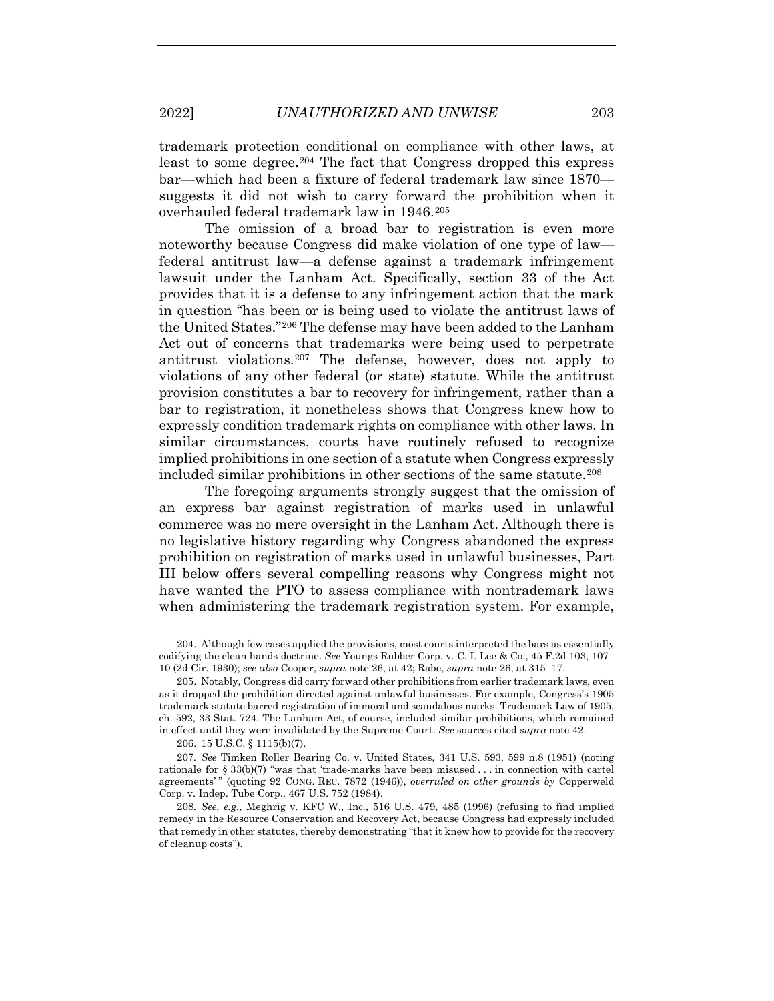trademark protection conditional on compliance with other laws, at least to some degree.204 The fact that Congress dropped this express bar—which had been a fixture of federal trademark law since 1870 suggests it did not wish to carry forward the prohibition when it overhauled federal trademark law in 1946.205

The omission of a broad bar to registration is even more noteworthy because Congress did make violation of one type of law federal antitrust law—a defense against a trademark infringement lawsuit under the Lanham Act. Specifically, section 33 of the Act provides that it is a defense to any infringement action that the mark in question "has been or is being used to violate the antitrust laws of the United States."206 The defense may have been added to the Lanham Act out of concerns that trademarks were being used to perpetrate antitrust violations.207 The defense, however, does not apply to violations of any other federal (or state) statute. While the antitrust provision constitutes a bar to recovery for infringement, rather than a bar to registration, it nonetheless shows that Congress knew how to expressly condition trademark rights on compliance with other laws. In similar circumstances, courts have routinely refused to recognize implied prohibitions in one section of a statute when Congress expressly included similar prohibitions in other sections of the same statute.208

The foregoing arguments strongly suggest that the omission of an express bar against registration of marks used in unlawful commerce was no mere oversight in the Lanham Act. Although there is no legislative history regarding why Congress abandoned the express prohibition on registration of marks used in unlawful businesses, Part III below offers several compelling reasons why Congress might not have wanted the PTO to assess compliance with nontrademark laws when administering the trademark registration system. For example,

206. 15 U.S.C. § 1115(b)(7).

207*. See* Timken Roller Bearing Co. v. United States, 341 U.S. 593, 599 n.8 (1951) (noting rationale for § 33(b)(7) "was that 'trade-marks have been misused . . . in connection with cartel agreements' " (quoting 92 CONG. REC. 7872 (1946)), *overruled on other grounds by* Copperweld Corp. v. Indep. Tube Corp., 467 U.S. 752 (1984).

 <sup>204.</sup> Although few cases applied the provisions, most courts interpreted the bars as essentially codifying the clean hands doctrine. *See* Youngs Rubber Corp. v. C. I. Lee & Co., 45 F.2d 103, 107– 10 (2d Cir. 1930); *see also* Cooper, *supra* note 26, at 42; Rabe, *supra* note 26, at 315–17.

 <sup>205.</sup> Notably, Congress did carry forward other prohibitions from earlier trademark laws, even as it dropped the prohibition directed against unlawful businesses. For example, Congress's 1905 trademark statute barred registration of immoral and scandalous marks. Trademark Law of 1905, ch. 592, 33 Stat. 724. The Lanham Act, of course, included similar prohibitions, which remained in effect until they were invalidated by the Supreme Court. *See* sources cited *supra* note 42.

<sup>208</sup>*. See, e.g.*, Meghrig v. KFC W., Inc*.*, 516 U.S. 479, 485 (1996) (refusing to find implied remedy in the Resource Conservation and Recovery Act, because Congress had expressly included that remedy in other statutes, thereby demonstrating "that it knew how to provide for the recovery of cleanup costs").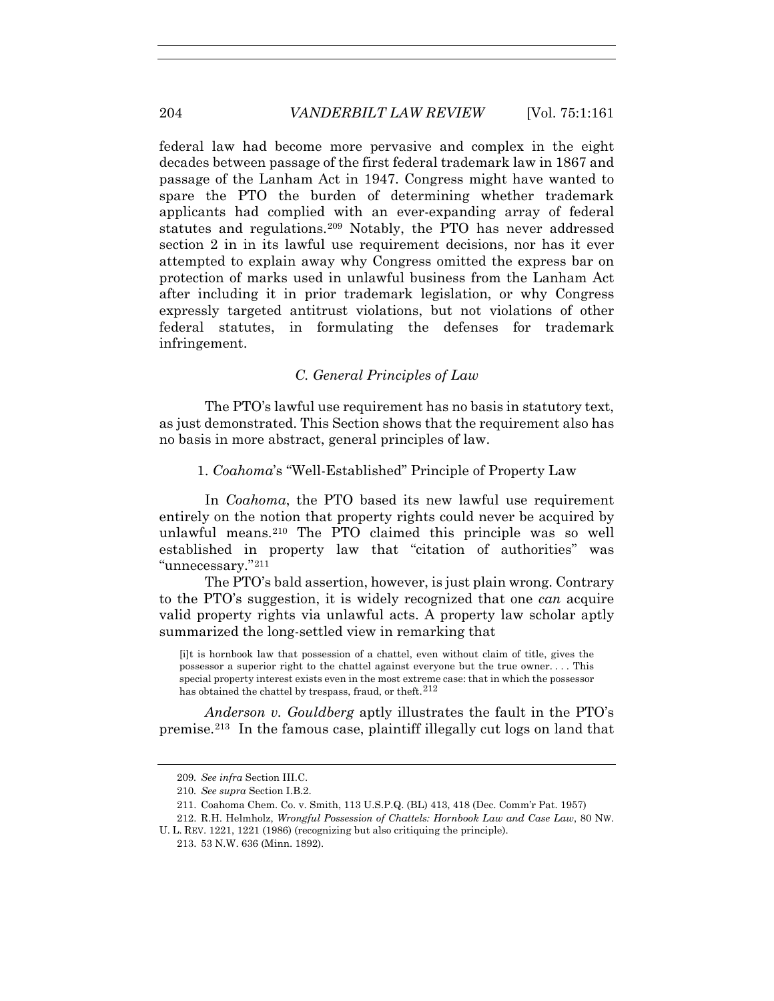federal law had become more pervasive and complex in the eight decades between passage of the first federal trademark law in 1867 and passage of the Lanham Act in 1947. Congress might have wanted to spare the PTO the burden of determining whether trademark applicants had complied with an ever-expanding array of federal statutes and regulations.209 Notably, the PTO has never addressed section 2 in in its lawful use requirement decisions, nor has it ever attempted to explain away why Congress omitted the express bar on protection of marks used in unlawful business from the Lanham Act after including it in prior trademark legislation, or why Congress expressly targeted antitrust violations, but not violations of other federal statutes, in formulating the defenses for trademark infringement.

# *C. General Principles of Law*

The PTO's lawful use requirement has no basis in statutory text, as just demonstrated. This Section shows that the requirement also has no basis in more abstract, general principles of law.

1. *Coahoma*'s "Well-Established" Principle of Property Law

In *Coahoma*, the PTO based its new lawful use requirement entirely on the notion that property rights could never be acquired by unlawful means.210 The PTO claimed this principle was so well established in property law that "citation of authorities" was "unnecessary."211

The PTO's bald assertion, however, is just plain wrong. Contrary to the PTO's suggestion, it is widely recognized that one *can* acquire valid property rights via unlawful acts. A property law scholar aptly summarized the long-settled view in remarking that

[i]t is hornbook law that possession of a chattel, even without claim of title, gives the possessor a superior right to the chattel against everyone but the true owner. . . . This special property interest exists even in the most extreme case: that in which the possessor has obtained the chattel by trespass, fraud, or theft.<sup>212</sup>

*Anderson v. Gouldberg* aptly illustrates the fault in the PTO's premise.213 In the famous case, plaintiff illegally cut logs on land that

<sup>209</sup>*. See infra* Section III.C.

<sup>210</sup>*. See supra* Section I.B.2.

 <sup>211.</sup> Coahoma Chem. Co. v. Smith, 113 U.S.P.Q. (BL) 413, 418 (Dec. Comm'r Pat. 1957)

 <sup>212.</sup> R.H. Helmholz, *Wrongful Possession of Chattels: Hornbook Law and Case Law*, 80 NW.

U. L. REV. 1221, 1221 (1986) (recognizing but also critiquing the principle).

 <sup>213. 53</sup> N.W. 636 (Minn. 1892).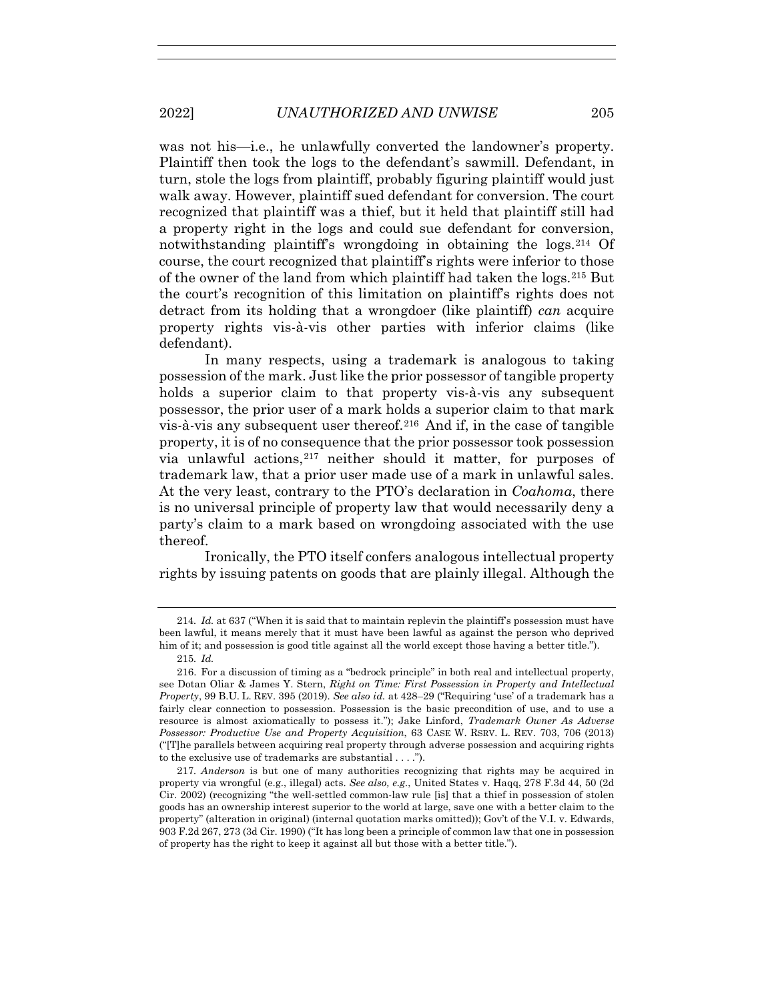was not his—i.e., he unlawfully converted the landowner's property. Plaintiff then took the logs to the defendant's sawmill. Defendant, in turn, stole the logs from plaintiff, probably figuring plaintiff would just walk away. However, plaintiff sued defendant for conversion. The court recognized that plaintiff was a thief, but it held that plaintiff still had a property right in the logs and could sue defendant for conversion, notwithstanding plaintiff's wrongdoing in obtaining the logs.214 Of course, the court recognized that plaintiff's rights were inferior to those of the owner of the land from which plaintiff had taken the logs.215 But the court's recognition of this limitation on plaintiff's rights does not detract from its holding that a wrongdoer (like plaintiff) *can* acquire property rights vis-à-vis other parties with inferior claims (like defendant).

In many respects, using a trademark is analogous to taking possession of the mark. Just like the prior possessor of tangible property holds a superior claim to that property vis-à-vis any subsequent possessor, the prior user of a mark holds a superior claim to that mark vis-à-vis any subsequent user thereof.216 And if, in the case of tangible property, it is of no consequence that the prior possessor took possession via unlawful actions,217 neither should it matter, for purposes of trademark law, that a prior user made use of a mark in unlawful sales. At the very least, contrary to the PTO's declaration in *Coahoma*, there is no universal principle of property law that would necessarily deny a party's claim to a mark based on wrongdoing associated with the use thereof.

Ironically, the PTO itself confers analogous intellectual property rights by issuing patents on goods that are plainly illegal. Although the

<sup>214</sup>*. Id.* at 637 ("When it is said that to maintain replevin the plaintiff's possession must have been lawful, it means merely that it must have been lawful as against the person who deprived him of it; and possession is good title against all the world except those having a better title.").

<sup>215</sup>*. Id.*

 <sup>216.</sup> For a discussion of timing as a "bedrock principle" in both real and intellectual property, see Dotan Oliar & James Y. Stern, *Right on Time: First Possession in Property and Intellectual Property*, 99 B.U. L. REV. 395 (2019). *See also id.* at 428–29 ("Requiring 'use' of a trademark has a fairly clear connection to possession. Possession is the basic precondition of use, and to use a resource is almost axiomatically to possess it."); Jake Linford, *Trademark Owner As Adverse Possessor: Productive Use and Property Acquisition*, 63 CASE W. RSRV. L. REV. 703, 706 (2013) ("[T]he parallels between acquiring real property through adverse possession and acquiring rights to the exclusive use of trademarks are substantial . . . .").

<sup>217</sup>*. Anderson* is but one of many authorities recognizing that rights may be acquired in property via wrongful (e.g., illegal) acts. *See also, e.g.*, United States v. Haqq, 278 F.3d 44, 50 (2d Cir. 2002) (recognizing "the well-settled common-law rule [is] that a thief in possession of stolen goods has an ownership interest superior to the world at large, save one with a better claim to the property" (alteration in original) (internal quotation marks omitted)); Gov't of the V.I. v. Edwards, 903 F.2d 267, 273 (3d Cir. 1990) ("It has long been a principle of common law that one in possession of property has the right to keep it against all but those with a better title.").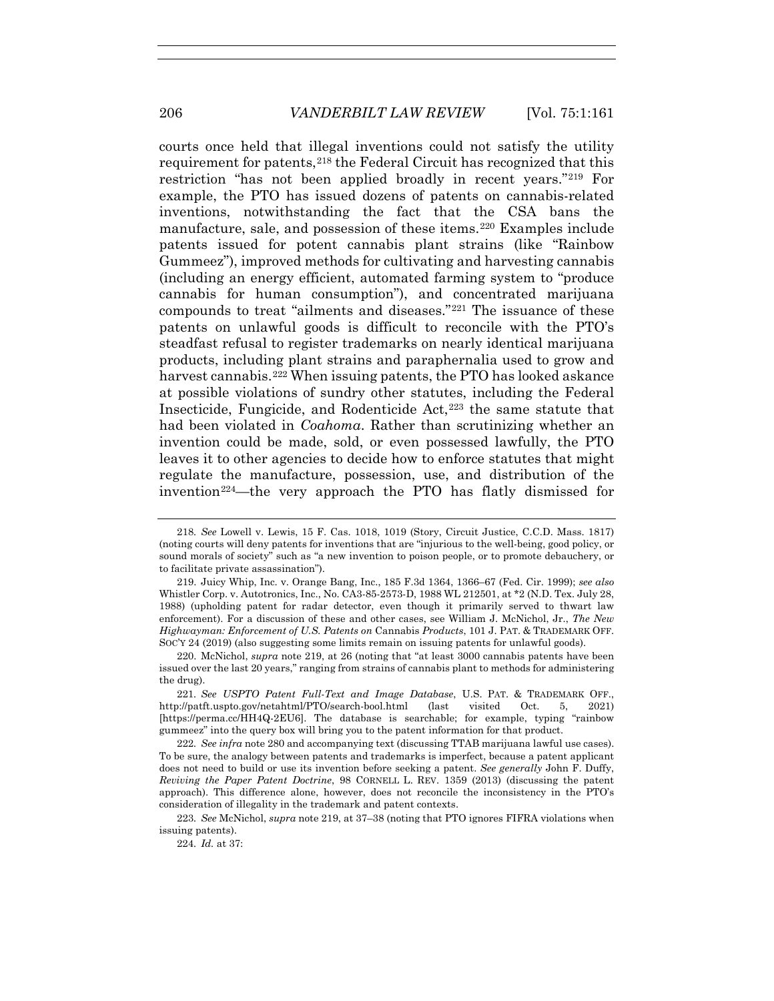courts once held that illegal inventions could not satisfy the utility requirement for patents,218 the Federal Circuit has recognized that this restriction "has not been applied broadly in recent years."219 For example, the PTO has issued dozens of patents on cannabis-related inventions, notwithstanding the fact that the CSA bans the manufacture, sale, and possession of these items.220 Examples include patents issued for potent cannabis plant strains (like "Rainbow Gummeez"), improved methods for cultivating and harvesting cannabis (including an energy efficient, automated farming system to "produce cannabis for human consumption"), and concentrated marijuana compounds to treat "ailments and diseases."221 The issuance of these patents on unlawful goods is difficult to reconcile with the PTO's steadfast refusal to register trademarks on nearly identical marijuana products, including plant strains and paraphernalia used to grow and harvest cannabis.<sup>222</sup> When issuing patents, the PTO has looked askance at possible violations of sundry other statutes, including the Federal Insecticide, Fungicide, and Rodenticide Act,<sup>223</sup> the same statute that had been violated in *Coahoma*. Rather than scrutinizing whether an invention could be made, sold, or even possessed lawfully, the PTO leaves it to other agencies to decide how to enforce statutes that might regulate the manufacture, possession, use, and distribution of the invention<sup>224</sup>—the very approach the PTO has flatly dismissed for

221*. See USPTO Patent Full-Text and Image Database*, U.S. PAT. & TRADEMARK OFF., http://patft.uspto.gov/netahtml/PTO/search-bool.html (last visited Oct. 5, 2021) [https://perma.cc/HH4Q-2EU6]. The database is searchable; for example, typing "rainbow gummeez" into the query box will bring you to the patent information for that product.

224*. Id.* at 37:

<sup>218</sup>*. See* Lowell v. Lewis, 15 F. Cas. 1018, 1019 (Story, Circuit Justice, C.C.D. Mass. 1817) (noting courts will deny patents for inventions that are "injurious to the well-being, good policy, or sound morals of society" such as "a new invention to poison people, or to promote debauchery, or to facilitate private assassination").

 <sup>219.</sup> Juicy Whip, Inc. v. Orange Bang, Inc., 185 F.3d 1364, 1366–67 (Fed. Cir. 1999); *see also* Whistler Corp. v. Autotronics, Inc., No. CA3-85-2573-D, 1988 WL 212501, at \*2 (N.D. Tex. July 28, 1988) (upholding patent for radar detector, even though it primarily served to thwart law enforcement). For a discussion of these and other cases, see William J. McNichol, Jr., *The New Highwayman: Enforcement of U.S. Patents on* Cannabis *Products*, 101 J. PAT. & TRADEMARK OFF. SOC'Y 24 (2019) (also suggesting some limits remain on issuing patents for unlawful goods).

 <sup>220.</sup> McNichol, *supra* note 219, at 26 (noting that "at least 3000 cannabis patents have been issued over the last 20 years," ranging from strains of cannabis plant to methods for administering the drug).

<sup>222</sup>*. See infra* note 280 and accompanying text (discussing TTAB marijuana lawful use cases). To be sure, the analogy between patents and trademarks is imperfect, because a patent applicant does not need to build or use its invention before seeking a patent. *See generally* John F. Duffy, *Reviving the Paper Patent Doctrine*, 98 CORNELL L. REV. 1359 (2013) (discussing the patent approach). This difference alone, however, does not reconcile the inconsistency in the PTO's consideration of illegality in the trademark and patent contexts.

<sup>223</sup>*. See* McNichol, *supra* note 219, at 37–38 (noting that PTO ignores FIFRA violations when issuing patents).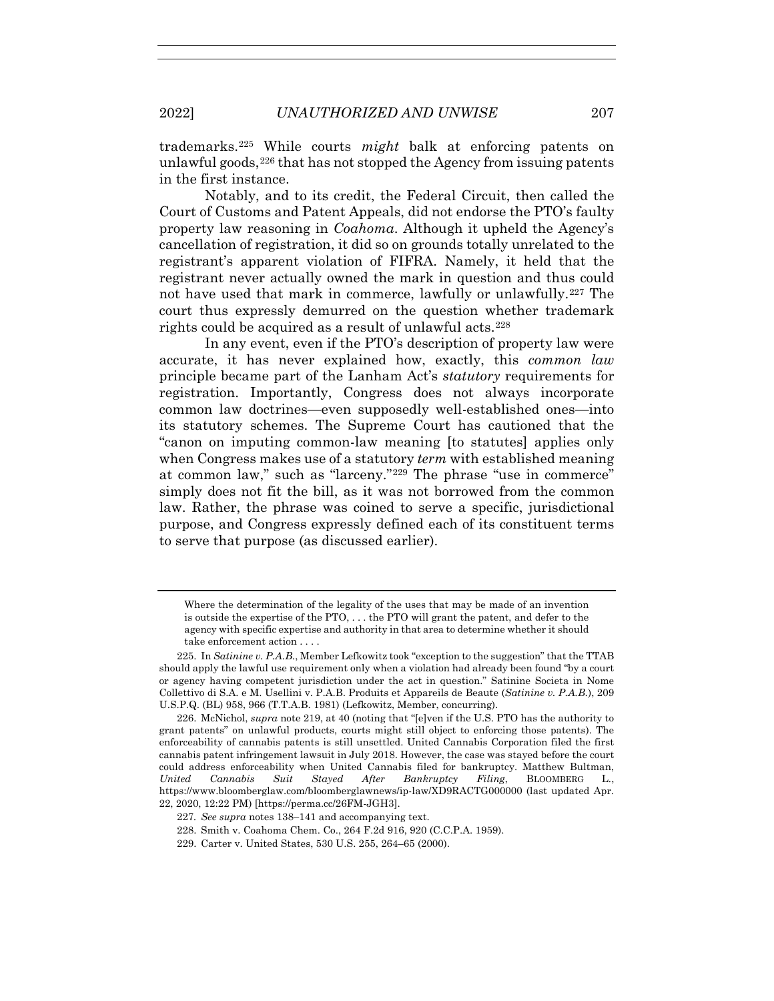trademarks.225 While courts *might* balk at enforcing patents on unlawful goods,  $226$  that has not stopped the Agency from issuing patents in the first instance.

Notably, and to its credit, the Federal Circuit, then called the Court of Customs and Patent Appeals, did not endorse the PTO's faulty property law reasoning in *Coahoma*. Although it upheld the Agency's cancellation of registration, it did so on grounds totally unrelated to the registrant's apparent violation of FIFRA. Namely, it held that the registrant never actually owned the mark in question and thus could not have used that mark in commerce, lawfully or unlawfully.227 The court thus expressly demurred on the question whether trademark rights could be acquired as a result of unlawful acts.<sup>228</sup>

In any event, even if the PTO's description of property law were accurate, it has never explained how, exactly, this *common law* principle became part of the Lanham Act's *statutory* requirements for registration. Importantly, Congress does not always incorporate common law doctrines—even supposedly well-established ones—into its statutory schemes. The Supreme Court has cautioned that the "canon on imputing common-law meaning [to statutes] applies only when Congress makes use of a statutory *term* with established meaning at common law," such as "larceny."229 The phrase "use in commerce" simply does not fit the bill, as it was not borrowed from the common law. Rather, the phrase was coined to serve a specific, jurisdictional purpose, and Congress expressly defined each of its constituent terms to serve that purpose (as discussed earlier).

Where the determination of the legality of the uses that may be made of an invention is outside the expertise of the PTO, . . . the PTO will grant the patent, and defer to the agency with specific expertise and authority in that area to determine whether it should take enforcement action . . . .

 <sup>225.</sup> In *Satinine v. P.A.B.*, Member Lefkowitz took "exception to the suggestion" that the TTAB should apply the lawful use requirement only when a violation had already been found "by a court or agency having competent jurisdiction under the act in question." Satinine Societa in Nome Collettivo di S.A. e M. Usellini v. P.A.B. Produits et Appareils de Beaute (*Satinine v. P.A.B.*), 209 U.S.P.Q. (BL) 958, 966 (T.T.A.B. 1981) (Lefkowitz, Member, concurring).

 <sup>226.</sup> McNichol, *supra* note 219, at 40 (noting that "[e]ven if the U.S. PTO has the authority to grant patents" on unlawful products, courts might still object to enforcing those patents). The enforceability of cannabis patents is still unsettled. United Cannabis Corporation filed the first cannabis patent infringement lawsuit in July 2018. However, the case was stayed before the court could address enforceability when United Cannabis filed for bankruptcy. Matthew Bultman, *United Cannabis Suit Stayed After Bankruptcy Filing*, BLOOMBERG L., https://www.bloomberglaw.com/bloomberglawnews/ip-law/XD9RACTG000000 (last updated Apr. 22, 2020, 12:22 PM) [https://perma.cc/26FM-JGH3].

<sup>227</sup>*. See supra* notes 138–141 and accompanying text.

 <sup>228.</sup> Smith v. Coahoma Chem. Co., 264 F.2d 916, 920 (C.C.P.A. 1959).

 <sup>229.</sup> Carter v. United States, 530 U.S. 255, 264–65 (2000).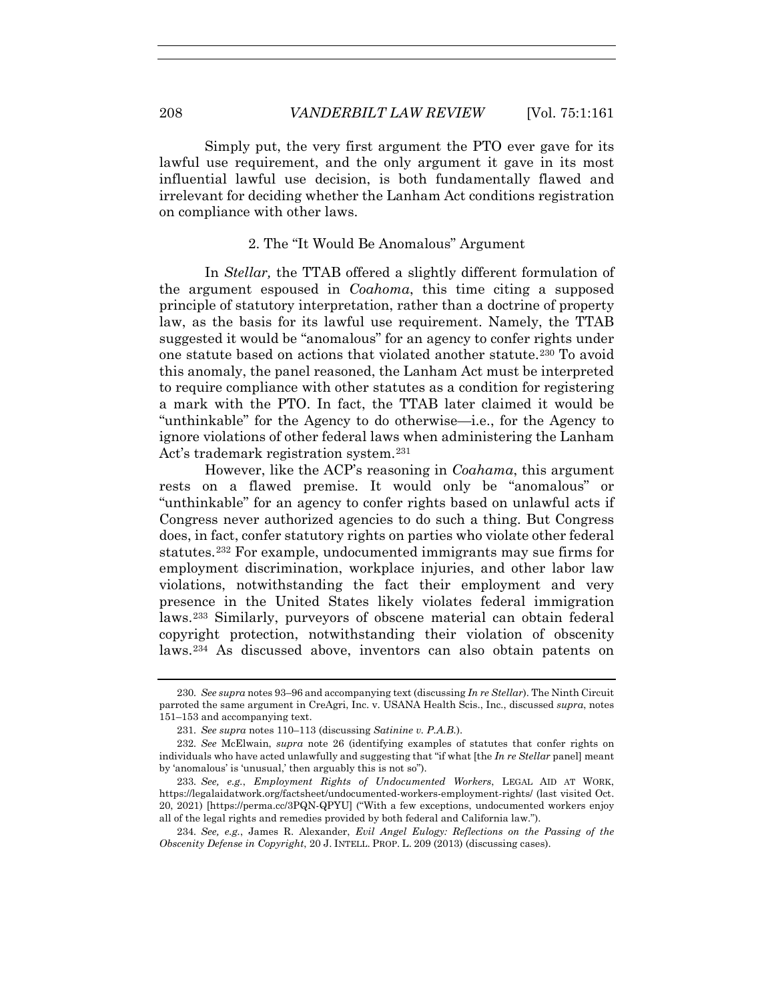Simply put, the very first argument the PTO ever gave for its lawful use requirement, and the only argument it gave in its most influential lawful use decision, is both fundamentally flawed and irrelevant for deciding whether the Lanham Act conditions registration on compliance with other laws.

#### 2. The "It Would Be Anomalous" Argument

In *Stellar,* the TTAB offered a slightly different formulation of the argument espoused in *Coahoma*, this time citing a supposed principle of statutory interpretation, rather than a doctrine of property law, as the basis for its lawful use requirement. Namely, the TTAB suggested it would be "anomalous" for an agency to confer rights under one statute based on actions that violated another statute.230 To avoid this anomaly, the panel reasoned, the Lanham Act must be interpreted to require compliance with other statutes as a condition for registering a mark with the PTO. In fact, the TTAB later claimed it would be "unthinkable" for the Agency to do otherwise—i.e., for the Agency to ignore violations of other federal laws when administering the Lanham Act's trademark registration system.<sup>231</sup>

However, like the ACP's reasoning in *Coahama*, this argument rests on a flawed premise. It would only be "anomalous" or "unthinkable" for an agency to confer rights based on unlawful acts if Congress never authorized agencies to do such a thing. But Congress does, in fact, confer statutory rights on parties who violate other federal statutes.232 For example, undocumented immigrants may sue firms for employment discrimination, workplace injuries, and other labor law violations, notwithstanding the fact their employment and very presence in the United States likely violates federal immigration laws.233 Similarly, purveyors of obscene material can obtain federal copyright protection, notwithstanding their violation of obscenity laws.234 As discussed above, inventors can also obtain patents on

<sup>230</sup>*. See supra* notes 93–96 and accompanying text (discussing *In re Stellar*). The Ninth Circuit parroted the same argument in CreAgri, Inc. v. USANA Health Scis., Inc., discussed *supra*, notes 151–153 and accompanying text.

<sup>231</sup>*. See supra* notes 110–113 (discussing *Satinine v. P.A.B.*).

<sup>232</sup>*. See* McElwain, *supra* note 26 (identifying examples of statutes that confer rights on individuals who have acted unlawfully and suggesting that "if what [the *In re Stellar* panel] meant by 'anomalous' is 'unusual,' then arguably this is not so").

<sup>233</sup>*. See, e.g.*, *Employment Rights of Undocumented Workers*, LEGAL AID AT WORK, https://legalaidatwork.org/factsheet/undocumented-workers-employment-rights/ (last visited Oct. 20, 2021) [https://perma.cc/3PQN-QPYU] ("With a few exceptions, undocumented workers enjoy all of the legal rights and remedies provided by both federal and California law.").

<sup>234</sup>*. See, e.g.*, James R. Alexander, *Evil Angel Eulogy: Reflections on the Passing of the Obscenity Defense in Copyright*, 20 J. INTELL. PROP. L. 209 (2013) (discussing cases).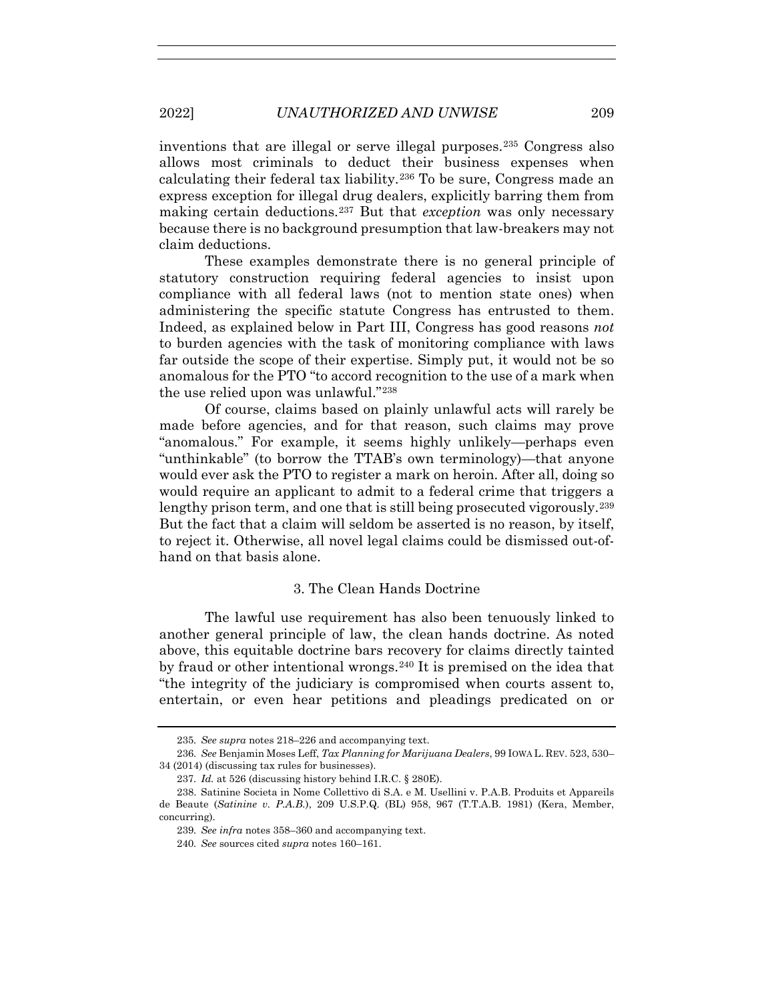inventions that are illegal or serve illegal purposes.235 Congress also allows most criminals to deduct their business expenses when calculating their federal tax liability.236 To be sure, Congress made an express exception for illegal drug dealers, explicitly barring them from making certain deductions.237 But that *exception* was only necessary because there is no background presumption that law-breakers may not claim deductions.

These examples demonstrate there is no general principle of statutory construction requiring federal agencies to insist upon compliance with all federal laws (not to mention state ones) when administering the specific statute Congress has entrusted to them. Indeed, as explained below in Part III, Congress has good reasons *not* to burden agencies with the task of monitoring compliance with laws far outside the scope of their expertise. Simply put, it would not be so anomalous for the PTO "to accord recognition to the use of a mark when the use relied upon was unlawful."238

Of course, claims based on plainly unlawful acts will rarely be made before agencies, and for that reason, such claims may prove "anomalous." For example, it seems highly unlikely—perhaps even "unthinkable" (to borrow the TTAB's own terminology)—that anyone would ever ask the PTO to register a mark on heroin. After all, doing so would require an applicant to admit to a federal crime that triggers a lengthy prison term, and one that is still being prosecuted vigorously.<sup>239</sup> But the fact that a claim will seldom be asserted is no reason, by itself, to reject it. Otherwise, all novel legal claims could be dismissed out-ofhand on that basis alone.

### 3. The Clean Hands Doctrine

The lawful use requirement has also been tenuously linked to another general principle of law, the clean hands doctrine. As noted above, this equitable doctrine bars recovery for claims directly tainted by fraud or other intentional wrongs.240 It is premised on the idea that "the integrity of the judiciary is compromised when courts assent to, entertain, or even hear petitions and pleadings predicated on or

<sup>235</sup>*. See supra* notes 218–226 and accompanying text.

<sup>236</sup>*. See* Benjamin Moses Leff, *Tax Planning for Marijuana Dealers*, 99 IOWA L. REV. 523, 530– 34 (2014) (discussing tax rules for businesses).

<sup>237</sup>*. Id.* at 526 (discussing history behind I.R.C. § 280E).

 <sup>238.</sup> Satinine Societa in Nome Collettivo di S.A. e M. Usellini v. P.A.B. Produits et Appareils de Beaute (*Satinine v. P.A.B.*), 209 U.S.P.Q. (BL) 958, 967 (T.T.A.B. 1981) (Kera, Member, concurring).

<sup>239</sup>*. See infra* notes 358–360 and accompanying text.

<sup>240</sup>*. See* sources cited *supra* notes 160–161.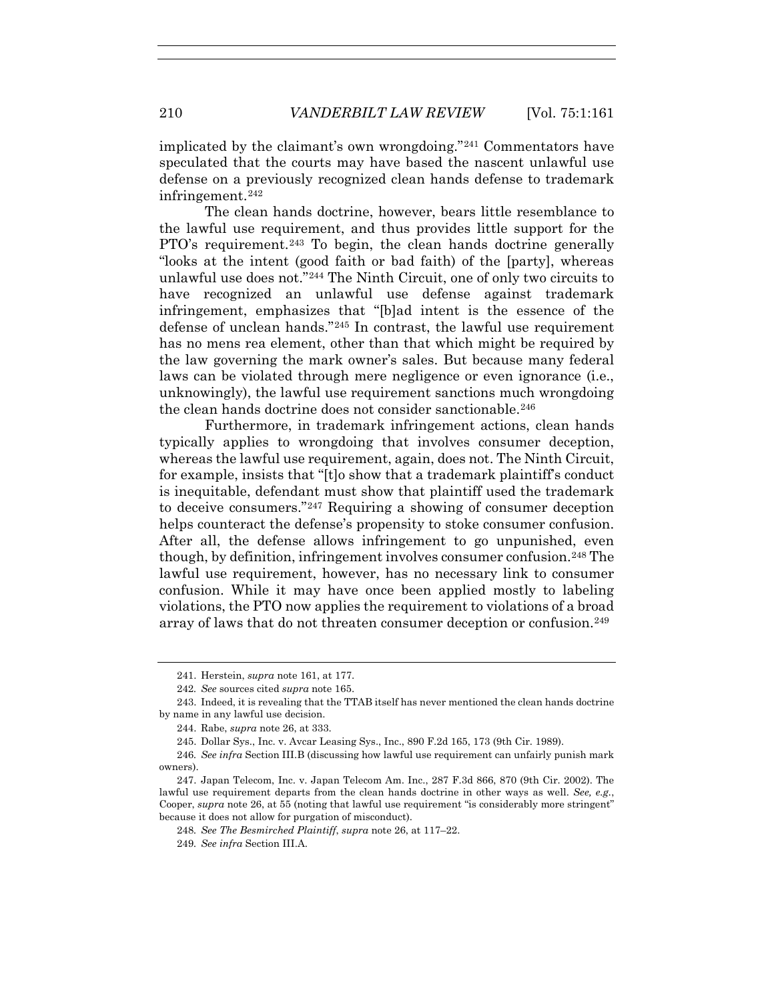implicated by the claimant's own wrongdoing."241 Commentators have speculated that the courts may have based the nascent unlawful use defense on a previously recognized clean hands defense to trademark infringement.242

The clean hands doctrine, however, bears little resemblance to the lawful use requirement, and thus provides little support for the PTO's requirement.243 To begin, the clean hands doctrine generally "looks at the intent (good faith or bad faith) of the [party], whereas unlawful use does not."244 The Ninth Circuit, one of only two circuits to have recognized an unlawful use defense against trademark infringement, emphasizes that "[b]ad intent is the essence of the defense of unclean hands."245 In contrast, the lawful use requirement has no mens rea element, other than that which might be required by the law governing the mark owner's sales. But because many federal laws can be violated through mere negligence or even ignorance (i.e., unknowingly), the lawful use requirement sanctions much wrongdoing the clean hands doctrine does not consider sanctionable.<sup>246</sup>

Furthermore, in trademark infringement actions, clean hands typically applies to wrongdoing that involves consumer deception, whereas the lawful use requirement, again, does not. The Ninth Circuit, for example, insists that "[t]o show that a trademark plaintiff's conduct is inequitable, defendant must show that plaintiff used the trademark to deceive consumers."247 Requiring a showing of consumer deception helps counteract the defense's propensity to stoke consumer confusion. After all, the defense allows infringement to go unpunished, even though, by definition, infringement involves consumer confusion.<sup>248</sup> The lawful use requirement, however, has no necessary link to consumer confusion. While it may have once been applied mostly to labeling violations, the PTO now applies the requirement to violations of a broad array of laws that do not threaten consumer deception or confusion.249

 <sup>241.</sup> Herstein, *supra* note 161, at 177.

<sup>242</sup>*. See* sources cited *supra* note 165.

 <sup>243.</sup> Indeed, it is revealing that the TTAB itself has never mentioned the clean hands doctrine by name in any lawful use decision.

 <sup>244.</sup> Rabe, *supra* note 26, at 333.

 <sup>245.</sup> Dollar Sys., Inc. v. Avcar Leasing Sys., Inc., 890 F.2d 165, 173 (9th Cir. 1989).

<sup>246</sup>*. See infra* Section III.B (discussing how lawful use requirement can unfairly punish mark owners).

 <sup>247.</sup> Japan Telecom, Inc. v. Japan Telecom Am. Inc., 287 F.3d 866, 870 (9th Cir. 2002). The lawful use requirement departs from the clean hands doctrine in other ways as well. *See, e.g.*, Cooper, *supra* note 26, at 55 (noting that lawful use requirement "is considerably more stringent" because it does not allow for purgation of misconduct).

<sup>248</sup>*. See The Besmirched Plaintiff*, *supra* note 26, at 117–22.

<sup>249</sup>*. See infra* Section III.A.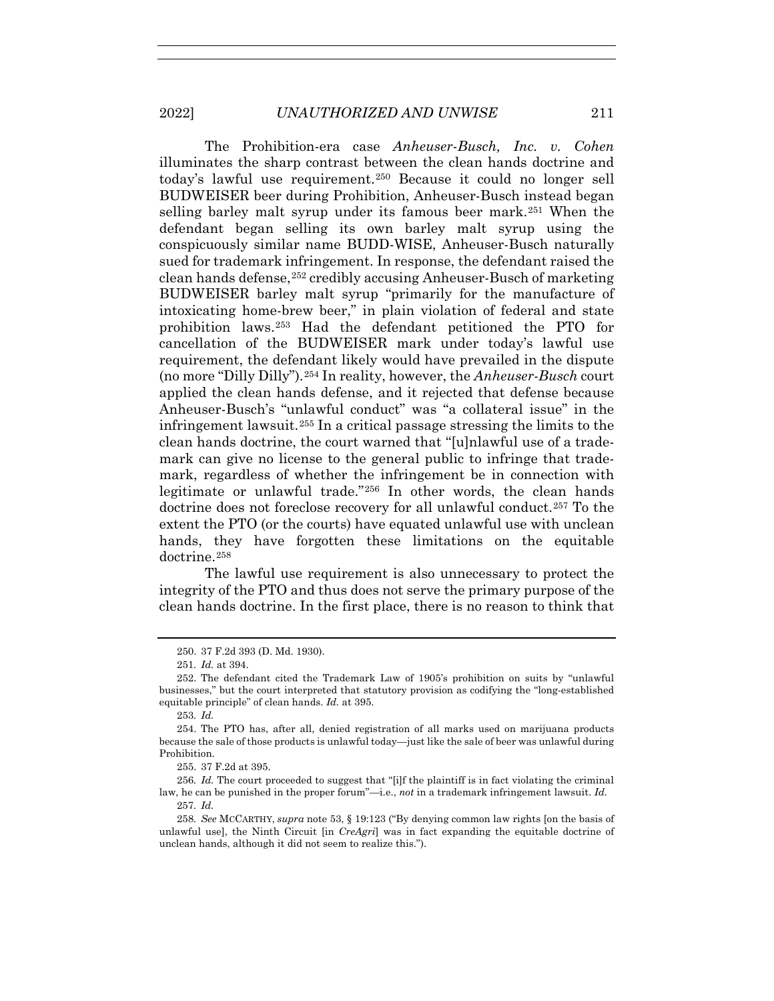The Prohibition-era case *Anheuser-Busch, Inc. v. Cohen* illuminates the sharp contrast between the clean hands doctrine and today's lawful use requirement.250 Because it could no longer sell BUDWEISER beer during Prohibition, Anheuser-Busch instead began selling barley malt syrup under its famous beer mark.251 When the defendant began selling its own barley malt syrup using the conspicuously similar name BUDD-WISE, Anheuser-Busch naturally sued for trademark infringement. In response, the defendant raised the clean hands defense,<sup>252</sup> credibly accusing Anheuser-Busch of marketing BUDWEISER barley malt syrup "primarily for the manufacture of intoxicating home-brew beer," in plain violation of federal and state prohibition laws.253 Had the defendant petitioned the PTO for cancellation of the BUDWEISER mark under today's lawful use requirement, the defendant likely would have prevailed in the dispute (no more "Dilly Dilly").254 In reality, however, the *Anheuser-Busch* court applied the clean hands defense, and it rejected that defense because Anheuser-Busch's "unlawful conduct" was "a collateral issue" in the infringement lawsuit.255 In a critical passage stressing the limits to the clean hands doctrine, the court warned that "[u]nlawful use of a trademark can give no license to the general public to infringe that trademark, regardless of whether the infringement be in connection with legitimate or unlawful trade."256 In other words, the clean hands doctrine does not foreclose recovery for all unlawful conduct.257 To the extent the PTO (or the courts) have equated unlawful use with unclean hands, they have forgotten these limitations on the equitable doctrine.258

The lawful use requirement is also unnecessary to protect the integrity of the PTO and thus does not serve the primary purpose of the clean hands doctrine. In the first place, there is no reason to think that

255. 37 F.2d at 395.

256*. Id.* The court proceeded to suggest that "[i]f the plaintiff is in fact violating the criminal law, he can be punished in the proper forum"—i.e., *not* in a trademark infringement lawsuit. *Id.* 257*. Id.*

 <sup>250. 37</sup> F.2d 393 (D. Md. 1930).

<sup>251</sup>*. Id.* at 394.

 <sup>252.</sup> The defendant cited the Trademark Law of 1905's prohibition on suits by "unlawful businesses," but the court interpreted that statutory provision as codifying the "long-established equitable principle" of clean hands. *Id.* at 395.

<sup>253</sup>*. Id.*

 <sup>254.</sup> The PTO has, after all, denied registration of all marks used on marijuana products because the sale of those products is unlawful today—just like the sale of beer was unlawful during Prohibition.

<sup>258</sup>*. See* MCCARTHY, *supra* note 53, § 19:123 ("By denying common law rights [on the basis of unlawful use], the Ninth Circuit [in *CreAgri*] was in fact expanding the equitable doctrine of unclean hands, although it did not seem to realize this.").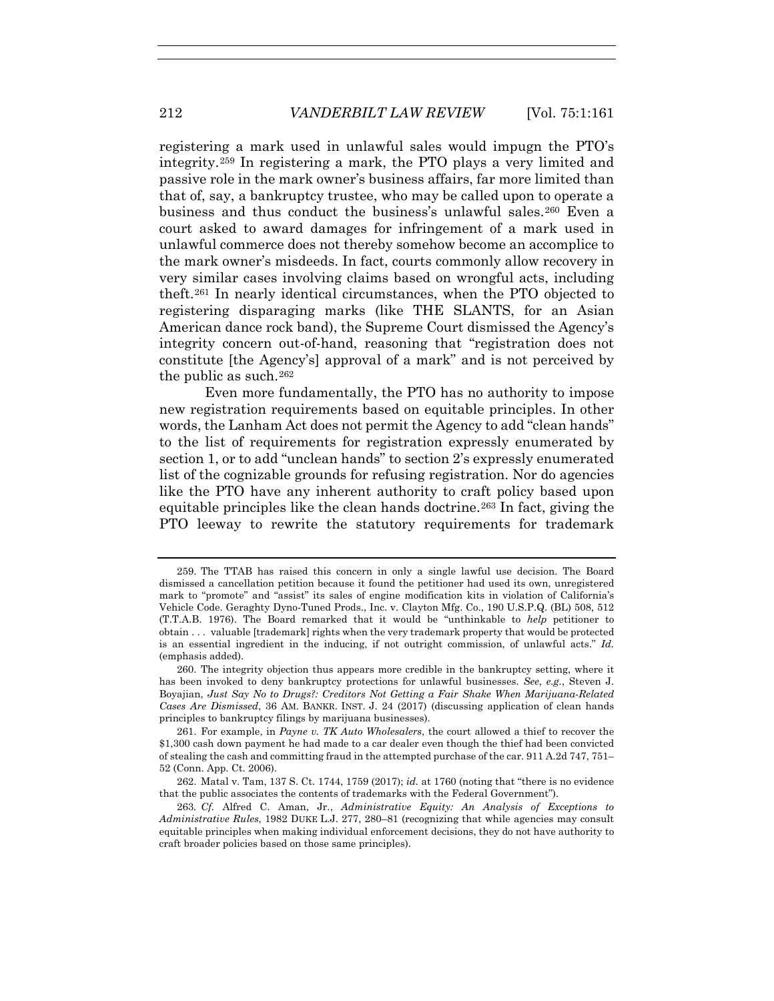registering a mark used in unlawful sales would impugn the PTO's integrity.259 In registering a mark, the PTO plays a very limited and passive role in the mark owner's business affairs, far more limited than that of, say, a bankruptcy trustee, who may be called upon to operate a business and thus conduct the business's unlawful sales.260 Even a court asked to award damages for infringement of a mark used in unlawful commerce does not thereby somehow become an accomplice to the mark owner's misdeeds. In fact, courts commonly allow recovery in very similar cases involving claims based on wrongful acts, including theft.261 In nearly identical circumstances, when the PTO objected to registering disparaging marks (like THE SLANTS, for an Asian American dance rock band), the Supreme Court dismissed the Agency's integrity concern out-of-hand, reasoning that "registration does not constitute [the Agency's] approval of a mark" and is not perceived by the public as such. $262$ 

Even more fundamentally, the PTO has no authority to impose new registration requirements based on equitable principles. In other words, the Lanham Act does not permit the Agency to add "clean hands" to the list of requirements for registration expressly enumerated by section 1, or to add "unclean hands" to section 2's expressly enumerated list of the cognizable grounds for refusing registration. Nor do agencies like the PTO have any inherent authority to craft policy based upon equitable principles like the clean hands doctrine.263 In fact, giving the PTO leeway to rewrite the statutory requirements for trademark

 <sup>259.</sup> The TTAB has raised this concern in only a single lawful use decision. The Board dismissed a cancellation petition because it found the petitioner had used its own, unregistered mark to "promote" and "assist" its sales of engine modification kits in violation of California's Vehicle Code. Geraghty Dyno-Tuned Prods., Inc. v. Clayton Mfg. Co., 190 U.S.P.Q. (BL) 508, 512 (T.T.A.B. 1976). The Board remarked that it would be "unthinkable to *help* petitioner to obtain . . . valuable [trademark] rights when the very trademark property that would be protected is an essential ingredient in the inducing, if not outright commission, of unlawful acts." *Id.*  (emphasis added).

 <sup>260.</sup> The integrity objection thus appears more credible in the bankruptcy setting, where it has been invoked to deny bankruptcy protections for unlawful businesses. *See*, *e.g.*, Steven J. Boyajian, *Just Say No to Drugs?: Creditors Not Getting a Fair Shake When Marijuana-Related Cases Are Dismissed*, 36 AM. BANKR. INST. J. 24 (2017) (discussing application of clean hands principles to bankruptcy filings by marijuana businesses).

 <sup>261.</sup> For example, in *Payne v. TK Auto Wholesalers*, the court allowed a thief to recover the \$1,300 cash down payment he had made to a car dealer even though the thief had been convicted of stealing the cash and committing fraud in the attempted purchase of the car. 911 A.2d 747, 751– 52 (Conn. App. Ct. 2006).

 <sup>262.</sup> Matal v. Tam, 137 S. Ct. 1744, 1759 (2017); *id.* at 1760 (noting that "there is no evidence that the public associates the contents of trademarks with the Federal Government").

<sup>263</sup>*. Cf.* Alfred C. Aman, Jr., *Administrative Equity: An Analysis of Exceptions to Administrative Rules*, 1982 DUKE L.J. 277, 280–81 (recognizing that while agencies may consult equitable principles when making individual enforcement decisions, they do not have authority to craft broader policies based on those same principles).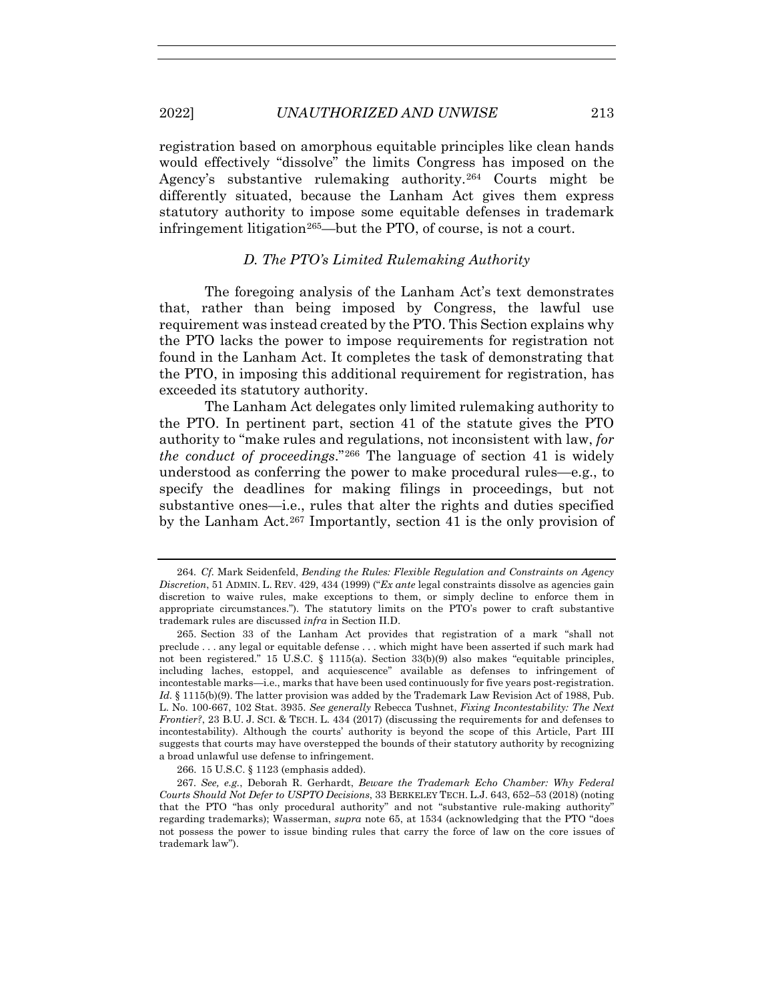registration based on amorphous equitable principles like clean hands would effectively "dissolve" the limits Congress has imposed on the Agency's substantive rulemaking authority.264 Courts might be differently situated, because the Lanham Act gives them express statutory authority to impose some equitable defenses in trademark infringement litigation<sup>265</sup>—but the PTO, of course, is not a court.

### *D. The PTO's Limited Rulemaking Authority*

The foregoing analysis of the Lanham Act's text demonstrates that, rather than being imposed by Congress, the lawful use requirement was instead created by the PTO. This Section explains why the PTO lacks the power to impose requirements for registration not found in the Lanham Act. It completes the task of demonstrating that the PTO, in imposing this additional requirement for registration, has exceeded its statutory authority.

The Lanham Act delegates only limited rulemaking authority to the PTO. In pertinent part, section 41 of the statute gives the PTO authority to "make rules and regulations, not inconsistent with law, *for the conduct of proceedings*."266 The language of section 41 is widely understood as conferring the power to make procedural rules—e.g., to specify the deadlines for making filings in proceedings, but not substantive ones—i.e., rules that alter the rights and duties specified by the Lanham Act.267 Importantly, section 41 is the only provision of

266. 15 U.S.C. § 1123 (emphasis added).

<sup>264</sup>*. Cf.* Mark Seidenfeld, *Bending the Rules: Flexible Regulation and Constraints on Agency Discretion*, 51 ADMIN. L. REV. 429, 434 (1999) ("*Ex ante* legal constraints dissolve as agencies gain discretion to waive rules, make exceptions to them, or simply decline to enforce them in appropriate circumstances."). The statutory limits on the PTO's power to craft substantive trademark rules are discussed *infra* in Section II.D.

 <sup>265.</sup> Section 33 of the Lanham Act provides that registration of a mark "shall not preclude . . . any legal or equitable defense . . . which might have been asserted if such mark had not been registered." 15 U.S.C. § 1115(a). Section 33(b)(9) also makes "equitable principles, including laches, estoppel, and acquiescence" available as defenses to infringement of incontestable marks—i.e., marks that have been used continuously for five years post-registration. Id. § 1115(b)(9). The latter provision was added by the Trademark Law Revision Act of 1988, Pub. L. No. 100-667, 102 Stat. 3935. *See generally* Rebecca Tushnet, *Fixing Incontestability: The Next Frontier?*, 23 B.U. J. SCI. & TECH. L. 434 (2017) (discussing the requirements for and defenses to incontestability). Although the courts' authority is beyond the scope of this Article, Part III suggests that courts may have overstepped the bounds of their statutory authority by recognizing a broad unlawful use defense to infringement.

<sup>267</sup>*. See, e.g.*, Deborah R. Gerhardt, *Beware the Trademark Echo Chamber: Why Federal Courts Should Not Defer to USPTO Decisions*, 33 BERKELEY TECH. L.J. 643, 652–53 (2018) (noting that the PTO "has only procedural authority" and not "substantive rule-making authority" regarding trademarks); Wasserman, *supra* note 65, at 1534 (acknowledging that the PTO "does not possess the power to issue binding rules that carry the force of law on the core issues of trademark law").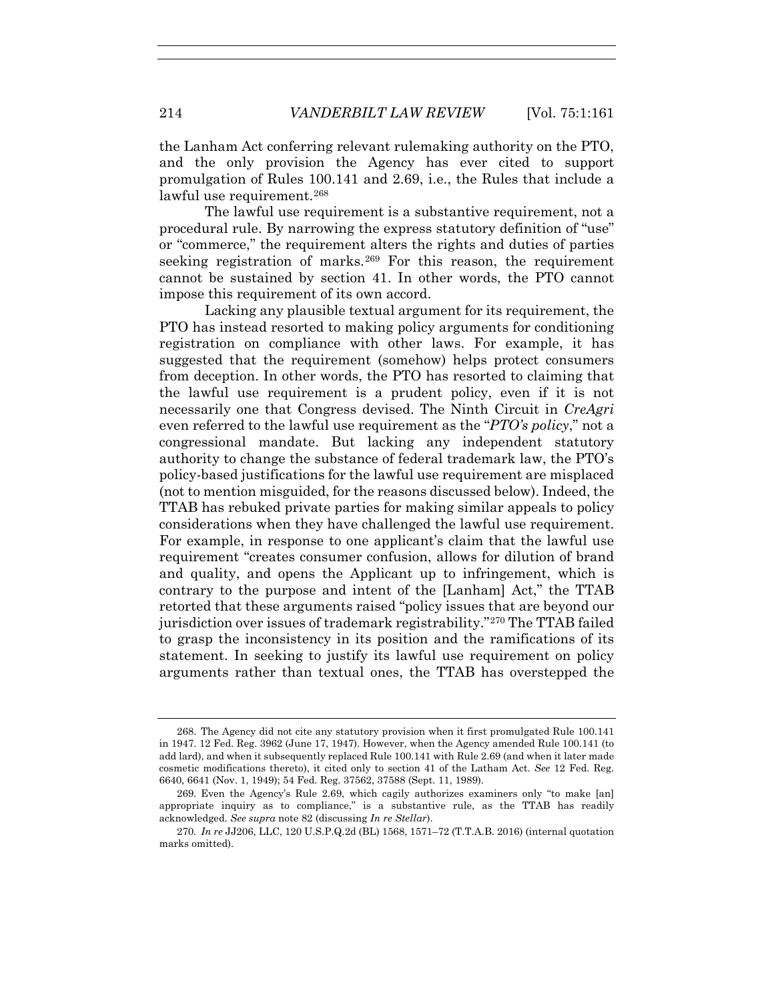the Lanham Act conferring relevant rulemaking authority on the PTO, and the only provision the Agency has ever cited to support promulgation of Rules 100.141 and 2.69, i.e., the Rules that include a lawful use requirement.<sup>268</sup>

The lawful use requirement is a substantive requirement, not a procedural rule. By narrowing the express statutory definition of "use" or "commerce," the requirement alters the rights and duties of parties seeking registration of marks.269 For this reason, the requirement cannot be sustained by section 41. In other words, the PTO cannot impose this requirement of its own accord.

Lacking any plausible textual argument for its requirement, the PTO has instead resorted to making policy arguments for conditioning registration on compliance with other laws. For example, it has suggested that the requirement (somehow) helps protect consumers from deception. In other words, the PTO has resorted to claiming that the lawful use requirement is a prudent policy, even if it is not necessarily one that Congress devised. The Ninth Circuit in *CreAgri* even referred to the lawful use requirement as the "*PTO's policy*," not a congressional mandate. But lacking any independent statutory authority to change the substance of federal trademark law, the PTO's policy-based justifications for the lawful use requirement are misplaced (not to mention misguided, for the reasons discussed below). Indeed, the TTAB has rebuked private parties for making similar appeals to policy considerations when they have challenged the lawful use requirement. For example, in response to one applicant's claim that the lawful use requirement "creates consumer confusion, allows for dilution of brand and quality, and opens the Applicant up to infringement, which is contrary to the purpose and intent of the [Lanham] Act," the TTAB retorted that these arguments raised "policy issues that are beyond our jurisdiction over issues of trademark registrability."270 The TTAB failed to grasp the inconsistency in its position and the ramifications of its statement. In seeking to justify its lawful use requirement on policy arguments rather than textual ones, the TTAB has overstepped the

 <sup>268.</sup> The Agency did not cite any statutory provision when it first promulgated Rule 100.141 in 1947. 12 Fed. Reg. 3962 (June 17, 1947). However, when the Agency amended Rule 100.141 (to add lard), and when it subsequently replaced Rule 100.141 with Rule 2.69 (and when it later made cosmetic modifications thereto), it cited only to section 41 of the Latham Act. *See* 12 Fed. Reg. 6640, 6641 (Nov. 1, 1949); 54 Fed. Reg. 37562, 37588 (Sept. 11, 1989).

<sup>269</sup>*.* Even the Agency's Rule 2.69, which cagily authorizes examiners only "to make [an] appropriate inquiry as to compliance," is a substantive rule, as the TTAB has readily acknowledged. *See supra* note 82 (discussing *In re Stellar*).

<sup>270</sup>*. In re* JJ206, LLC, 120 U.S.P.Q.2d (BL) 1568, 1571–72 (T.T.A.B. 2016) (internal quotation marks omitted).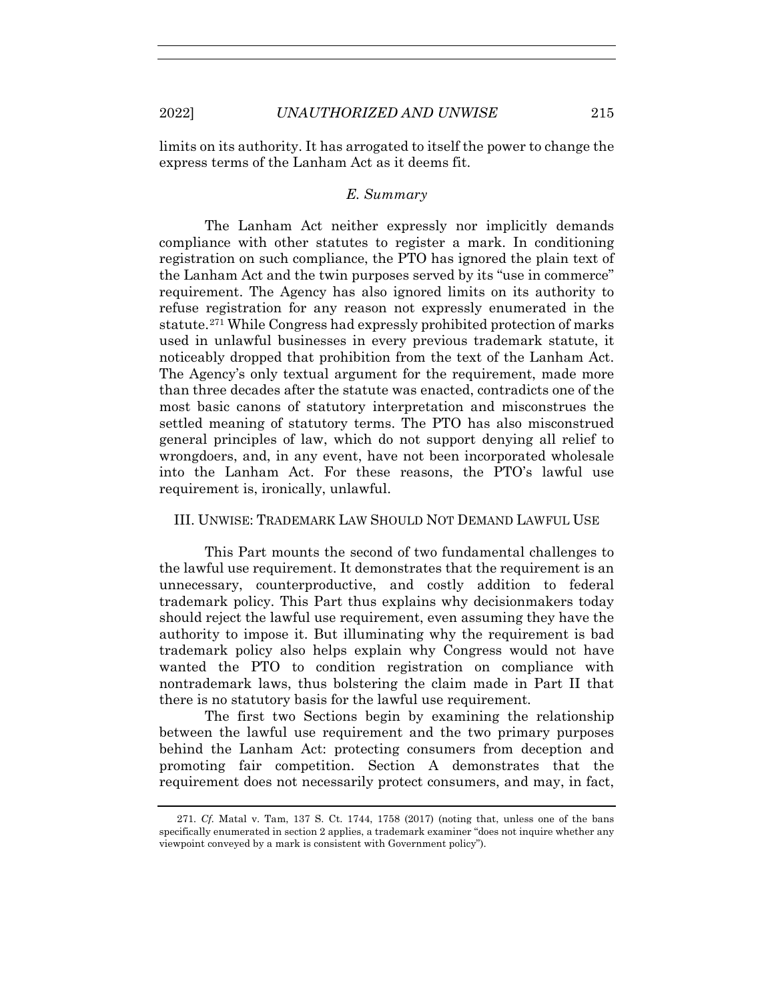limits on its authority. It has arrogated to itself the power to change the express terms of the Lanham Act as it deems fit.

## *E. Summary*

The Lanham Act neither expressly nor implicitly demands compliance with other statutes to register a mark. In conditioning registration on such compliance, the PTO has ignored the plain text of the Lanham Act and the twin purposes served by its "use in commerce" requirement. The Agency has also ignored limits on its authority to refuse registration for any reason not expressly enumerated in the statute.271 While Congress had expressly prohibited protection of marks used in unlawful businesses in every previous trademark statute, it noticeably dropped that prohibition from the text of the Lanham Act. The Agency's only textual argument for the requirement, made more than three decades after the statute was enacted, contradicts one of the most basic canons of statutory interpretation and misconstrues the settled meaning of statutory terms. The PTO has also misconstrued general principles of law, which do not support denying all relief to wrongdoers, and, in any event, have not been incorporated wholesale into the Lanham Act. For these reasons, the PTO's lawful use requirement is, ironically, unlawful.

# III. UNWISE: TRADEMARK LAW SHOULD NOT DEMAND LAWFUL USE

This Part mounts the second of two fundamental challenges to the lawful use requirement. It demonstrates that the requirement is an unnecessary, counterproductive, and costly addition to federal trademark policy. This Part thus explains why decisionmakers today should reject the lawful use requirement, even assuming they have the authority to impose it. But illuminating why the requirement is bad trademark policy also helps explain why Congress would not have wanted the PTO to condition registration on compliance with nontrademark laws, thus bolstering the claim made in Part II that there is no statutory basis for the lawful use requirement.

The first two Sections begin by examining the relationship between the lawful use requirement and the two primary purposes behind the Lanham Act: protecting consumers from deception and promoting fair competition. Section A demonstrates that the requirement does not necessarily protect consumers, and may, in fact,

<sup>271</sup>*. Cf.* Matal v. Tam, 137 S. Ct. 1744, 1758 (2017) (noting that, unless one of the bans specifically enumerated in section 2 applies, a trademark examiner "does not inquire whether any viewpoint conveyed by a mark is consistent with Government policy").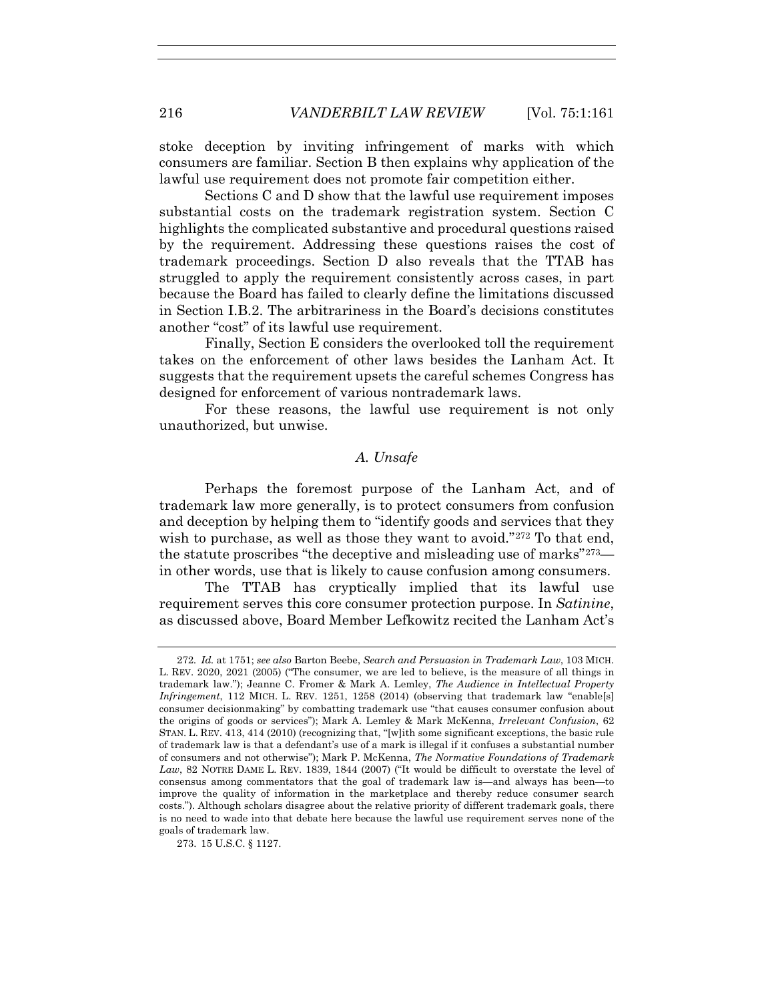stoke deception by inviting infringement of marks with which consumers are familiar. Section B then explains why application of the lawful use requirement does not promote fair competition either.

Sections C and D show that the lawful use requirement imposes substantial costs on the trademark registration system. Section C highlights the complicated substantive and procedural questions raised by the requirement. Addressing these questions raises the cost of trademark proceedings. Section D also reveals that the TTAB has struggled to apply the requirement consistently across cases, in part because the Board has failed to clearly define the limitations discussed in Section I.B.2. The arbitrariness in the Board's decisions constitutes another "cost" of its lawful use requirement.

Finally, Section E considers the overlooked toll the requirement takes on the enforcement of other laws besides the Lanham Act. It suggests that the requirement upsets the careful schemes Congress has designed for enforcement of various nontrademark laws.

For these reasons, the lawful use requirement is not only unauthorized, but unwise.

# *A. Unsafe*

Perhaps the foremost purpose of the Lanham Act, and of trademark law more generally, is to protect consumers from confusion and deception by helping them to "identify goods and services that they wish to purchase, as well as those they want to avoid."<sup>272</sup> To that end, the statute proscribes "the deceptive and misleading use of marks"273 in other words, use that is likely to cause confusion among consumers.

The TTAB has cryptically implied that its lawful use requirement serves this core consumer protection purpose. In *Satinine*, as discussed above, Board Member Lefkowitz recited the Lanham Act's

<sup>272</sup>*. Id.* at 1751; *see also* Barton Beebe, *Search and Persuasion in Trademark Law*, 103 MICH. L. REV. 2020, 2021 (2005) ("The consumer, we are led to believe, is the measure of all things in trademark law."); Jeanne C. Fromer & Mark A. Lemley, *The Audience in Intellectual Property Infringement*, 112 MICH. L. REV. 1251, 1258 (2014) (observing that trademark law "enable[s] consumer decisionmaking" by combatting trademark use "that causes consumer confusion about the origins of goods or services"); Mark A. Lemley & Mark McKenna, *Irrelevant Confusion*, 62 STAN. L. REV. 413, 414 (2010) (recognizing that, "[w]ith some significant exceptions, the basic rule of trademark law is that a defendant's use of a mark is illegal if it confuses a substantial number of consumers and not otherwise"); Mark P. McKenna, *The Normative Foundations of Trademark Law*, 82 NOTRE DAME L. REV. 1839, 1844 (2007) ("It would be difficult to overstate the level of consensus among commentators that the goal of trademark law is—and always has been—to improve the quality of information in the marketplace and thereby reduce consumer search costs."). Although scholars disagree about the relative priority of different trademark goals, there is no need to wade into that debate here because the lawful use requirement serves none of the goals of trademark law.

 <sup>273. 15</sup> U.S.C. § 1127.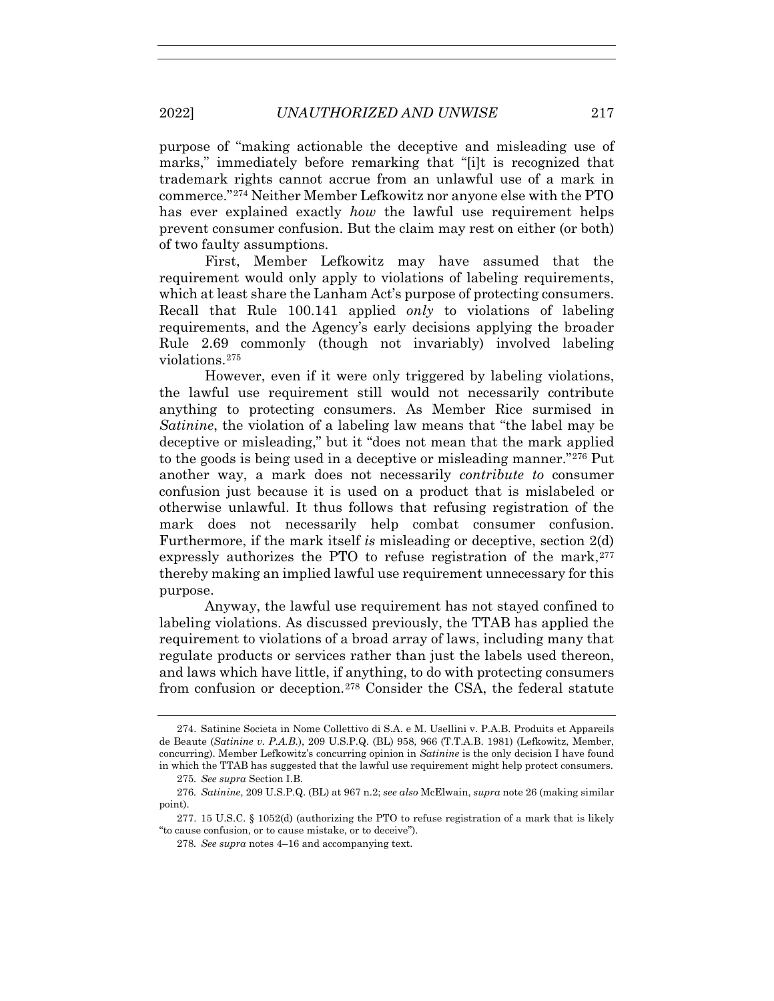purpose of "making actionable the deceptive and misleading use of marks," immediately before remarking that "[i]t is recognized that trademark rights cannot accrue from an unlawful use of a mark in commerce."274 Neither Member Lefkowitz nor anyone else with the PTO has ever explained exactly *how* the lawful use requirement helps prevent consumer confusion. But the claim may rest on either (or both) of two faulty assumptions.

First, Member Lefkowitz may have assumed that the requirement would only apply to violations of labeling requirements, which at least share the Lanham Act's purpose of protecting consumers. Recall that Rule 100.141 applied *only* to violations of labeling requirements, and the Agency's early decisions applying the broader Rule 2.69 commonly (though not invariably) involved labeling violations.275

However, even if it were only triggered by labeling violations, the lawful use requirement still would not necessarily contribute anything to protecting consumers. As Member Rice surmised in *Satinine*, the violation of a labeling law means that "the label may be deceptive or misleading," but it "does not mean that the mark applied to the goods is being used in a deceptive or misleading manner."276 Put another way, a mark does not necessarily *contribute to* consumer confusion just because it is used on a product that is mislabeled or otherwise unlawful. It thus follows that refusing registration of the mark does not necessarily help combat consumer confusion. Furthermore, if the mark itself *is* misleading or deceptive, section 2(d) expressly authorizes the PTO to refuse registration of the mark,  $277$ thereby making an implied lawful use requirement unnecessary for this purpose.

Anyway, the lawful use requirement has not stayed confined to labeling violations. As discussed previously, the TTAB has applied the requirement to violations of a broad array of laws, including many that regulate products or services rather than just the labels used thereon, and laws which have little, if anything, to do with protecting consumers from confusion or deception.278 Consider the CSA, the federal statute

 <sup>274.</sup> Satinine Societa in Nome Collettivo di S.A. e M. Usellini v. P.A.B. Produits et Appareils de Beaute (*Satinine v. P.A.B.*), 209 U.S.P.Q. (BL) 958, 966 (T.T.A.B. 1981) (Lefkowitz, Member, concurring). Member Lefkowitz's concurring opinion in *Satinine* is the only decision I have found in which the TTAB has suggested that the lawful use requirement might help protect consumers.

<sup>275</sup>*. See supra* Section I.B.

<sup>276</sup>*. Satinine*, 209 U.S.P.Q. (BL) at 967 n.2; *see also* McElwain, *supra* note 26 (making similar point).

 <sup>277. 15</sup> U.S.C. § 1052(d) (authorizing the PTO to refuse registration of a mark that is likely "to cause confusion, or to cause mistake, or to deceive").

<sup>278</sup>*. See supra* notes 4–16 and accompanying text.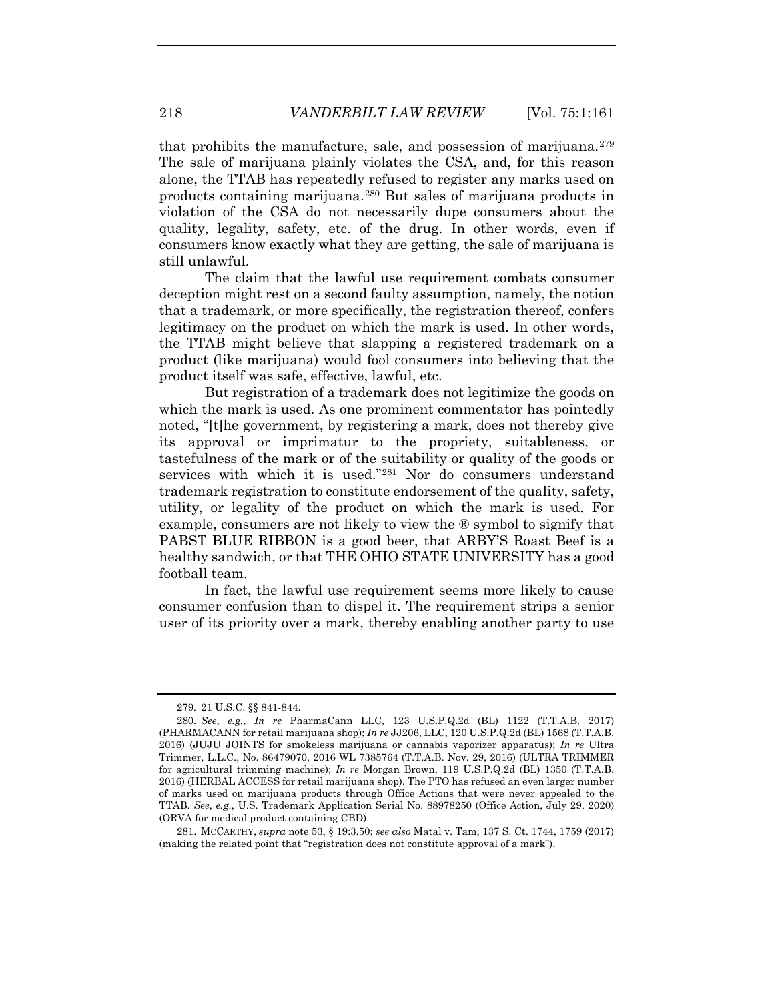that prohibits the manufacture, sale, and possession of marijuana. $279$ The sale of marijuana plainly violates the CSA, and, for this reason alone, the TTAB has repeatedly refused to register any marks used on products containing marijuana.280 But sales of marijuana products in violation of the CSA do not necessarily dupe consumers about the quality, legality, safety, etc. of the drug. In other words, even if consumers know exactly what they are getting, the sale of marijuana is still unlawful.

The claim that the lawful use requirement combats consumer deception might rest on a second faulty assumption, namely, the notion that a trademark, or more specifically, the registration thereof, confers legitimacy on the product on which the mark is used. In other words, the TTAB might believe that slapping a registered trademark on a product (like marijuana) would fool consumers into believing that the product itself was safe, effective, lawful, etc.

But registration of a trademark does not legitimize the goods on which the mark is used. As one prominent commentator has pointedly noted, "[t]he government, by registering a mark, does not thereby give its approval or imprimatur to the propriety, suitableness, or tastefulness of the mark or of the suitability or quality of the goods or services with which it is used."281 Nor do consumers understand trademark registration to constitute endorsement of the quality, safety, utility, or legality of the product on which the mark is used. For example, consumers are not likely to view the ® symbol to signify that PABST BLUE RIBBON is a good beer, that ARBY'S Roast Beef is a healthy sandwich, or that THE OHIO STATE UNIVERSITY has a good football team.

In fact, the lawful use requirement seems more likely to cause consumer confusion than to dispel it. The requirement strips a senior user of its priority over a mark, thereby enabling another party to use

<sup>279</sup>*.* 21 U.S.C. §§ 841-844.

<sup>280</sup>*. See*, *e.g.*, *In re* PharmaCann LLC, 123 U.S.P.Q.2d (BL) 1122 (T.T.A.B. 2017) (PHARMACANN for retail marijuana shop); *In re* JJ206, LLC, 120 U.S.P.Q.2d (BL) 1568 (T.T.A.B. 2016) (JUJU JOINTS for smokeless marijuana or cannabis vaporizer apparatus); *In re* Ultra Trimmer, L.L.C., No. 86479070, 2016 WL 7385764 (T.T.A.B. Nov. 29, 2016) (ULTRA TRIMMER for agricultural trimming machine); *In re* Morgan Brown, 119 U.S.P.Q.2d (BL) 1350 (T.T.A.B. 2016) (HERBAL ACCESS for retail marijuana shop). The PTO has refused an even larger number of marks used on marijuana products through Office Actions that were never appealed to the TTAB. *See*, *e.g*., U.S. Trademark Application Serial No. 88978250 (Office Action, July 29, 2020) (ORVA for medical product containing CBD).

 <sup>281.</sup> MCCARTHY, *supra* note 53, § 19:3.50; *see also* Matal v. Tam, 137 S. Ct. 1744, 1759 (2017) (making the related point that "registration does not constitute approval of a mark").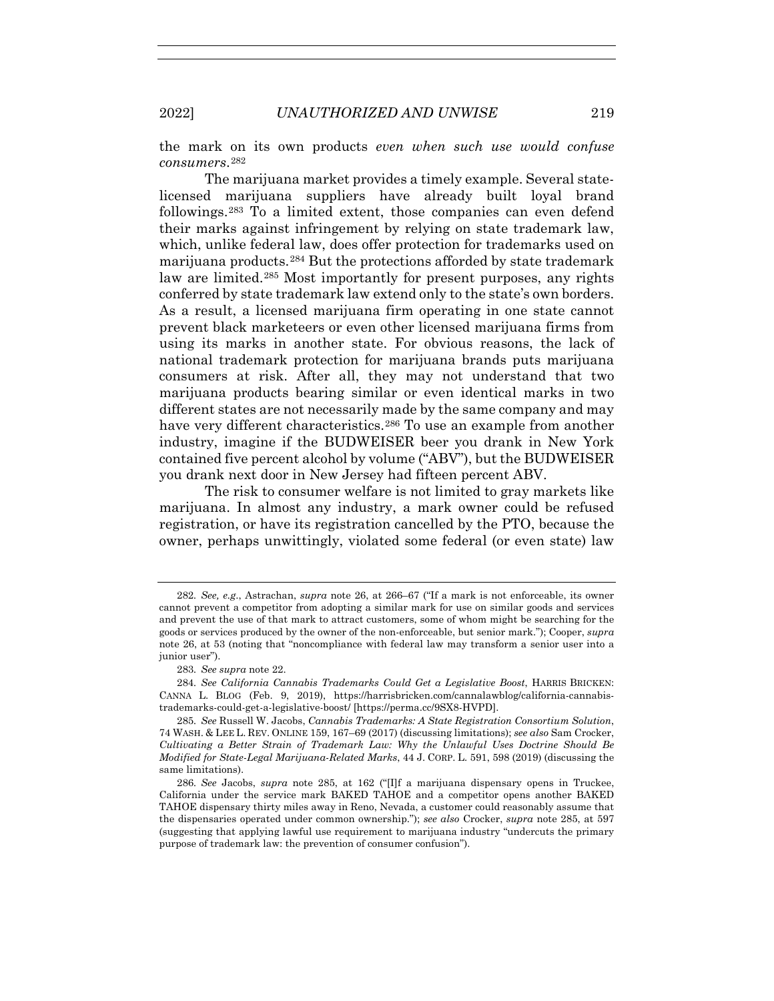the mark on its own products *even when such use would confuse consumers*.282

The marijuana market provides a timely example. Several statelicensed marijuana suppliers have already built loyal brand followings.283 To a limited extent, those companies can even defend their marks against infringement by relying on state trademark law, which, unlike federal law, does offer protection for trademarks used on marijuana products.284 But the protections afforded by state trademark law are limited.<sup>285</sup> Most importantly for present purposes, any rights conferred by state trademark law extend only to the state's own borders. As a result, a licensed marijuana firm operating in one state cannot prevent black marketeers or even other licensed marijuana firms from using its marks in another state. For obvious reasons, the lack of national trademark protection for marijuana brands puts marijuana consumers at risk. After all, they may not understand that two marijuana products bearing similar or even identical marks in two different states are not necessarily made by the same company and may have very different characteristics.<sup>286</sup> To use an example from another industry, imagine if the BUDWEISER beer you drank in New York contained five percent alcohol by volume ("ABV"), but the BUDWEISER you drank next door in New Jersey had fifteen percent ABV.

The risk to consumer welfare is not limited to gray markets like marijuana. In almost any industry, a mark owner could be refused registration, or have its registration cancelled by the PTO, because the owner, perhaps unwittingly, violated some federal (or even state) law

<sup>282</sup>*. See, e.g*., Astrachan, *supra* note 26, at 266–67 ("If a mark is not enforceable, its owner cannot prevent a competitor from adopting a similar mark for use on similar goods and services and prevent the use of that mark to attract customers, some of whom might be searching for the goods or services produced by the owner of the non-enforceable, but senior mark."); Cooper, *supra* note 26, at 53 (noting that "noncompliance with federal law may transform a senior user into a junior user").

<sup>283</sup>*. See supra* note 22.

<sup>284</sup>*. See California Cannabis Trademarks Could Get a Legislative Boost*, HARRIS BRICKEN: CANNA L. BLOG (Feb. 9, 2019), https://harrisbricken.com/cannalawblog/california-cannabistrademarks-could-get-a-legislative-boost/ [https://perma.cc/9SX8-HVPD].

<sup>285</sup>*. See* Russell W. Jacobs, *Cannabis Trademarks: A State Registration Consortium Solution*, 74 WASH. & LEE L. REV. ONLINE 159, 167–69 (2017) (discussing limitations); *see also* Sam Crocker, *Cultivating a Better Strain of Trademark Law: Why the Unlawful Uses Doctrine Should Be Modified for State-Legal Marijuana-Related Marks*, 44 J. CORP. L. 591, 598 (2019) (discussing the same limitations).

<sup>286</sup>*. See* Jacobs, *supra* note 285, at 162 ("[I]f a marijuana dispensary opens in Truckee, California under the service mark BAKED TAHOE and a competitor opens another BAKED TAHOE dispensary thirty miles away in Reno, Nevada, a customer could reasonably assume that the dispensaries operated under common ownership."); *see also* Crocker, *supra* note 285, at 597 (suggesting that applying lawful use requirement to marijuana industry "undercuts the primary purpose of trademark law: the prevention of consumer confusion").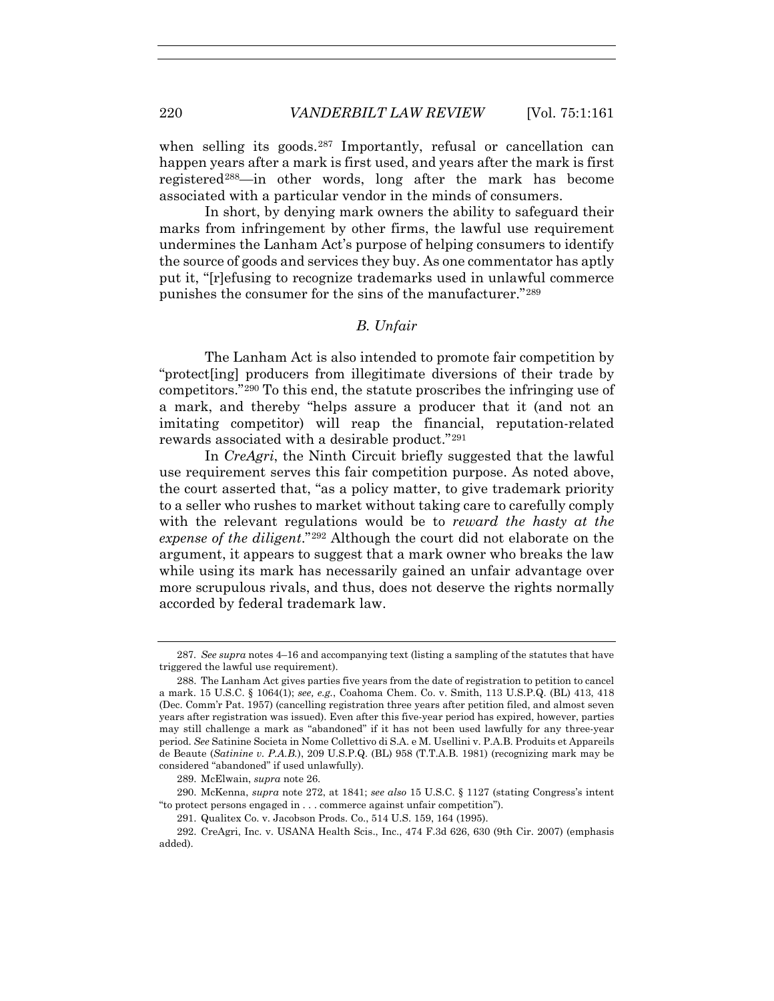when selling its goods.<sup>287</sup> Importantly, refusal or cancellation can happen years after a mark is first used, and years after the mark is first registered<sup>288</sup>—in other words, long after the mark has become associated with a particular vendor in the minds of consumers.

In short, by denying mark owners the ability to safeguard their marks from infringement by other firms, the lawful use requirement undermines the Lanham Act's purpose of helping consumers to identify the source of goods and services they buy. As one commentator has aptly put it, "[r]efusing to recognize trademarks used in unlawful commerce punishes the consumer for the sins of the manufacturer."289

## *B. Unfair*

The Lanham Act is also intended to promote fair competition by "protect[ing] producers from illegitimate diversions of their trade by competitors."290 To this end, the statute proscribes the infringing use of a mark, and thereby "helps assure a producer that it (and not an imitating competitor) will reap the financial, reputation-related rewards associated with a desirable product."291

In *CreAgri*, the Ninth Circuit briefly suggested that the lawful use requirement serves this fair competition purpose. As noted above, the court asserted that, "as a policy matter, to give trademark priority to a seller who rushes to market without taking care to carefully comply with the relevant regulations would be to *reward the hasty at the expense of the diligent*."292 Although the court did not elaborate on the argument, it appears to suggest that a mark owner who breaks the law while using its mark has necessarily gained an unfair advantage over more scrupulous rivals, and thus, does not deserve the rights normally accorded by federal trademark law.

<sup>287</sup>*. See supra* notes 4–16 and accompanying text (listing a sampling of the statutes that have triggered the lawful use requirement).

 <sup>288.</sup> The Lanham Act gives parties five years from the date of registration to petition to cancel a mark. 15 U.S.C. § 1064(1); *see, e.g.*, Coahoma Chem. Co. v. Smith, 113 U.S.P.Q. (BL) 413, 418 (Dec. Comm'r Pat. 1957) (cancelling registration three years after petition filed, and almost seven years after registration was issued). Even after this five-year period has expired, however, parties may still challenge a mark as "abandoned" if it has not been used lawfully for any three-year period. *See* Satinine Societa in Nome Collettivo di S.A. e M. Usellini v. P.A.B. Produits et Appareils de Beaute (*Satinine v. P.A.B.*), 209 U.S.P.Q. (BL) 958 (T.T.A.B. 1981) (recognizing mark may be considered "abandoned" if used unlawfully).

 <sup>289.</sup> McElwain, *supra* note 26.

 <sup>290.</sup> McKenna, *supra* note 272, at 1841; *see also* 15 U.S.C. § 1127 (stating Congress's intent "to protect persons engaged in . . . commerce against unfair competition").

 <sup>291.</sup> Qualitex Co. v. Jacobson Prods. Co., 514 U.S. 159, 164 (1995).

 <sup>292.</sup> CreAgri, Inc. v. USANA Health Scis., Inc., 474 F.3d 626, 630 (9th Cir. 2007) (emphasis added).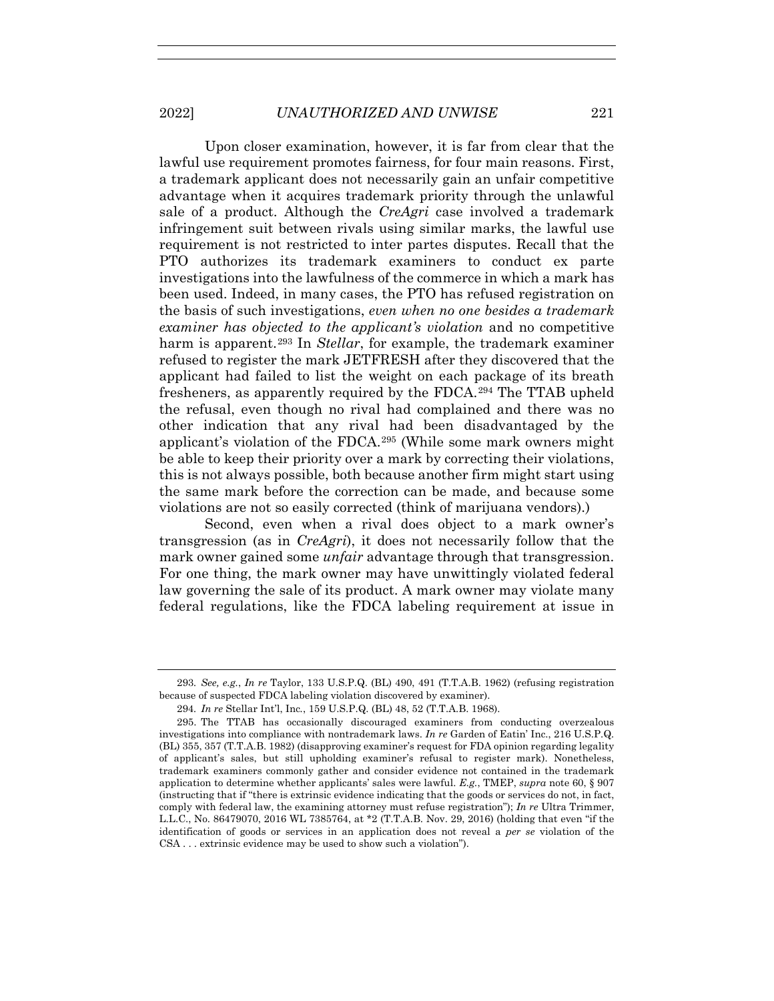Upon closer examination, however, it is far from clear that the lawful use requirement promotes fairness, for four main reasons. First, a trademark applicant does not necessarily gain an unfair competitive advantage when it acquires trademark priority through the unlawful sale of a product. Although the *CreAgri* case involved a trademark infringement suit between rivals using similar marks, the lawful use requirement is not restricted to inter partes disputes. Recall that the PTO authorizes its trademark examiners to conduct ex parte investigations into the lawfulness of the commerce in which a mark has been used. Indeed, in many cases, the PTO has refused registration on the basis of such investigations, *even when no one besides a trademark examiner has objected to the applicant's violation* and no competitive harm is apparent.<sup>293</sup> In *Stellar*, for example, the trademark examiner refused to register the mark JETFRESH after they discovered that the applicant had failed to list the weight on each package of its breath fresheners, as apparently required by the FDCA.294 The TTAB upheld the refusal, even though no rival had complained and there was no other indication that any rival had been disadvantaged by the applicant's violation of the FDCA.295 (While some mark owners might be able to keep their priority over a mark by correcting their violations, this is not always possible, both because another firm might start using the same mark before the correction can be made, and because some violations are not so easily corrected (think of marijuana vendors).)

Second, even when a rival does object to a mark owner's transgression (as in *CreAgri*), it does not necessarily follow that the mark owner gained some *unfair* advantage through that transgression. For one thing, the mark owner may have unwittingly violated federal law governing the sale of its product. A mark owner may violate many federal regulations, like the FDCA labeling requirement at issue in

<sup>293</sup>*. See, e.g.*, *In re* Taylor, 133 U.S.P.Q. (BL) 490, 491 (T.T.A.B. 1962) (refusing registration because of suspected FDCA labeling violation discovered by examiner).

<sup>294</sup>*. In re* Stellar Int'l, Inc*.*, 159 U.S.P.Q. (BL) 48, 52 (T.T.A.B. 1968).

 <sup>295.</sup> The TTAB has occasionally discouraged examiners from conducting overzealous investigations into compliance with nontrademark laws. *In re* Garden of Eatin' Inc., 216 U.S.P.Q. (BL) 355, 357 (T.T.A.B. 1982) (disapproving examiner's request for FDA opinion regarding legality of applicant's sales, but still upholding examiner's refusal to register mark). Nonetheless, trademark examiners commonly gather and consider evidence not contained in the trademark application to determine whether applicants' sales were lawful. *E.g.*, TMEP, *supra* note 60, § 907 (instructing that if "there is extrinsic evidence indicating that the goods or services do not, in fact, comply with federal law, the examining attorney must refuse registration"); *In re* Ultra Trimmer, L.L.C., No. 86479070, 2016 WL 7385764, at \*2 (T.T.A.B. Nov. 29, 2016) (holding that even "if the identification of goods or services in an application does not reveal a *per se* violation of the CSA . . . extrinsic evidence may be used to show such a violation").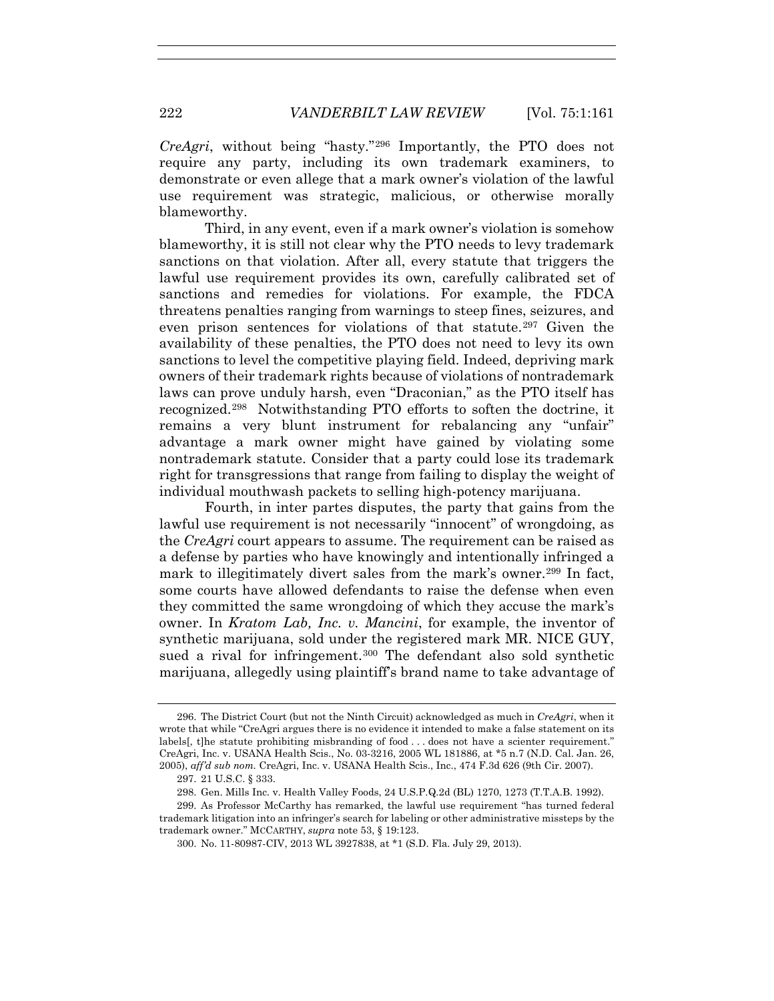*CreAgri*, without being "hasty."296 Importantly, the PTO does not require any party, including its own trademark examiners, to demonstrate or even allege that a mark owner's violation of the lawful use requirement was strategic, malicious, or otherwise morally blameworthy.

Third, in any event, even if a mark owner's violation is somehow blameworthy, it is still not clear why the PTO needs to levy trademark sanctions on that violation. After all, every statute that triggers the lawful use requirement provides its own, carefully calibrated set of sanctions and remedies for violations. For example, the FDCA threatens penalties ranging from warnings to steep fines, seizures, and even prison sentences for violations of that statute.<sup>297</sup> Given the availability of these penalties, the PTO does not need to levy its own sanctions to level the competitive playing field. Indeed, depriving mark owners of their trademark rights because of violations of nontrademark laws can prove unduly harsh, even "Draconian," as the PTO itself has recognized.298 Notwithstanding PTO efforts to soften the doctrine, it remains a very blunt instrument for rebalancing any "unfair" advantage a mark owner might have gained by violating some nontrademark statute. Consider that a party could lose its trademark right for transgressions that range from failing to display the weight of individual mouthwash packets to selling high-potency marijuana.

Fourth, in inter partes disputes, the party that gains from the lawful use requirement is not necessarily "innocent" of wrongdoing, as the *CreAgri* court appears to assume. The requirement can be raised as a defense by parties who have knowingly and intentionally infringed a mark to illegitimately divert sales from the mark's owner.299 In fact, some courts have allowed defendants to raise the defense when even they committed the same wrongdoing of which they accuse the mark's owner. In *Kratom Lab, Inc. v. Mancini*, for example, the inventor of synthetic marijuana, sold under the registered mark MR. NICE GUY, sued a rival for infringement.<sup>300</sup> The defendant also sold synthetic marijuana, allegedly using plaintiff's brand name to take advantage of

 <sup>296.</sup> The District Court (but not the Ninth Circuit) acknowledged as much in *CreAgri*, when it wrote that while "CreAgri argues there is no evidence it intended to make a false statement on its labels[, t]he statute prohibiting misbranding of food . . . does not have a scienter requirement." CreAgri, Inc. v. USANA Health Scis., No. 03-3216, 2005 WL 181886, at \*5 n.7 (N.D. Cal. Jan. 26, 2005), *aff'd sub nom.* CreAgri, Inc. v. USANA Health Scis., Inc., 474 F.3d 626 (9th Cir. 2007).

 <sup>297. 21</sup> U.S.C. § 333.

 <sup>298.</sup> Gen. Mills Inc. v. Health Valley Foods, 24 U.S.P.Q.2d (BL) 1270, 1273 (T.T.A.B. 1992).

 <sup>299.</sup> As Professor McCarthy has remarked, the lawful use requirement "has turned federal trademark litigation into an infringer's search for labeling or other administrative missteps by the trademark owner." MCCARTHY, *supra* note 53, § 19:123.

 <sup>300.</sup> No. 11-80987-CIV, 2013 WL 3927838, at \*1 (S.D. Fla. July 29, 2013).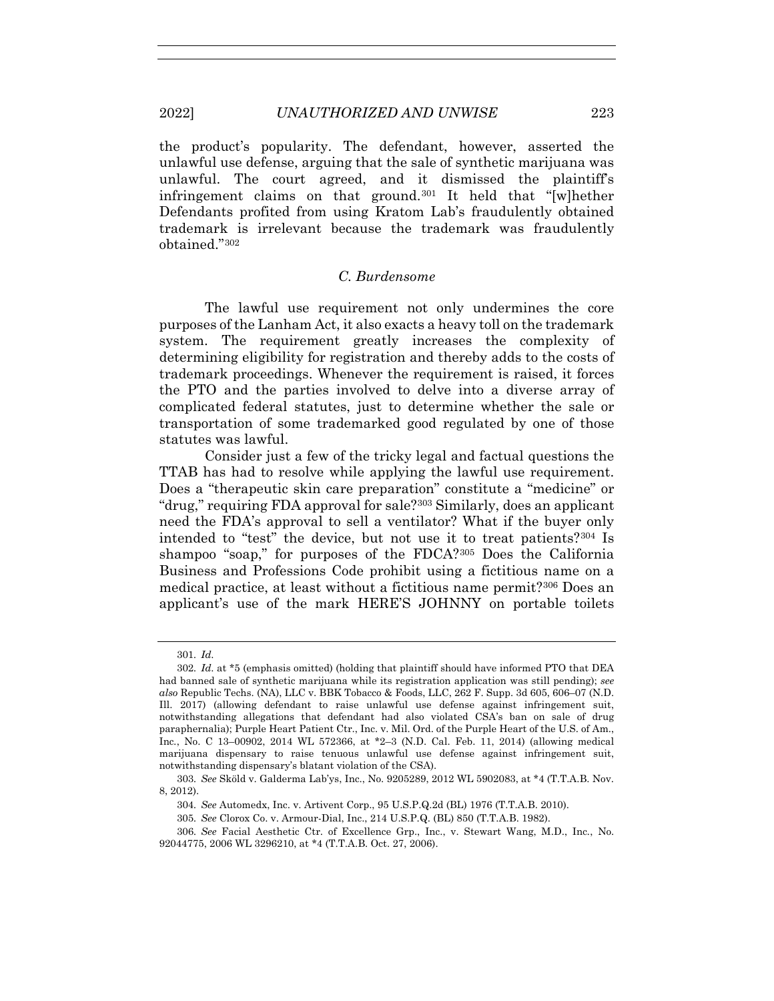the product's popularity. The defendant, however, asserted the unlawful use defense, arguing that the sale of synthetic marijuana was unlawful. The court agreed, and it dismissed the plaintiff's infringement claims on that ground.301 It held that "[w]hether Defendants profited from using Kratom Lab's fraudulently obtained trademark is irrelevant because the trademark was fraudulently obtained."302

# *C. Burdensome*

The lawful use requirement not only undermines the core purposes of the Lanham Act, it also exacts a heavy toll on the trademark system. The requirement greatly increases the complexity of determining eligibility for registration and thereby adds to the costs of trademark proceedings. Whenever the requirement is raised, it forces the PTO and the parties involved to delve into a diverse array of complicated federal statutes, just to determine whether the sale or transportation of some trademarked good regulated by one of those statutes was lawful.

Consider just a few of the tricky legal and factual questions the TTAB has had to resolve while applying the lawful use requirement. Does a "therapeutic skin care preparation" constitute a "medicine" or "drug," requiring FDA approval for sale?303 Similarly, does an applicant need the FDA's approval to sell a ventilator? What if the buyer only intended to "test" the device, but not use it to treat patients?304 Is shampoo "soap," for purposes of the FDCA?305 Does the California Business and Professions Code prohibit using a fictitious name on a medical practice, at least without a fictitious name permit?306 Does an applicant's use of the mark HERE'S JOHNNY on portable toilets

<sup>301</sup>*. Id*.

<sup>302</sup>*. Id*. at \*5 (emphasis omitted) (holding that plaintiff should have informed PTO that DEA had banned sale of synthetic marijuana while its registration application was still pending); *see also* Republic Techs. (NA), LLC v. BBK Tobacco & Foods, LLC, 262 F. Supp. 3d 605, 606–07 (N.D. Ill. 2017) (allowing defendant to raise unlawful use defense against infringement suit, notwithstanding allegations that defendant had also violated CSA's ban on sale of drug paraphernalia); Purple Heart Patient Ctr., Inc. v. Mil. Ord. of the Purple Heart of the U.S. of Am., Inc*.*, No. C 13–00902, 2014 WL 572366, at \*2–3 (N.D. Cal. Feb. 11, 2014) (allowing medical marijuana dispensary to raise tenuous unlawful use defense against infringement suit, notwithstanding dispensary's blatant violation of the CSA).

<sup>303</sup>*. See* Sköld v. Galderma Lab'ys, Inc., No. 9205289, 2012 WL 5902083, at \*4 (T.T.A.B. Nov. 8, 2012).

<sup>304</sup>*. See* Automedx, Inc. v. Artivent Corp., 95 U.S.P.Q.2d (BL) 1976 (T.T.A.B. 2010).

<sup>305</sup>*. See* Clorox Co. v. Armour-Dial, Inc., 214 U.S.P.Q. (BL) 850 (T.T.A.B. 1982).

<sup>306</sup>*. See* Facial Aesthetic Ctr. of Excellence Grp., Inc., v. Stewart Wang, M.D., Inc*.*, No. 92044775, 2006 WL 3296210, at \*4 (T.T.A.B. Oct. 27, 2006).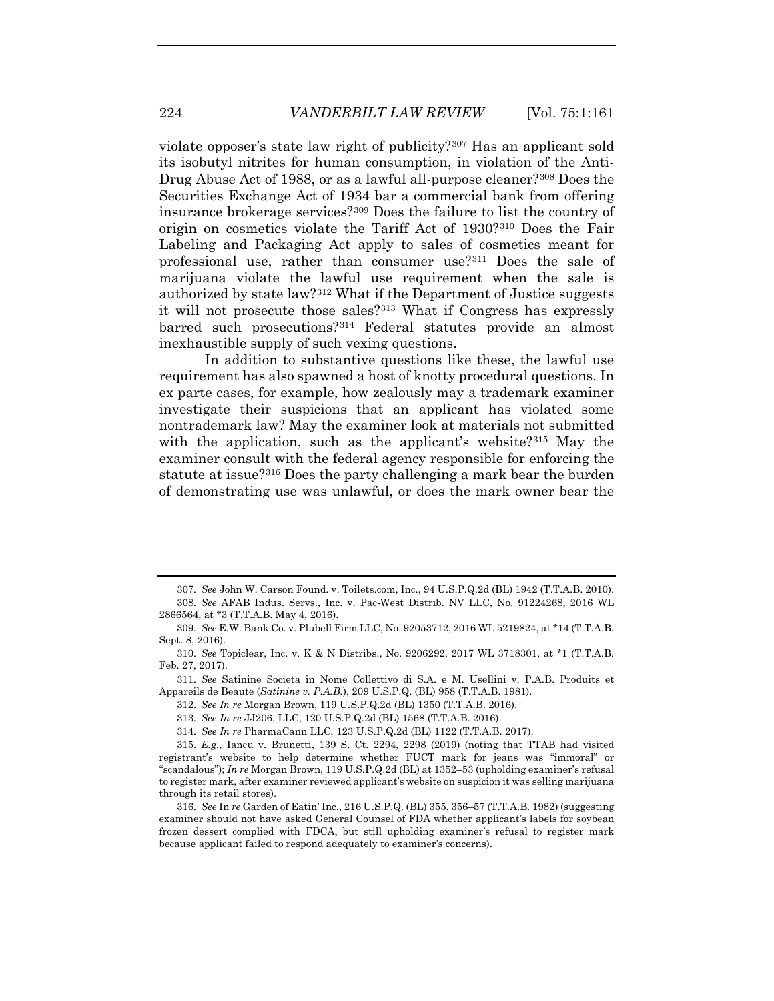violate opposer's state law right of publicity?307 Has an applicant sold its isobutyl nitrites for human consumption, in violation of the Anti-Drug Abuse Act of 1988, or as a lawful all-purpose cleaner?308 Does the Securities Exchange Act of 1934 bar a commercial bank from offering insurance brokerage services?309 Does the failure to list the country of origin on cosmetics violate the Tariff Act of 1930?310 Does the Fair Labeling and Packaging Act apply to sales of cosmetics meant for professional use, rather than consumer use?311 Does the sale of marijuana violate the lawful use requirement when the sale is authorized by state law?312 What if the Department of Justice suggests it will not prosecute those sales?313 What if Congress has expressly barred such prosecutions?314 Federal statutes provide an almost inexhaustible supply of such vexing questions.

In addition to substantive questions like these, the lawful use requirement has also spawned a host of knotty procedural questions. In ex parte cases, for example, how zealously may a trademark examiner investigate their suspicions that an applicant has violated some nontrademark law? May the examiner look at materials not submitted with the application, such as the applicant's website?315 May the examiner consult with the federal agency responsible for enforcing the statute at issue?316 Does the party challenging a mark bear the burden of demonstrating use was unlawful, or does the mark owner bear the

<sup>307</sup>*. See* John W. Carson Found. v. Toilets.com, Inc., 94 U.S.P.Q.2d (BL) 1942 (T.T.A.B. 2010).

<sup>308</sup>*. See* AFAB Indus. Servs., Inc. v. Pac-West Distrib. NV LLC, No. 91224268, 2016 WL 2866564, at \*3 (T.T.A.B. May 4, 2016).

<sup>309</sup>*. See* E.W. Bank Co. v. Plubell Firm LLC, No. 92053712, 2016 WL 5219824, at \*14 (T.T.A.B. Sept. 8, 2016).

<sup>310</sup>*. See* Topiclear, Inc. v. K & N Distribs., No. 9206292, 2017 WL 3718301, at \*1 (T.T.A.B. Feb. 27, 2017).

<sup>311</sup>*. See* Satinine Societa in Nome Collettivo di S.A. e M. Usellini v. P.A.B. Produits et Appareils de Beaute (*Satinine v. P.A.B.*), 209 U.S.P.Q. (BL) 958 (T.T.A.B. 1981).

<sup>312</sup>*. See In re* Morgan Brown, 119 U.S.P.Q.2d (BL) 1350 (T.T.A.B. 2016).

<sup>313</sup>*. See In re* JJ206, LLC, 120 U.S.P.Q.2d (BL) 1568 (T.T.A.B. 2016).

<sup>314</sup>*. See In re* PharmaCann LLC, 123 U.S.P.Q.2d (BL) 1122 (T.T.A.B. 2017).

<sup>315</sup>*. E.g.*, Iancu v. Brunetti, 139 S. Ct. 2294, 2298 (2019) (noting that TTAB had visited registrant's website to help determine whether FUCT mark for jeans was "immoral" or "scandalous"); *In re* Morgan Brown, 119 U.S.P.Q.2d (BL) at 1352–53 (upholding examiner's refusal to register mark, after examiner reviewed applicant's website on suspicion it was selling marijuana through its retail stores).

<sup>316</sup>*. See* In *re* Garden of Eatin' Inc., 216 U.S.P.Q. (BL) 355, 356–57 (T.T.A.B. 1982) (suggesting examiner should not have asked General Counsel of FDA whether applicant's labels for soybean frozen dessert complied with FDCA, but still upholding examiner's refusal to register mark because applicant failed to respond adequately to examiner's concerns).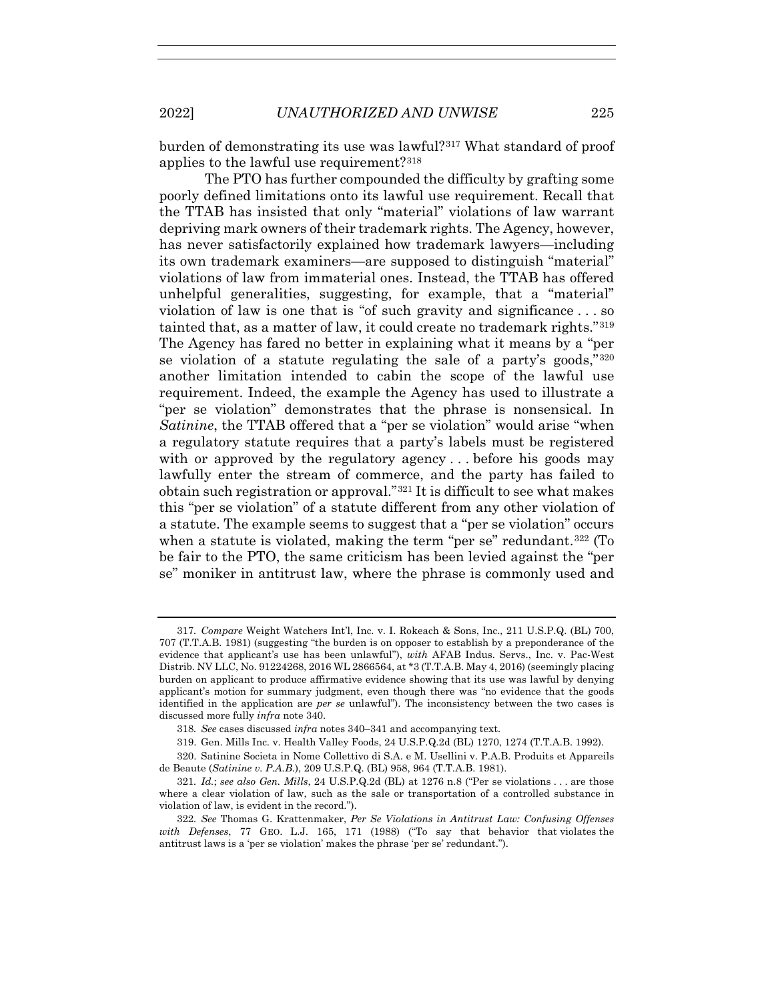burden of demonstrating its use was lawful?317 What standard of proof applies to the lawful use requirement?318

The PTO has further compounded the difficulty by grafting some poorly defined limitations onto its lawful use requirement. Recall that the TTAB has insisted that only "material" violations of law warrant depriving mark owners of their trademark rights. The Agency, however, has never satisfactorily explained how trademark lawyers—including its own trademark examiners—are supposed to distinguish "material" violations of law from immaterial ones. Instead, the TTAB has offered unhelpful generalities, suggesting, for example, that a "material" violation of law is one that is "of such gravity and significance . . . so tainted that, as a matter of law, it could create no trademark rights."319 The Agency has fared no better in explaining what it means by a "per se violation of a statute regulating the sale of a party's goods,"320 another limitation intended to cabin the scope of the lawful use requirement. Indeed, the example the Agency has used to illustrate a "per se violation" demonstrates that the phrase is nonsensical. In *Satinine*, the TTAB offered that a "per se violation" would arise "when a regulatory statute requires that a party's labels must be registered with or approved by the regulatory agency... before his goods may lawfully enter the stream of commerce, and the party has failed to obtain such registration or approval."321 It is difficult to see what makes this "per se violation" of a statute different from any other violation of a statute. The example seems to suggest that a "per se violation" occurs when a statute is violated, making the term "per se" redundant.<sup>322</sup> (To be fair to the PTO, the same criticism has been levied against the "per se" moniker in antitrust law, where the phrase is commonly used and

<sup>317</sup>*. Compare* Weight Watchers Int'l, Inc. v. I. Rokeach & Sons, Inc., 211 U.S.P.Q. (BL) 700, 707 (T.T.A.B. 1981) (suggesting "the burden is on opposer to establish by a preponderance of the evidence that applicant's use has been unlawful"), *with* AFAB Indus. Servs., Inc. v. Pac-West Distrib. NV LLC, No. 91224268, 2016 WL 2866564, at \*3 (T.T.A.B. May 4, 2016) (seemingly placing burden on applicant to produce affirmative evidence showing that its use was lawful by denying applicant's motion for summary judgment, even though there was "no evidence that the goods identified in the application are *per se* unlawful"). The inconsistency between the two cases is discussed more fully *infra* note 340.

<sup>318</sup>*. See* cases discussed *infra* notes 340–341 and accompanying text.

 <sup>319.</sup> Gen. Mills Inc. v. Health Valley Foods, 24 U.S.P.Q.2d (BL) 1270, 1274 (T.T.A.B. 1992).

 <sup>320.</sup> Satinine Societa in Nome Collettivo di S.A. e M. Usellini v. P.A.B. Produits et Appareils de Beaute (*Satinine v. P.A.B.*), 209 U.S.P.Q. (BL) 958, 964 (T.T.A.B. 1981).

<sup>321</sup>*. Id.*; *see also Gen. Mills*, 24 U.S.P.Q.2d (BL) at 1276 n.8 ("Per se violations . . . are those where a clear violation of law, such as the sale or transportation of a controlled substance in violation of law, is evident in the record.").

<sup>322</sup>*. See* Thomas G. Krattenmaker, *Per Se Violations in Antitrust Law: Confusing Offenses with Defenses*, 77 GEO. L.J. 165, 171 (1988) ("To say that behavior that violates the antitrust laws is a 'per se violation' makes the phrase 'per se' redundant.").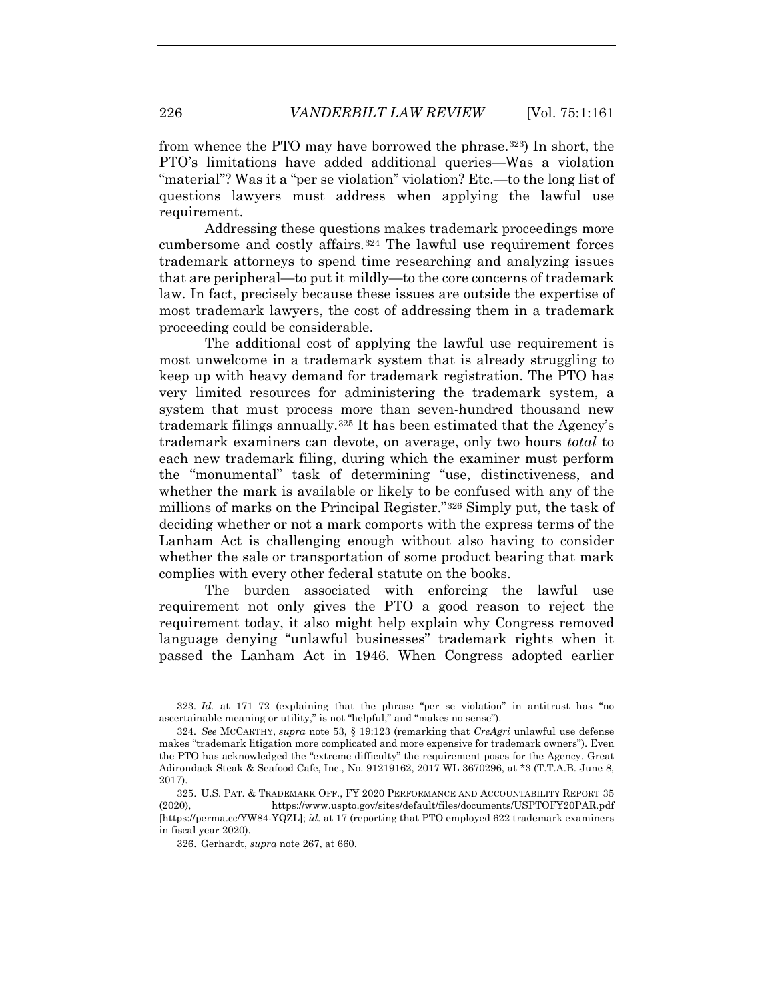from whence the PTO may have borrowed the phrase.323) In short, the PTO's limitations have added additional queries—Was a violation "material"? Was it a "per se violation" violation? Etc.—to the long list of questions lawyers must address when applying the lawful use requirement.

Addressing these questions makes trademark proceedings more cumbersome and costly affairs.324 The lawful use requirement forces trademark attorneys to spend time researching and analyzing issues that are peripheral—to put it mildly—to the core concerns of trademark law. In fact, precisely because these issues are outside the expertise of most trademark lawyers, the cost of addressing them in a trademark proceeding could be considerable.

The additional cost of applying the lawful use requirement is most unwelcome in a trademark system that is already struggling to keep up with heavy demand for trademark registration. The PTO has very limited resources for administering the trademark system, a system that must process more than seven-hundred thousand new trademark filings annually.325 It has been estimated that the Agency's trademark examiners can devote, on average, only two hours *total* to each new trademark filing, during which the examiner must perform the "monumental" task of determining "use, distinctiveness, and whether the mark is available or likely to be confused with any of the millions of marks on the Principal Register."326 Simply put, the task of deciding whether or not a mark comports with the express terms of the Lanham Act is challenging enough without also having to consider whether the sale or transportation of some product bearing that mark complies with every other federal statute on the books.

The burden associated with enforcing the lawful use requirement not only gives the PTO a good reason to reject the requirement today, it also might help explain why Congress removed language denying "unlawful businesses" trademark rights when it passed the Lanham Act in 1946. When Congress adopted earlier

<sup>323</sup>*. Id.* at 171–72 (explaining that the phrase "per se violation" in antitrust has "no ascertainable meaning or utility," is not "helpful," and "makes no sense").

<sup>324</sup>*. See* MCCARTHY, *supra* note 53, § 19:123 (remarking that *CreAgri* unlawful use defense makes "trademark litigation more complicated and more expensive for trademark owners"). Even the PTO has acknowledged the "extreme difficulty" the requirement poses for the Agency. Great Adirondack Steak & Seafood Cafe, Inc., No. 91219162, 2017 WL 3670296, at \*3 (T.T.A.B. June 8, 2017).

 <sup>325.</sup> U.S. PAT. & TRADEMARK OFF., FY 2020 PERFORMANCE AND ACCOUNTABILITY REPORT 35 (2020), https://www.uspto.gov/sites/default/files/documents/USPTOFY20PAR.pdf [https://perma.cc/YW84-YQZL]; *id.* at 17 (reporting that PTO employed 622 trademark examiners in fiscal year 2020).

 <sup>326.</sup> Gerhardt, *supra* note 267, at 660.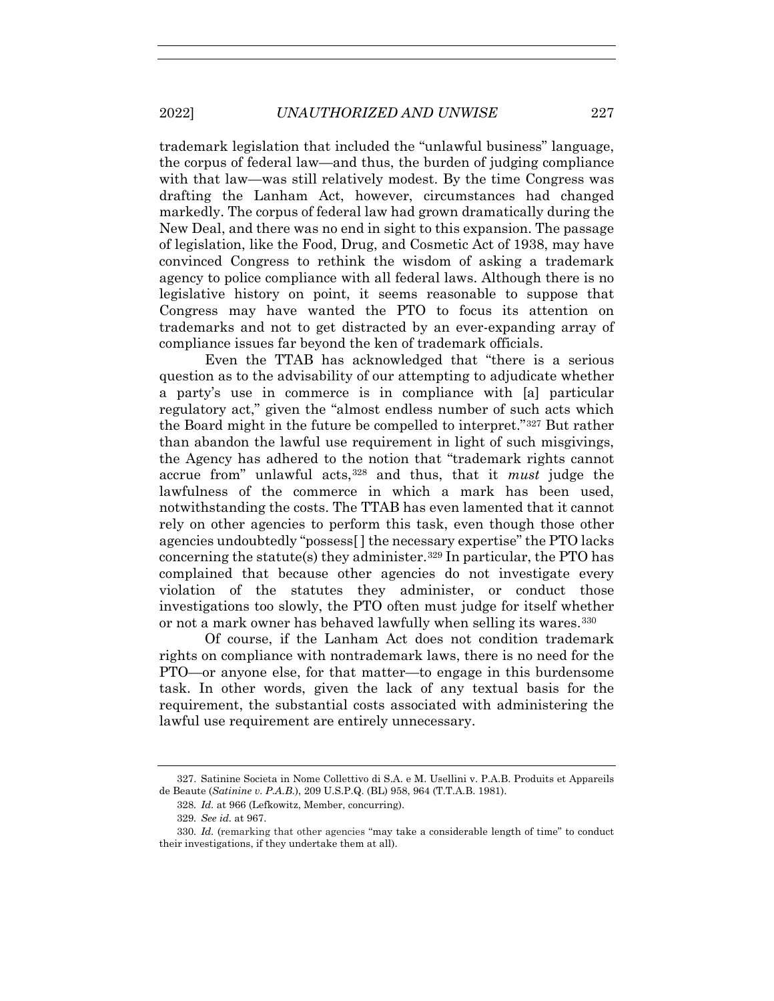trademark legislation that included the "unlawful business" language, the corpus of federal law—and thus, the burden of judging compliance with that law—was still relatively modest. By the time Congress was drafting the Lanham Act, however, circumstances had changed markedly. The corpus of federal law had grown dramatically during the New Deal, and there was no end in sight to this expansion. The passage of legislation, like the Food, Drug, and Cosmetic Act of 1938, may have convinced Congress to rethink the wisdom of asking a trademark agency to police compliance with all federal laws. Although there is no legislative history on point, it seems reasonable to suppose that Congress may have wanted the PTO to focus its attention on trademarks and not to get distracted by an ever-expanding array of compliance issues far beyond the ken of trademark officials.

Even the TTAB has acknowledged that "there is a serious question as to the advisability of our attempting to adjudicate whether a party's use in commerce is in compliance with [a] particular regulatory act," given the "almost endless number of such acts which the Board might in the future be compelled to interpret."327 But rather than abandon the lawful use requirement in light of such misgivings, the Agency has adhered to the notion that "trademark rights cannot accrue from" unlawful acts,328 and thus, that it *must* judge the lawfulness of the commerce in which a mark has been used, notwithstanding the costs. The TTAB has even lamented that it cannot rely on other agencies to perform this task, even though those other agencies undoubtedly "possess[ ] the necessary expertise" the PTO lacks concerning the statute(s) they administer.329 In particular, the PTO has complained that because other agencies do not investigate every violation of the statutes they administer, or conduct those investigations too slowly, the PTO often must judge for itself whether or not a mark owner has behaved lawfully when selling its wares.<sup>330</sup>

Of course, if the Lanham Act does not condition trademark rights on compliance with nontrademark laws, there is no need for the PTO—or anyone else, for that matter—to engage in this burdensome task. In other words, given the lack of any textual basis for the requirement, the substantial costs associated with administering the lawful use requirement are entirely unnecessary.

 <sup>327.</sup> Satinine Societa in Nome Collettivo di S.A. e M. Usellini v. P.A.B. Produits et Appareils de Beaute (*Satinine v. P.A.B.*), 209 U.S.P.Q. (BL) 958, 964 (T.T.A.B. 1981).

<sup>328</sup>*. Id.* at 966 (Lefkowitz, Member, concurring).

<sup>329</sup>*. See id.* at 967.

<sup>330</sup>*. Id.* (remarking that other agencies "may take a considerable length of time" to conduct their investigations, if they undertake them at all).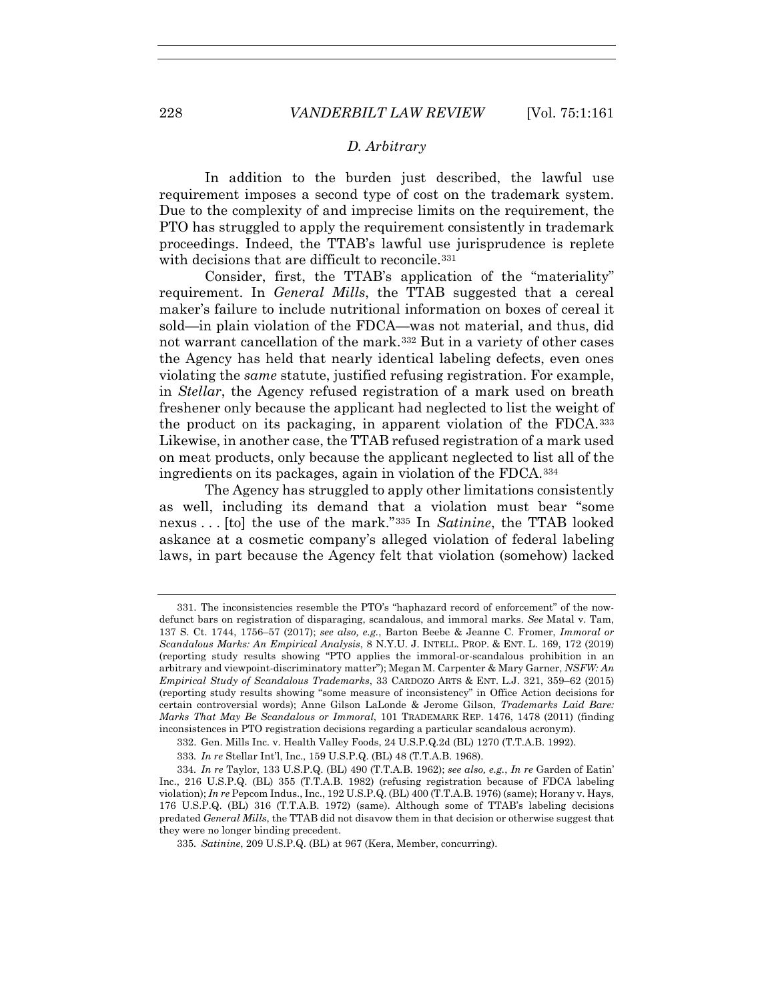### *D. Arbitrary*

In addition to the burden just described, the lawful use requirement imposes a second type of cost on the trademark system. Due to the complexity of and imprecise limits on the requirement, the PTO has struggled to apply the requirement consistently in trademark proceedings. Indeed, the TTAB's lawful use jurisprudence is replete with decisions that are difficult to reconcile.<sup>331</sup>

Consider, first, the TTAB's application of the "materiality" requirement. In *General Mills*, the TTAB suggested that a cereal maker's failure to include nutritional information on boxes of cereal it sold—in plain violation of the FDCA—was not material, and thus, did not warrant cancellation of the mark.332 But in a variety of other cases the Agency has held that nearly identical labeling defects, even ones violating the *same* statute, justified refusing registration. For example, in *Stellar*, the Agency refused registration of a mark used on breath freshener only because the applicant had neglected to list the weight of the product on its packaging, in apparent violation of the FDCA.333 Likewise, in another case, the TTAB refused registration of a mark used on meat products, only because the applicant neglected to list all of the ingredients on its packages, again in violation of the FDCA.334

The Agency has struggled to apply other limitations consistently as well, including its demand that a violation must bear "some nexus . . . [to] the use of the mark."335 In *Satinine*, the TTAB looked askance at a cosmetic company's alleged violation of federal labeling laws, in part because the Agency felt that violation (somehow) lacked

335*. Satinine*, 209 U.S.P.Q. (BL) at 967 (Kera, Member, concurring).

 <sup>331.</sup> The inconsistencies resemble the PTO's "haphazard record of enforcement" of the nowdefunct bars on registration of disparaging, scandalous, and immoral marks. *See* Matal v. Tam, 137 S. Ct. 1744, 1756–57 (2017); *see also, e.g.*, Barton Beebe & Jeanne C. Fromer, *Immoral or Scandalous Marks: An Empirical Analysis*, 8 N.Y.U. J. INTELL. PROP. & ENT. L. 169, 172 (2019) (reporting study results showing "PTO applies the immoral-or-scandalous prohibition in an arbitrary and viewpoint-discriminatory matter"); Megan M. Carpenter & Mary Garner, *NSFW: An Empirical Study of Scandalous Trademarks*, 33 CARDOZO ARTS & ENT. L.J. 321, 359–62 (2015) (reporting study results showing "some measure of inconsistency" in Office Action decisions for certain controversial words); Anne Gilson LaLonde & Jerome Gilson, *Trademarks Laid Bare: Marks That May Be Scandalous or Immoral*, 101 TRADEMARK REP. 1476, 1478 (2011) (finding inconsistences in PTO registration decisions regarding a particular scandalous acronym).

 <sup>332.</sup> Gen. Mills Inc. v. Health Valley Foods, 24 U.S.P.Q.2d (BL) 1270 (T.T.A.B. 1992).

<sup>333</sup>*. In re* Stellar Int'l, Inc., 159 U.S.P.Q. (BL) 48 (T.T.A.B. 1968).

<sup>334</sup>*. In re* Taylor, 133 U.S.P.Q. (BL) 490 (T.T.A.B. 1962); *see also, e.g.*, *In re* Garden of Eatin' Inc., 216 U.S.P.Q. (BL) 355 (T.T.A.B. 1982) (refusing registration because of FDCA labeling violation); *In re* Pepcom Indus., Inc., 192 U.S.P.Q. (BL) 400 (T.T.A.B. 1976) (same); Horany v. Hays, 176 U.S.P.Q. (BL) 316 (T.T.A.B. 1972) (same). Although some of TTAB's labeling decisions predated *General Mills*, the TTAB did not disavow them in that decision or otherwise suggest that they were no longer binding precedent.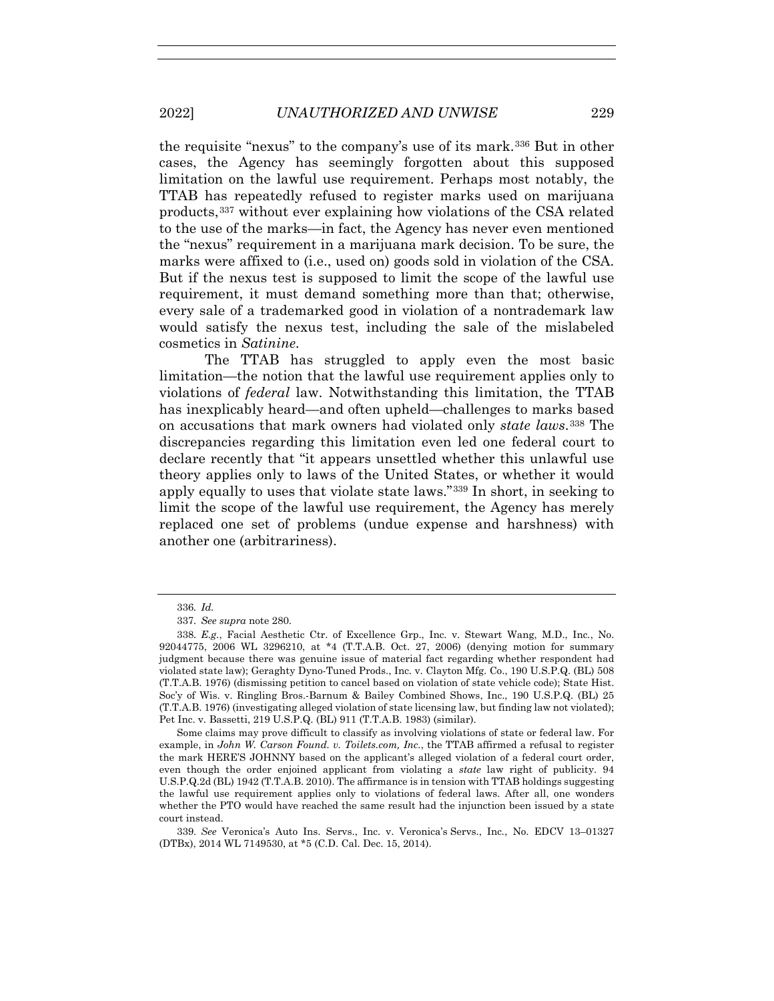the requisite "nexus" to the company's use of its mark.336 But in other cases, the Agency has seemingly forgotten about this supposed limitation on the lawful use requirement. Perhaps most notably, the TTAB has repeatedly refused to register marks used on marijuana products,337 without ever explaining how violations of the CSA related to the use of the marks—in fact, the Agency has never even mentioned the "nexus" requirement in a marijuana mark decision. To be sure, the marks were affixed to (i.e., used on) goods sold in violation of the CSA. But if the nexus test is supposed to limit the scope of the lawful use requirement, it must demand something more than that; otherwise, every sale of a trademarked good in violation of a nontrademark law would satisfy the nexus test, including the sale of the mislabeled cosmetics in *Satinine*.

The TTAB has struggled to apply even the most basic limitation—the notion that the lawful use requirement applies only to violations of *federal* law. Notwithstanding this limitation, the TTAB has inexplicably heard—and often upheld—challenges to marks based on accusations that mark owners had violated only *state laws*.338 The discrepancies regarding this limitation even led one federal court to declare recently that "it appears unsettled whether this unlawful use theory applies only to laws of the United States, or whether it would apply equally to uses that violate state laws."339 In short, in seeking to limit the scope of the lawful use requirement, the Agency has merely replaced one set of problems (undue expense and harshness) with another one (arbitrariness).

<sup>336</sup>*. Id.*

<sup>337</sup>*. See supra* note 280.

<sup>338</sup>*. E.g.*, Facial Aesthetic Ctr. of Excellence Grp., Inc. v. Stewart Wang, M.D., Inc*.*, No. 92044775, 2006 WL 3296210, at \*4 (T.T.A.B. Oct. 27, 2006) (denying motion for summary judgment because there was genuine issue of material fact regarding whether respondent had violated state law); Geraghty Dyno-Tuned Prods., Inc. v. Clayton Mfg. Co., 190 U.S.P.Q. (BL) 508 (T.T.A.B. 1976) (dismissing petition to cancel based on violation of state vehicle code); State Hist. Soc'y of Wis. v. Ringling Bros.-Barnum & Bailey Combined Shows, Inc., 190 U.S.P.Q. (BL) 25 (T.T.A.B. 1976) (investigating alleged violation of state licensing law, but finding law not violated); Pet Inc. v. Bassetti, 219 U.S.P.Q. (BL) 911 (T.T.A.B. 1983) (similar).

Some claims may prove difficult to classify as involving violations of state or federal law. For example, in *John W. Carson Found. v. Toilets.com, Inc.*, the TTAB affirmed a refusal to register the mark HERE'S JOHNNY based on the applicant's alleged violation of a federal court order, even though the order enjoined applicant from violating a *state* law right of publicity. 94 U.S.P.Q.2d (BL) 1942 (T.T.A.B. 2010). The affirmance is in tension with TTAB holdings suggesting the lawful use requirement applies only to violations of federal laws. After all, one wonders whether the PTO would have reached the same result had the injunction been issued by a state court instead.

<sup>339</sup>*. See* Veronica's Auto Ins. Servs., Inc. v. Veronica's Servs., Inc*.*, No. EDCV 13–01327 (DTBx), 2014 WL 7149530, at \*5 (C.D. Cal. Dec. 15, 2014).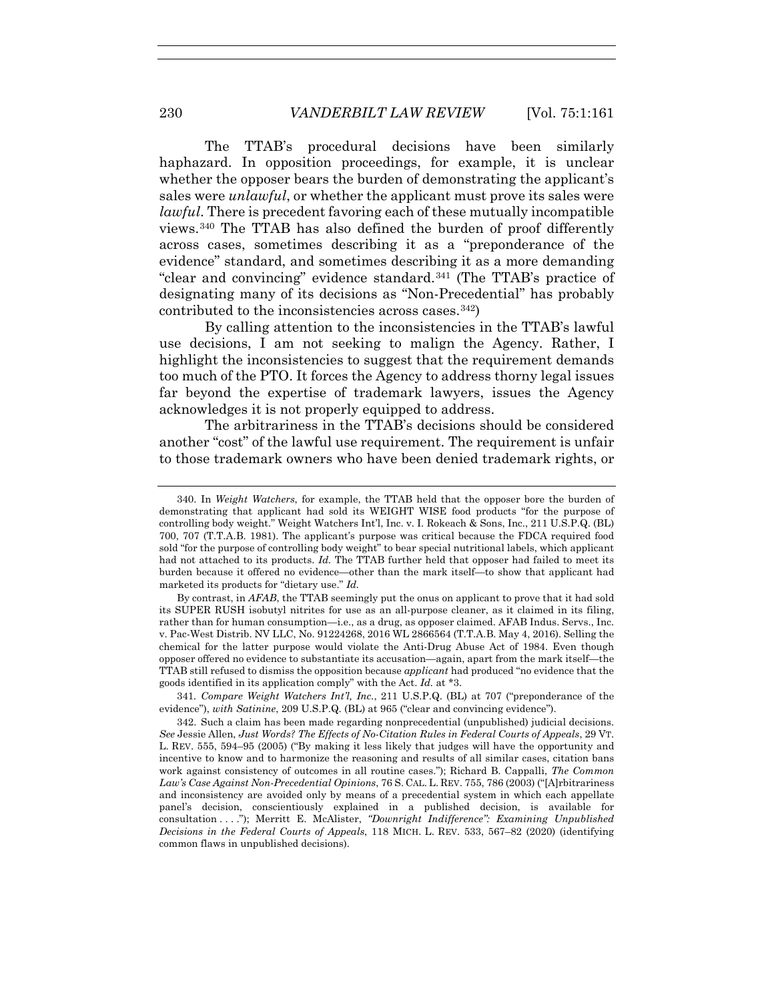The TTAB's procedural decisions have been similarly haphazard. In opposition proceedings, for example, it is unclear whether the opposer bears the burden of demonstrating the applicant's sales were *unlawful*, or whether the applicant must prove its sales were *lawful*. There is precedent favoring each of these mutually incompatible views.340 The TTAB has also defined the burden of proof differently across cases, sometimes describing it as a "preponderance of the evidence" standard, and sometimes describing it as a more demanding "clear and convincing" evidence standard.341 (The TTAB's practice of designating many of its decisions as "Non-Precedential" has probably contributed to the inconsistencies across cases.342)

By calling attention to the inconsistencies in the TTAB's lawful use decisions, I am not seeking to malign the Agency. Rather, I highlight the inconsistencies to suggest that the requirement demands too much of the PTO. It forces the Agency to address thorny legal issues far beyond the expertise of trademark lawyers, issues the Agency acknowledges it is not properly equipped to address.

The arbitrariness in the TTAB's decisions should be considered another "cost" of the lawful use requirement. The requirement is unfair to those trademark owners who have been denied trademark rights, or

By contrast, in *AFAB*, the TTAB seemingly put the onus on applicant to prove that it had sold its SUPER RUSH isobutyl nitrites for use as an all-purpose cleaner, as it claimed in its filing, rather than for human consumption—i.e., as a drug, as opposer claimed. AFAB Indus. Servs., Inc. v. Pac-West Distrib. NV LLC, No. 91224268, 2016 WL 2866564 (T.T.A.B. May 4, 2016). Selling the chemical for the latter purpose would violate the Anti-Drug Abuse Act of 1984. Even though opposer offered no evidence to substantiate its accusation—again, apart from the mark itself—the TTAB still refused to dismiss the opposition because *applicant* had produced "no evidence that the goods identified in its application comply" with the Act. *Id.* at \*3.

341*. Compare Weight Watchers Int'l, Inc.*, 211 U.S.P.Q. (BL) at 707 ("preponderance of the evidence"), *with Satinine*, 209 U.S.P.Q. (BL) at 965 ("clear and convincing evidence").

 342. Such a claim has been made regarding nonprecedential (unpublished) judicial decisions. *See* Jessie Allen, *Just Words? The Effects of No-Citation Rules in Federal Courts of Appeals*, 29 VT. L. REV. 555, 594–95 (2005) ("By making it less likely that judges will have the opportunity and incentive to know and to harmonize the reasoning and results of all similar cases, citation bans work against consistency of outcomes in all routine cases."); Richard B. Cappalli, *The Common Law's Case Against Non-Precedential Opinions*, 76 S. CAL. L. REV. 755, 786 (2003) ("[A]rbitrariness and inconsistency are avoided only by means of a precedential system in which each appellate panel's decision, conscientiously explained in a published decision, is available for consultation . . . ."); Merritt E. McAlister, *"Downright Indifference": Examining Unpublished Decisions in the Federal Courts of Appeals*, 118 MICH. L. REV. 533, 567–82 (2020) (identifying common flaws in unpublished decisions).

 <sup>340.</sup> In *Weight Watchers*, for example, the TTAB held that the opposer bore the burden of demonstrating that applicant had sold its WEIGHT WISE food products "for the purpose of controlling body weight." Weight Watchers Int'l, Inc. v. I. Rokeach & Sons, Inc., 211 U.S.P.Q. (BL) 700, 707 (T.T.A.B. 1981). The applicant's purpose was critical because the FDCA required food sold "for the purpose of controlling body weight" to bear special nutritional labels, which applicant had not attached to its products. *Id.* The TTAB further held that opposer had failed to meet its burden because it offered no evidence—other than the mark itself—to show that applicant had marketed its products for "dietary use." *Id.*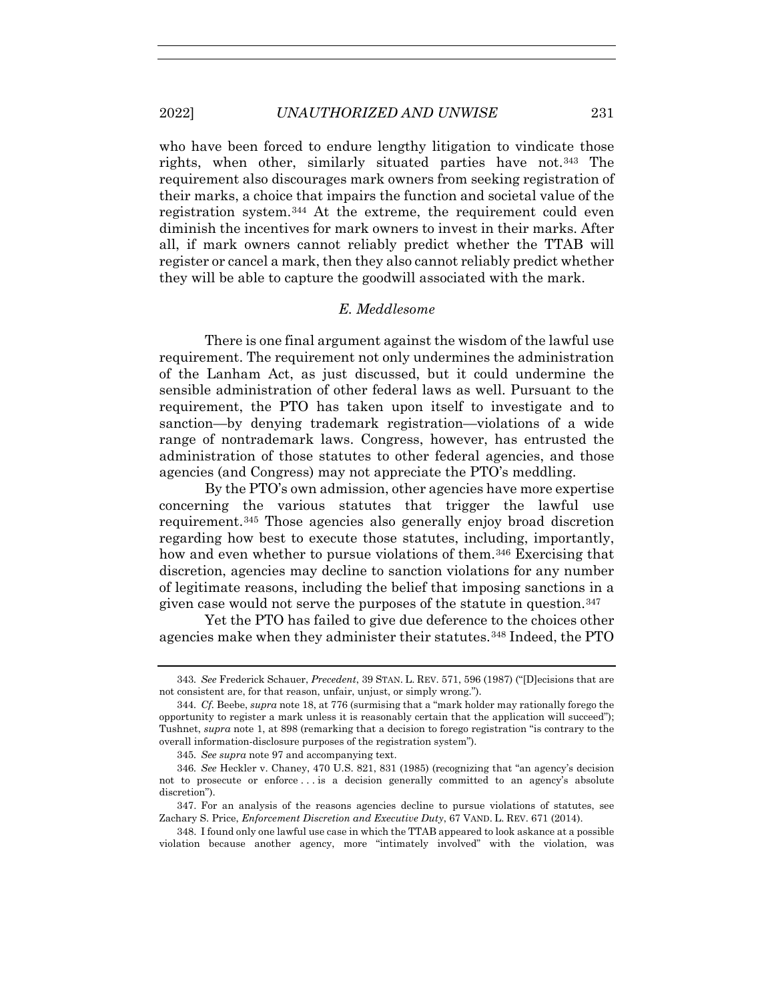who have been forced to endure lengthy litigation to vindicate those rights, when other, similarly situated parties have not.343 The requirement also discourages mark owners from seeking registration of their marks, a choice that impairs the function and societal value of the registration system.344 At the extreme, the requirement could even diminish the incentives for mark owners to invest in their marks. After all, if mark owners cannot reliably predict whether the TTAB will register or cancel a mark, then they also cannot reliably predict whether they will be able to capture the goodwill associated with the mark.

# *E. Meddlesome*

There is one final argument against the wisdom of the lawful use requirement. The requirement not only undermines the administration of the Lanham Act, as just discussed, but it could undermine the sensible administration of other federal laws as well. Pursuant to the requirement, the PTO has taken upon itself to investigate and to sanction—by denying trademark registration—violations of a wide range of nontrademark laws. Congress, however, has entrusted the administration of those statutes to other federal agencies, and those agencies (and Congress) may not appreciate the PTO's meddling.

By the PTO's own admission, other agencies have more expertise concerning the various statutes that trigger the lawful use requirement.345 Those agencies also generally enjoy broad discretion regarding how best to execute those statutes, including, importantly, how and even whether to pursue violations of them.<sup>346</sup> Exercising that discretion, agencies may decline to sanction violations for any number of legitimate reasons, including the belief that imposing sanctions in a given case would not serve the purposes of the statute in question.  $347$ 

Yet the PTO has failed to give due deference to the choices other agencies make when they administer their statutes.348 Indeed, the PTO

 348. I found only one lawful use case in which the TTAB appeared to look askance at a possible violation because another agency, more "intimately involved" with the violation, was

<sup>343</sup>*. See* Frederick Schauer, *Precedent*, 39 STAN. L. REV. 571, 596 (1987) ("[D]ecisions that are not consistent are, for that reason, unfair, unjust, or simply wrong.").

<sup>344</sup>*. Cf.* Beebe, *supra* note 18, at 776 (surmising that a "mark holder may rationally forego the opportunity to register a mark unless it is reasonably certain that the application will succeed"); Tushnet, *supra* note 1, at 898 (remarking that a decision to forego registration "is contrary to the overall information-disclosure purposes of the registration system").

<sup>345</sup>*. See supra* note 97 and accompanying text.

<sup>346</sup>*. See* Heckler v. Chaney, 470 U.S. 821, 831 (1985) (recognizing that "an agency's decision not to prosecute or enforce . . . is a decision generally committed to an agency's absolute discretion").

 <sup>347.</sup> For an analysis of the reasons agencies decline to pursue violations of statutes, see Zachary S. Price, *Enforcement Discretion and Executive Duty*, 67 VAND. L. REV. 671 (2014).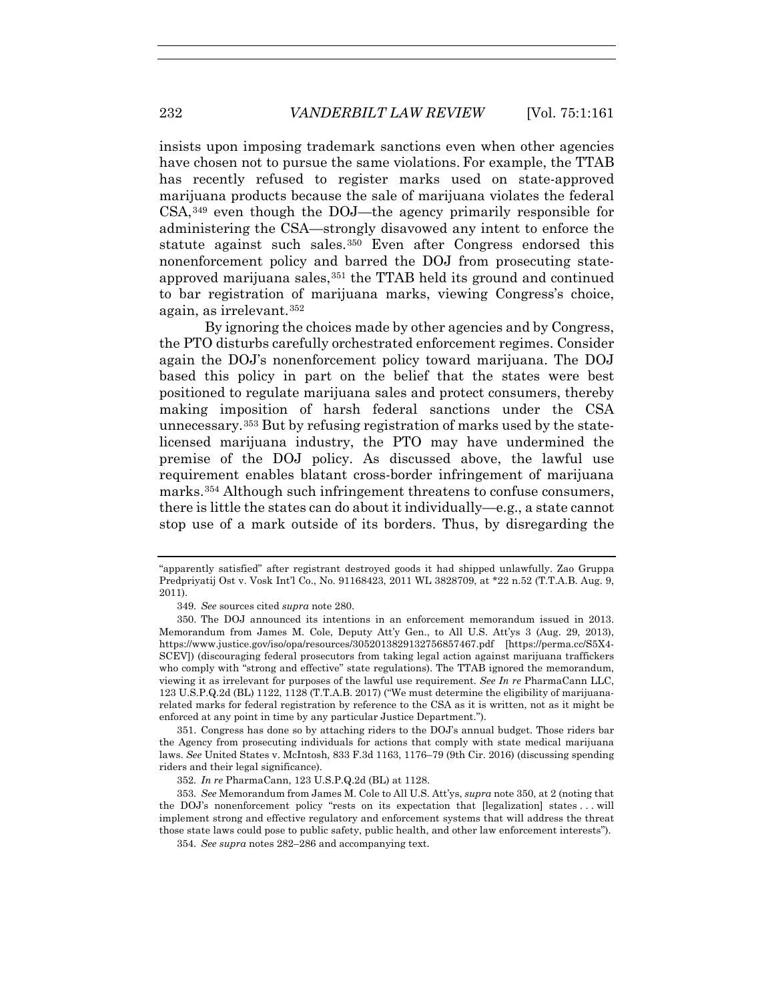insists upon imposing trademark sanctions even when other agencies have chosen not to pursue the same violations. For example, the TTAB has recently refused to register marks used on state-approved marijuana products because the sale of marijuana violates the federal CSA,349 even though the DOJ—the agency primarily responsible for administering the CSA—strongly disavowed any intent to enforce the statute against such sales.350 Even after Congress endorsed this nonenforcement policy and barred the DOJ from prosecuting stateapproved marijuana sales,<sup>351</sup> the TTAB held its ground and continued to bar registration of marijuana marks, viewing Congress's choice, again, as irrelevant.352

By ignoring the choices made by other agencies and by Congress, the PTO disturbs carefully orchestrated enforcement regimes. Consider again the DOJ's nonenforcement policy toward marijuana. The DOJ based this policy in part on the belief that the states were best positioned to regulate marijuana sales and protect consumers, thereby making imposition of harsh federal sanctions under the CSA unnecessary.353 But by refusing registration of marks used by the statelicensed marijuana industry, the PTO may have undermined the premise of the DOJ policy. As discussed above, the lawful use requirement enables blatant cross-border infringement of marijuana marks.354 Although such infringement threatens to confuse consumers, there is little the states can do about it individually—e.g., a state cannot stop use of a mark outside of its borders. Thus, by disregarding the

 351. Congress has done so by attaching riders to the DOJ's annual budget. Those riders bar the Agency from prosecuting individuals for actions that comply with state medical marijuana laws. *See* United States v. McIntosh, 833 F.3d 1163, 1176–79 (9th Cir. 2016) (discussing spending riders and their legal significance).

<sup>&</sup>quot;apparently satisfied" after registrant destroyed goods it had shipped unlawfully. Zao Gruppa Predpriyatij Ost v. Vosk Int'l Co., No. 91168423, 2011 WL 3828709, at \*22 n.52 (T.T.A.B. Aug. 9, 2011).

<sup>349</sup>*. See* sources cited *supra* note 280.

 <sup>350.</sup> The DOJ announced its intentions in an enforcement memorandum issued in 2013. Memorandum from James M. Cole, Deputy Att'y Gen., to All U.S. Att'ys 3 (Aug. 29, 2013), https://www.justice.gov/iso/opa/resources/3052013829132756857467.pdf [https://perma.cc/S5X4- SCEV]) (discouraging federal prosecutors from taking legal action against marijuana traffickers who comply with "strong and effective" state regulations). The TTAB ignored the memorandum, viewing it as irrelevant for purposes of the lawful use requirement. *See In re* PharmaCann LLC, 123 U.S.P.Q.2d (BL) 1122, 1128 (T.T.A.B. 2017) ("We must determine the eligibility of marijuanarelated marks for federal registration by reference to the CSA as it is written, not as it might be enforced at any point in time by any particular Justice Department.").

<sup>352</sup>*. In re* PharmaCann, 123 U.S.P.Q.2d (BL) at 1128.

<sup>353</sup>*. See* Memorandum from James M. Cole to All U.S. Att'ys, *supra* note 350, at 2 (noting that the DOJ's nonenforcement policy "rests on its expectation that [legalization] states . . . will implement strong and effective regulatory and enforcement systems that will address the threat those state laws could pose to public safety, public health, and other law enforcement interests").

<sup>354</sup>*. See supra* notes 282–286 and accompanying text.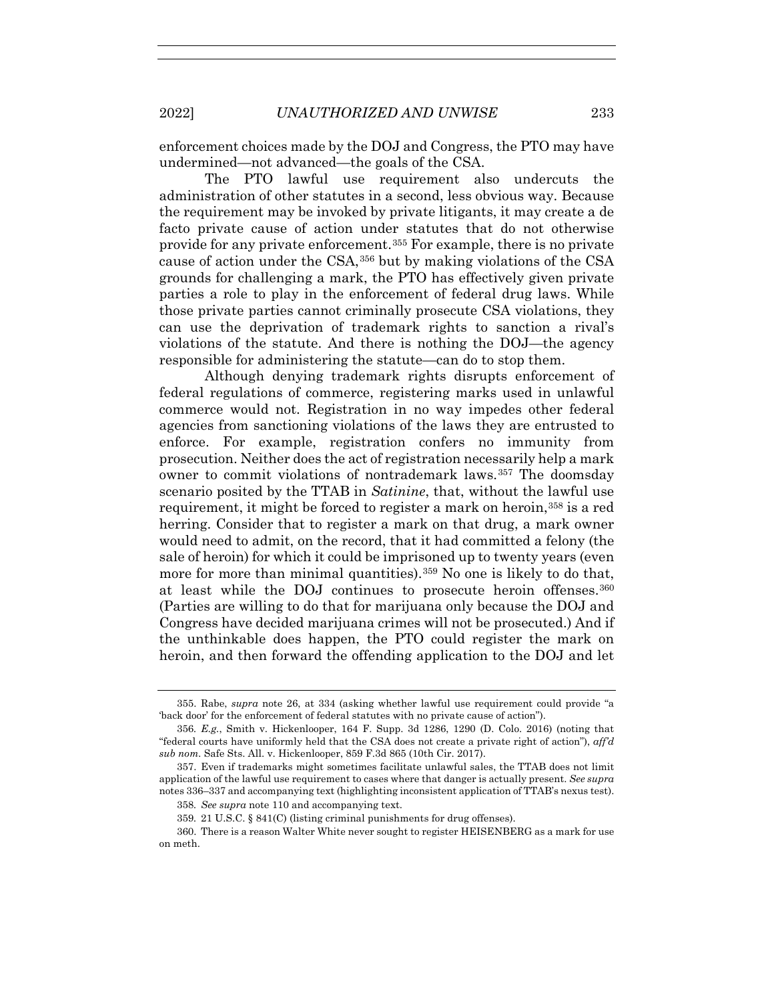enforcement choices made by the DOJ and Congress, the PTO may have undermined—not advanced—the goals of the CSA.

The PTO lawful use requirement also undercuts the administration of other statutes in a second, less obvious way. Because the requirement may be invoked by private litigants, it may create a de facto private cause of action under statutes that do not otherwise provide for any private enforcement.355 For example, there is no private cause of action under the CSA,356 but by making violations of the CSA grounds for challenging a mark, the PTO has effectively given private parties a role to play in the enforcement of federal drug laws. While those private parties cannot criminally prosecute CSA violations, they can use the deprivation of trademark rights to sanction a rival's violations of the statute. And there is nothing the DOJ—the agency responsible for administering the statute—can do to stop them.

Although denying trademark rights disrupts enforcement of federal regulations of commerce, registering marks used in unlawful commerce would not. Registration in no way impedes other federal agencies from sanctioning violations of the laws they are entrusted to enforce. For example, registration confers no immunity from prosecution. Neither does the act of registration necessarily help a mark owner to commit violations of nontrademark laws.357 The doomsday scenario posited by the TTAB in *Satinine*, that, without the lawful use requirement, it might be forced to register a mark on heroin,358 is a red herring. Consider that to register a mark on that drug, a mark owner would need to admit, on the record, that it had committed a felony (the sale of heroin) for which it could be imprisoned up to twenty years (even more for more than minimal quantities).<sup>359</sup> No one is likely to do that, at least while the DOJ continues to prosecute heroin offenses.360 (Parties are willing to do that for marijuana only because the DOJ and Congress have decided marijuana crimes will not be prosecuted.) And if the unthinkable does happen, the PTO could register the mark on heroin, and then forward the offending application to the DOJ and let

 <sup>355.</sup> Rabe, *supra* note 26, at 334 (asking whether lawful use requirement could provide "a 'back door' for the enforcement of federal statutes with no private cause of action").

<sup>356</sup>*. E.g.*, Smith v. Hickenlooper, 164 F. Supp. 3d 1286, 1290 (D. Colo. 2016) (noting that "federal courts have uniformly held that the CSA does not create a private right of action"), *aff'd sub nom.* Safe Sts. All. v. Hickenlooper, 859 F.3d 865 (10th Cir. 2017).

 <sup>357.</sup> Even if trademarks might sometimes facilitate unlawful sales, the TTAB does not limit application of the lawful use requirement to cases where that danger is actually present. *See supra* notes 336–337 and accompanying text (highlighting inconsistent application of TTAB's nexus test).

<sup>358</sup>*. See supra* note 110 and accompanying text.

<sup>359</sup>*.* 21 U.S.C. § 841(C) (listing criminal punishments for drug offenses).

 <sup>360.</sup> There is a reason Walter White never sought to register HEISENBERG as a mark for use on meth.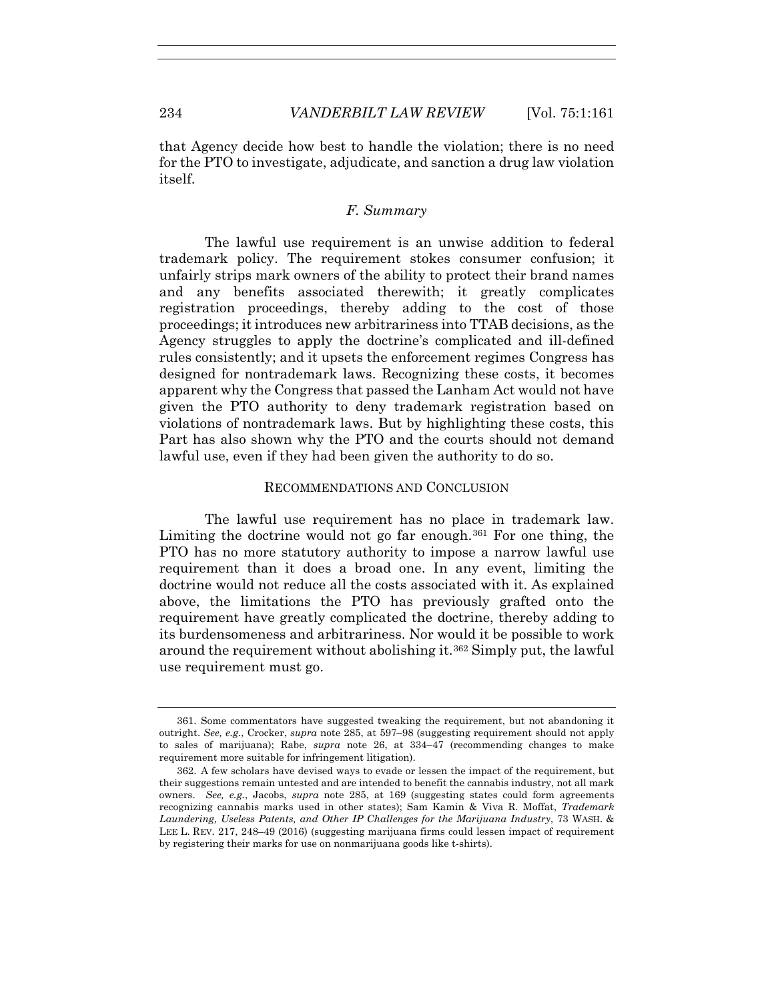that Agency decide how best to handle the violation; there is no need for the PTO to investigate, adjudicate, and sanction a drug law violation itself.

## *F. Summary*

The lawful use requirement is an unwise addition to federal trademark policy. The requirement stokes consumer confusion; it unfairly strips mark owners of the ability to protect their brand names and any benefits associated therewith; it greatly complicates registration proceedings, thereby adding to the cost of those proceedings; it introduces new arbitrariness into TTAB decisions, as the Agency struggles to apply the doctrine's complicated and ill-defined rules consistently; and it upsets the enforcement regimes Congress has designed for nontrademark laws. Recognizing these costs, it becomes apparent why the Congress that passed the Lanham Act would not have given the PTO authority to deny trademark registration based on violations of nontrademark laws. But by highlighting these costs, this Part has also shown why the PTO and the courts should not demand lawful use, even if they had been given the authority to do so.

## RECOMMENDATIONS AND CONCLUSION

The lawful use requirement has no place in trademark law. Limiting the doctrine would not go far enough.361 For one thing, the PTO has no more statutory authority to impose a narrow lawful use requirement than it does a broad one. In any event, limiting the doctrine would not reduce all the costs associated with it. As explained above, the limitations the PTO has previously grafted onto the requirement have greatly complicated the doctrine, thereby adding to its burdensomeness and arbitrariness. Nor would it be possible to work around the requirement without abolishing it.362 Simply put, the lawful use requirement must go.

 <sup>361.</sup> Some commentators have suggested tweaking the requirement, but not abandoning it outright. *See, e.g.*, Crocker, *supra* note 285, at 597–98 (suggesting requirement should not apply to sales of marijuana); Rabe, *supra* note 26, at 334–47 (recommending changes to make requirement more suitable for infringement litigation).

 <sup>362.</sup> A few scholars have devised ways to evade or lessen the impact of the requirement, but their suggestions remain untested and are intended to benefit the cannabis industry, not all mark owners. *See, e.g.*, Jacobs, *supra* note 285, at 169 (suggesting states could form agreements recognizing cannabis marks used in other states); Sam Kamin & Viva R. Moffat, *Trademark Laundering, Useless Patents, and Other IP Challenges for the Marijuana Industry*, 73 WASH. & LEE L. REV. 217, 248–49 (2016) (suggesting marijuana firms could lessen impact of requirement by registering their marks for use on nonmarijuana goods like t-shirts).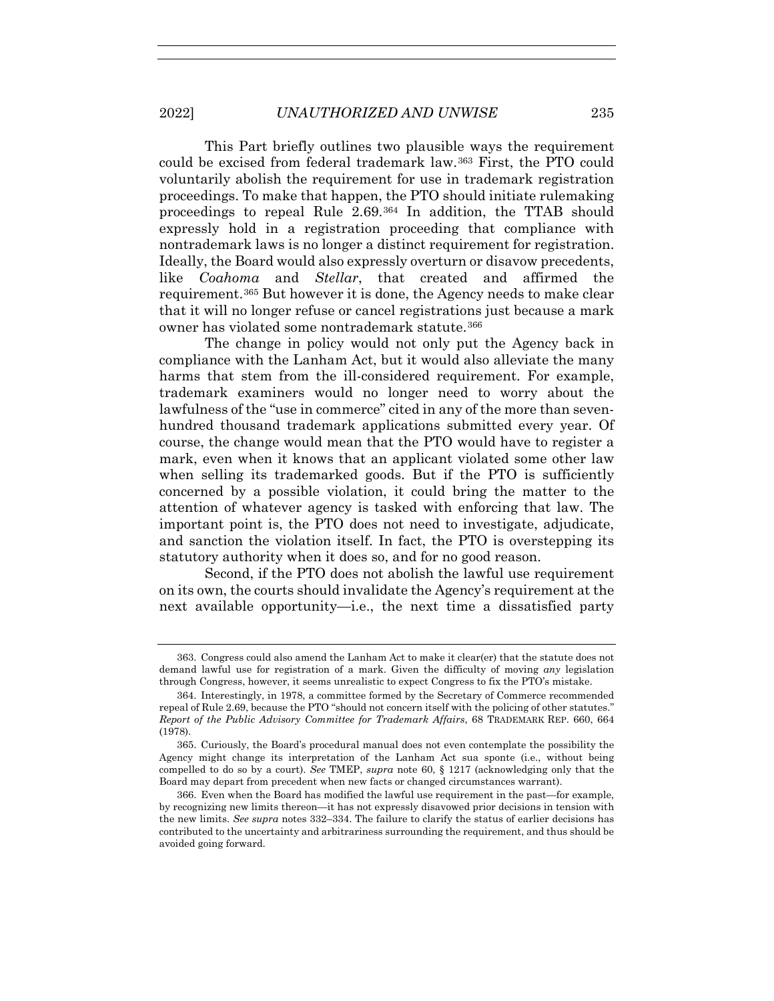This Part briefly outlines two plausible ways the requirement could be excised from federal trademark law.363 First, the PTO could voluntarily abolish the requirement for use in trademark registration proceedings. To make that happen, the PTO should initiate rulemaking proceedings to repeal Rule 2.69.364 In addition, the TTAB should expressly hold in a registration proceeding that compliance with nontrademark laws is no longer a distinct requirement for registration. Ideally, the Board would also expressly overturn or disavow precedents, like *Coahoma* and *Stellar*, that created and affirmed the requirement.365 But however it is done, the Agency needs to make clear that it will no longer refuse or cancel registrations just because a mark owner has violated some nontrademark statute.366

The change in policy would not only put the Agency back in compliance with the Lanham Act, but it would also alleviate the many harms that stem from the ill-considered requirement. For example, trademark examiners would no longer need to worry about the lawfulness of the "use in commerce" cited in any of the more than sevenhundred thousand trademark applications submitted every year. Of course, the change would mean that the PTO would have to register a mark, even when it knows that an applicant violated some other law when selling its trademarked goods. But if the PTO is sufficiently concerned by a possible violation, it could bring the matter to the attention of whatever agency is tasked with enforcing that law. The important point is, the PTO does not need to investigate, adjudicate, and sanction the violation itself. In fact, the PTO is overstepping its statutory authority when it does so, and for no good reason.

Second, if the PTO does not abolish the lawful use requirement on its own, the courts should invalidate the Agency's requirement at the next available opportunity—i.e., the next time a dissatisfied party

 <sup>363.</sup> Congress could also amend the Lanham Act to make it clear(er) that the statute does not demand lawful use for registration of a mark. Given the difficulty of moving *any* legislation through Congress, however, it seems unrealistic to expect Congress to fix the PTO's mistake.

 <sup>364.</sup> Interestingly, in 1978, a committee formed by the Secretary of Commerce recommended repeal of Rule 2.69, because the PTO "should not concern itself with the policing of other statutes." *Report of the Public Advisory Committee for Trademark Affairs*, 68 TRADEMARK REP. 660, 664 (1978).

 <sup>365.</sup> Curiously, the Board's procedural manual does not even contemplate the possibility the Agency might change its interpretation of the Lanham Act sua sponte (i.e., without being compelled to do so by a court). *See* TMEP, *supra* note 60, § 1217 (acknowledging only that the Board may depart from precedent when new facts or changed circumstances warrant).

 <sup>366.</sup> Even when the Board has modified the lawful use requirement in the past—for example, by recognizing new limits thereon—it has not expressly disavowed prior decisions in tension with the new limits. *See supra* notes 332–334. The failure to clarify the status of earlier decisions has contributed to the uncertainty and arbitrariness surrounding the requirement, and thus should be avoided going forward.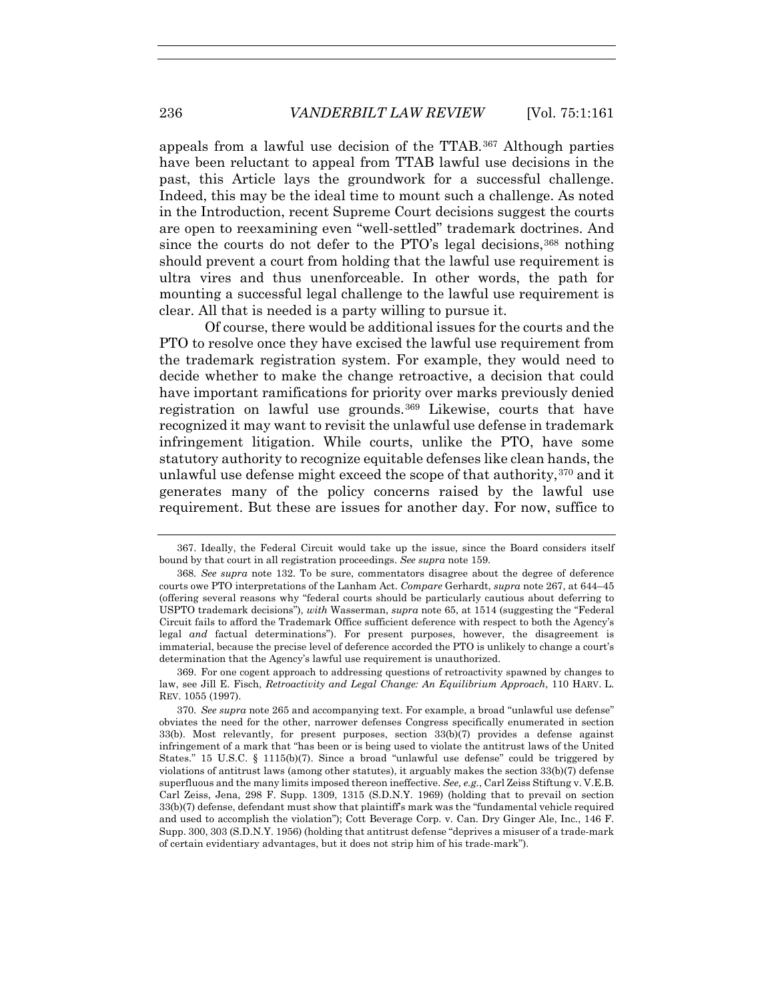appeals from a lawful use decision of the TTAB.367 Although parties have been reluctant to appeal from TTAB lawful use decisions in the past, this Article lays the groundwork for a successful challenge. Indeed, this may be the ideal time to mount such a challenge. As noted in the Introduction, recent Supreme Court decisions suggest the courts are open to reexamining even "well-settled" trademark doctrines. And since the courts do not defer to the PTO's legal decisions,<sup>368</sup> nothing should prevent a court from holding that the lawful use requirement is ultra vires and thus unenforceable. In other words, the path for mounting a successful legal challenge to the lawful use requirement is clear. All that is needed is a party willing to pursue it.

Of course, there would be additional issues for the courts and the PTO to resolve once they have excised the lawful use requirement from the trademark registration system. For example, they would need to decide whether to make the change retroactive, a decision that could have important ramifications for priority over marks previously denied registration on lawful use grounds.369 Likewise, courts that have recognized it may want to revisit the unlawful use defense in trademark infringement litigation. While courts, unlike the PTO, have some statutory authority to recognize equitable defenses like clean hands, the unlawful use defense might exceed the scope of that authority,370 and it generates many of the policy concerns raised by the lawful use requirement. But these are issues for another day. For now, suffice to

 <sup>367.</sup> Ideally, the Federal Circuit would take up the issue, since the Board considers itself bound by that court in all registration proceedings. *See supra* note 159.

<sup>368</sup>*. See supra* note 132. To be sure, commentators disagree about the degree of deference courts owe PTO interpretations of the Lanham Act. *Compare* Gerhardt, *supra* note 267, at 644–45 (offering several reasons why "federal courts should be particularly cautious about deferring to USPTO trademark decisions"), *with* Wasserman, *supra* note 65, at 1514 (suggesting the "Federal Circuit fails to afford the Trademark Office sufficient deference with respect to both the Agency's legal *and* factual determinations"). For present purposes, however, the disagreement is immaterial, because the precise level of deference accorded the PTO is unlikely to change a court's determination that the Agency's lawful use requirement is unauthorized.

 <sup>369.</sup> For one cogent approach to addressing questions of retroactivity spawned by changes to law, see Jill E. Fisch, *Retroactivity and Legal Change: An Equilibrium Approach*, 110 HARV. L. REV. 1055 (1997).

<sup>370</sup>*. See supra* note 265 and accompanying text. For example, a broad "unlawful use defense" obviates the need for the other, narrower defenses Congress specifically enumerated in section 33(b). Most relevantly, for present purposes, section 33(b)(7) provides a defense against infringement of a mark that "has been or is being used to violate the antitrust laws of the United States." 15 U.S.C. § 1115(b)(7). Since a broad "unlawful use defense" could be triggered by violations of antitrust laws (among other statutes), it arguably makes the section 33(b)(7) defense superfluous and the many limits imposed thereon ineffective. *See, e.g.*, Carl Zeiss Stiftung v. V.E.B. Carl Zeiss, Jena, 298 F. Supp. 1309, 1315 (S.D.N.Y. 1969) (holding that to prevail on section 33(b)(7) defense, defendant must show that plaintiff's mark was the "fundamental vehicle required and used to accomplish the violation"); Cott Beverage Corp. v. Can. Dry Ginger Ale, Inc*.*, 146 F. Supp. 300, 303 (S.D.N.Y. 1956) (holding that antitrust defense "deprives a misuser of a trade-mark of certain evidentiary advantages, but it does not strip him of his trade-mark").